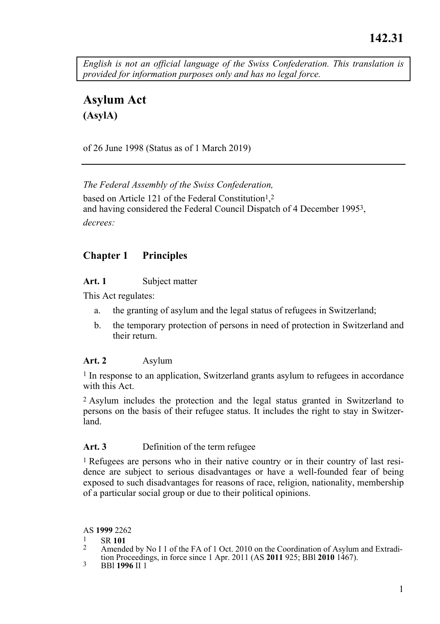*English is not an official language of the Swiss Confederation. This translation is provided for information purposes only and has no legal force.* 

**Asylum Act (AsylA)** 

of 26 June 1998 (Status as of 1 March 2019)

*The Federal Assembly of the Swiss Confederation,*  based on Article 121 of the Federal Constitution<sup>1</sup>,<sup>2</sup> and having considered the Federal Council Dispatch of 4 December 19953, *decrees:* 

### **Chapter 1 Principles**

#### **Art. 1** Subject matter

This Act regulates:

- a. the granting of asylum and the legal status of refugees in Switzerland;
- b. the temporary protection of persons in need of protection in Switzerland and their return.

#### **Art. 2** Asylum

1 In response to an application, Switzerland grants asylum to refugees in accordance with this Act.

2 Asylum includes the protection and the legal status granted in Switzerland to persons on the basis of their refugee status. It includes the right to stay in Switzerland.

#### **Art. 3** Definition of the term refugee

1 Refugees are persons who in their native country or in their country of last residence are subject to serious disadvantages or have a well-founded fear of being exposed to such disadvantages for reasons of race, religion, nationality, membership of a particular social group or due to their political opinions.

AS **1999** 2262

- 
- 1 SR **<sup>101</sup>** 2 Amended by No I 1 of the FA of 1 Oct. 2010 on the Coordination of Asylum and Extradition Proceedings, in force since 1 Apr. 2011 (AS **2011** 925; BBl **2010** 1467). 3 BBl **1996** II 1
-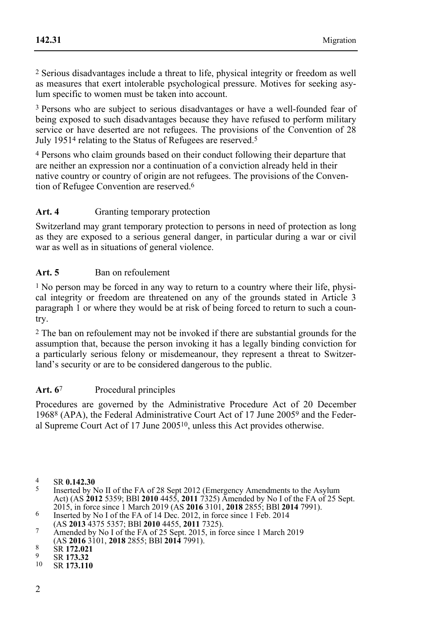2 Serious disadvantages include a threat to life, physical integrity or freedom as well as measures that exert intolerable psychological pressure. Motives for seeking asylum specific to women must be taken into account.

<sup>3</sup> Persons who are subject to serious disadvantages or have a well-founded fear of being exposed to such disadvantages because they have refused to perform military service or have deserted are not refugees. The provisions of the Convention of 28 July 19514 relating to the Status of Refugees are reserved.5

4 Persons who claim grounds based on their conduct following their departure that are neither an expression nor a continuation of a conviction already held in their native country or country of origin are not refugees. The provisions of the Convention of Refugee Convention are reserved.6

## Art. 4 Granting temporary protection

Switzerland may grant temporary protection to persons in need of protection as long as they are exposed to a serious general danger, in particular during a war or civil war as well as in situations of general violence.

### Art. 5 Ban on refoulement

1 No person may be forced in any way to return to a country where their life, physical integrity or freedom are threatened on any of the grounds stated in Article 3 paragraph 1 or where they would be at risk of being forced to return to such a country.

2 The ban on refoulement may not be invoked if there are substantial grounds for the assumption that, because the person invoking it has a legally binding conviction for a particularly serious felony or misdemeanour, they represent a threat to Switzerland's security or are to be considered dangerous to the public.

### Art. 6<sup>7</sup> Procedural principles

Procedures are governed by the Administrative Procedure Act of 20 December 19688 (APA), the Federal Administrative Court Act of 17 June 20059 and the Federal Supreme Court Act of 17 June 200510, unless this Act provides otherwise.

<sup>4</sup> SR **0.142.30** 5 Inserted by No II of the FA of 28 Sept 2012 (Emergency Amendments to the Asylum Act) (AS **2012** 5359; BBl **2010** 4455, **2011** 7325) Amended by No I of the FA of 25 Sept.

<sup>2015,</sup> in force since 1 March 2019 (AS 2016 3101, 2018 2855; BBI 2014 7991).<br>
Inserted by No I of the FA of 14 Dec. 2012, in force since 1 Feb. 2014<br>
(AS 2013 4375 5357; BBI 2010 4455, 2011 7325).

<sup>(</sup>AS **2013** 4375 5357; BBl **2010** 4455, **2011** 7325). 7 Amended by No I of the FA of 25 Sept. 2015, in force since 1 March 2019 (AS **2016** 3101, **2018** 2855; BBI **2014** 7991).<br>8 SR **172.021**<br><sup>9</sup> SR **173.32**<br><sup>9</sup> SR **173.110**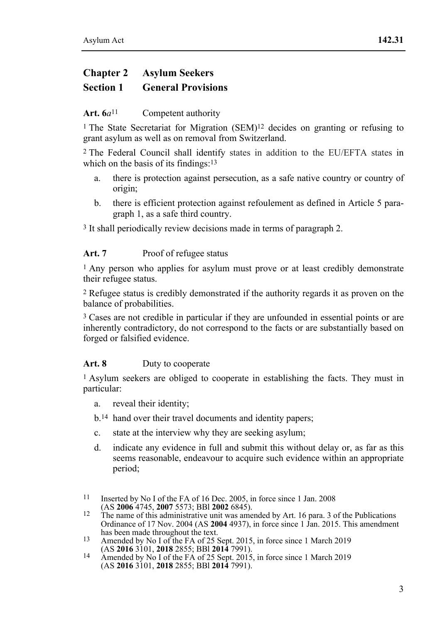# **Chapter 2 Asylum Seekers Section 1 General Provisions**

### Art. 6*a*<sup>11</sup> Competent authority

<sup>1</sup> The State Secretariat for Migration  $(SEM)^{12}$  decides on granting or refusing to grant asylum as well as on removal from Switzerland.

2 The Federal Council shall identify states in addition to the EU/EFTA states in which on the basis of its findings:<sup>13</sup>

- a. there is protection against persecution, as a safe native country or country of origin;
- b. there is efficient protection against refoulement as defined in Article 5 paragraph 1, as a safe third country.

3 It shall periodically review decisions made in terms of paragraph 2.

#### Art. 7 Proof of refugee status

1 Any person who applies for asylum must prove or at least credibly demonstrate their refugee status.

2 Refugee status is credibly demonstrated if the authority regards it as proven on the balance of probabilities.

<sup>3</sup> Cases are not credible in particular if they are unfounded in essential points or are inherently contradictory, do not correspond to the facts or are substantially based on forged or falsified evidence.

#### **Art. 8** Duty to cooperate

1 Asylum seekers are obliged to cooperate in establishing the facts. They must in particular:

- a. reveal their identity;
- b.14 hand over their travel documents and identity papers;
- c. state at the interview why they are seeking asylum;
- d. indicate any evidence in full and submit this without delay or, as far as this seems reasonable, endeavour to acquire such evidence within an appropriate period;
- $11$ Inserted by No I of the FA of 16 Dec. 2005, in force since 1 Jan. 2008 (AS 2006 4745, 2007 5573; BBI 2002 6845).
- <sup>12</sup> The name of this administrative unit was amended by Art. 16 para. 3 of the Publications Ordinance of 17 Nov. 2004 (AS **2004** 4937), in force since 1 Jan. 2015. This amendment
- has been made throughout the text.<br><sup>13</sup> Amended by No I of the FA of 25 Sept. 2015, in force since 1 March 2019
- (AS **2016** 3101, **2018** 2855; BBl **2014** 7991). 14 Amended by No I of the FA of 25 Sept. 2015, in force since 1 March 2019 (AS **2016** 3101, **2018** 2855; BBl **2014** 7991).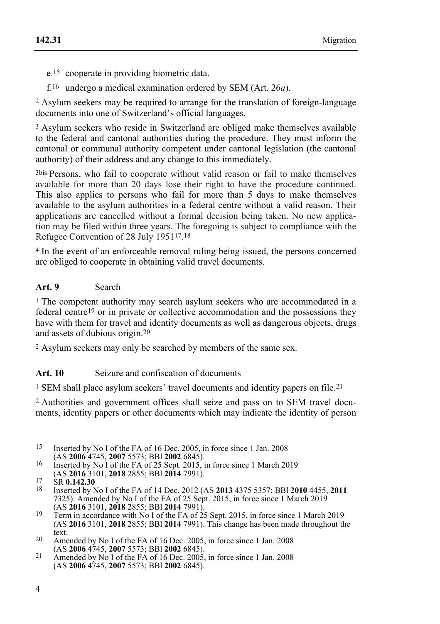e.15 cooperate in providing biometric data.

f.16 undergo a medical examination ordered by SEM (Art. 26*a*).

2 Asylum seekers may be required to arrange for the translation of foreign-language documents into one of Switzerland's official languages.

3 Asylum seekers who reside in Switzerland are obliged make themselves available to the federal and cantonal authorities during the procedure. They must inform the cantonal or communal authority competent under cantonal legislation (the cantonal authority) of their address and any change to this immediately.

3bis Persons, who fail to cooperate without valid reason or fail to make themselves available for more than 20 days lose their right to have the procedure continued. This also applies to persons who fail for more than 5 days to make themselves available to the asylum authorities in a federal centre without a valid reason. Their applications are cancelled without a formal decision being taken. No new application may be filed within three years. The foregoing is subject to compliance with the Refugee Convention of 28 July 195117.18

4 In the event of an enforceable removal ruling being issued, the persons concerned are obliged to cooperate in obtaining valid travel documents.

### Art. 9 Search

<sup>1</sup> The competent authority may search asylum seekers who are accommodated in a federal centre19 or in private or collective accommodation and the possessions they have with them for travel and identity documents as well as dangerous objects, drugs and assets of dubious origin.20

2 Asylum seekers may only be searched by members of the same sex.

### Art. 10 Seizure and confiscation of documents

1 SEM shall place asylum seekers' travel documents and identity papers on file.21

2 Authorities and government offices shall seize and pass on to SEM travel documents, identity papers or other documents which may indicate the identity of person

- $15$ Inserted by No I of the FA of 16 Dec. 2005, in force since 1 Jan. 2008 (AS 2006 4745, 2007 5573; BBI 2002 6845).
- <sup>16</sup> Inserted by No 1 of the FA of 25 Sept. 2015, in force since 1 March 2019 (AS **2016** 3101, **2018** 2855; BBI **2014** 7991).

text.<br>
<sup>20</sup> Amended by No I of the FA of 16 Dec. 2005, in force since 1 Jan. 2008<br>
(AS **2006** 4745, **2007** 5573; BBI **2002** 6845).

<sup>(</sup>AS **2016** 3101, **2018** 2855; BBl **2014** 7991). 17 SR **0.142.30** 18 Inserted by No I of the FA of 14 Dec. 2012 (AS **2013** 4375 5357; BBl **2010** 4455, **<sup>2011</sup>** 7325). Amended by No I of the FA of 25 Sept. 2015, in force since 1 March 2019

<sup>(</sup>AS 2016 3101, 2018 2855; BBI 2014 7991).<br>
Term in accordance with No I of the FA of 25 Sept. 2015, in force since 1 March 2019<br>
(AS 2016 3101, 2018 2855; BBI 2014 7991). This change has been made throughout the

<sup>&</sup>lt;sup>21</sup> Amended by No I of the FA of 16 Dec. 2005, in force since 1 Jan. 2008 (AS **2006** 4745, **2007** 5573; BBl **2002** 6845).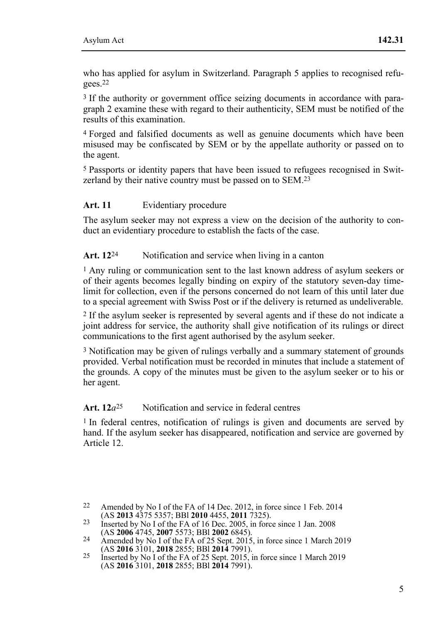who has applied for asylum in Switzerland. Paragraph 5 applies to recognised refugees.22

3 If the authority or government office seizing documents in accordance with paragraph 2 examine these with regard to their authenticity, SEM must be notified of the results of this examination.

4 Forged and falsified documents as well as genuine documents which have been misused may be confiscated by SEM or by the appellate authority or passed on to the agent.

5 Passports or identity papers that have been issued to refugees recognised in Switzerland by their native country must be passed on to SEM.<sup>23</sup>

#### **Art. 11** Evidentiary procedure

The asylum seeker may not express a view on the decision of the authority to conduct an evidentiary procedure to establish the facts of the case.

#### Art. 12<sup>24</sup> Notification and service when living in a canton

1 Any ruling or communication sent to the last known address of asylum seekers or of their agents becomes legally binding on expiry of the statutory seven-day timelimit for collection, even if the persons concerned do not learn of this until later due to a special agreement with Swiss Post or if the delivery is returned as undeliverable.

2 If the asylum seeker is represented by several agents and if these do not indicate a joint address for service, the authority shall give notification of its rulings or direct communications to the first agent authorised by the asylum seeker.

3 Notification may be given of rulings verbally and a summary statement of grounds provided. Verbal notification must be recorded in minutes that include a statement of the grounds. A copy of the minutes must be given to the asylum seeker or to his or her agent.

### Art. 12*a*<sup>25</sup> Notification and service in federal centres

1 In federal centres, notification of rulings is given and documents are served by hand. If the asylum seeker has disappeared, notification and service are governed by Article 12.

 $22$ Amended by No I of the FA of 14 Dec. 2012, in force since 1 Feb. 2014

<sup>(</sup>AS **2013** 4375 5357; BBl **2010** 4455, **2011** 7325). 23 Inserted by No I of the FA of 16 Dec. 2005, in force since 1 Jan. 2008

<sup>24</sup> Amended by No I of the FA of 25 Sept. 2015, in force since 1 March 2019<br>(AS **2016** 3101, **2018** 2855; BBI **2014** 7991).

<sup>(</sup>AS **2016** 3101, **2018** 2855; BBl **2014** 7991). 25 Inserted by No I of the FA of 25 Sept. 2015, in force since 1 March 2019 (AS **2016** 3101, **2018** 2855; BBl **2014** 7991).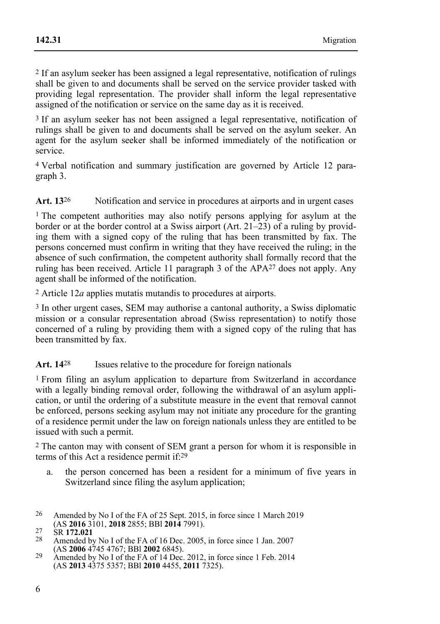2 If an asylum seeker has been assigned a legal representative, notification of rulings shall be given to and documents shall be served on the service provider tasked with providing legal representation. The provider shall inform the legal representative assigned of the notification or service on the same day as it is received.

3 If an asylum seeker has not been assigned a legal representative, notification of rulings shall be given to and documents shall be served on the asylum seeker. An agent for the asylum seeker shall be informed immediately of the notification or service.

4 Verbal notification and summary justification are governed by Article 12 paragraph 3.

Art. 13<sup>26</sup> Notification and service in procedures at airports and in urgent cases

1 The competent authorities may also notify persons applying for asylum at the border or at the border control at a Swiss airport (Art. 21–23) of a ruling by providing them with a signed copy of the ruling that has been transmitted by fax. The persons concerned must confirm in writing that they have received the ruling; in the absence of such confirmation, the competent authority shall formally record that the ruling has been received. Article 11 paragraph 3 of the APA27 does not apply. Any agent shall be informed of the notification.

2 Article 12*a* applies mutatis mutandis to procedures at airports.

3 In other urgent cases, SEM may authorise a cantonal authority, a Swiss diplomatic mission or a consular representation abroad (Swiss representation) to notify those concerned of a ruling by providing them with a signed copy of the ruling that has been transmitted by fax.

#### Art. 14<sup>28</sup> Issues relative to the procedure for foreign nationals

1 From filing an asylum application to departure from Switzerland in accordance with a legally binding removal order, following the withdrawal of an asylum application, or until the ordering of a substitute measure in the event that removal cannot be enforced, persons seeking asylum may not initiate any procedure for the granting of a residence permit under the law on foreign nationals unless they are entitled to be issued with such a permit.

2 The canton may with consent of SEM grant a person for whom it is responsible in terms of this Act a residence permit if:29

- a. the person concerned has been a resident for a minimum of five years in Switzerland since filing the asylum application:
- 26 Amended by No I of the FA of 25 Sept. 2015, in force since 1 March 2019
- (AS **2016** 3101, **2018** 2855; BBl **2014** 7991). 27 SR **172.021** 28 Amended by No I of the FA of 16 Dec. 2005, in force since 1 Jan. 2007 (AS **2006** 4745 4767; BBl **2002** 6845). 29 Amended by No I of the FA of 14 Dec. 2012, in force since 1 Feb. 2014
- (AS **2013** 4375 5357; BBl **2010** 4455, **2011** 7325).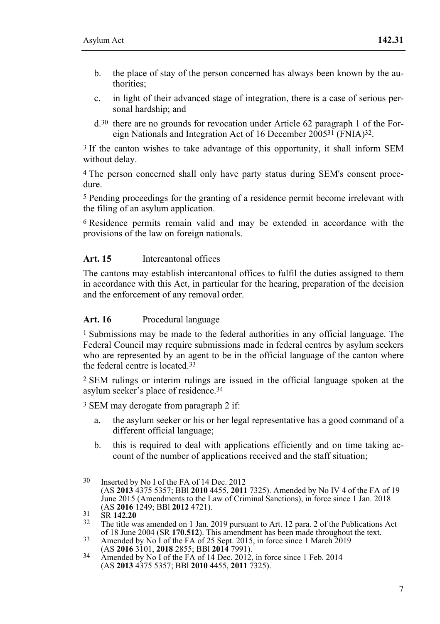- b. the place of stay of the person concerned has always been known by the authorities;
- c. in light of their advanced stage of integration, there is a case of serious personal hardship; and
- d.30 there are no grounds for revocation under Article 62 paragraph 1 of the Foreign Nationals and Integration Act of 16 December 200531 (FNIA)32.

<sup>3</sup> If the canton wishes to take advantage of this opportunity, it shall inform SEM without delay.

4 The person concerned shall only have party status during SEM's consent procedure.

5 Pending proceedings for the granting of a residence permit become irrelevant with the filing of an asylum application.

6 Residence permits remain valid and may be extended in accordance with the provisions of the law on foreign nationals.

#### **Art. 15** Intercantonal offices

The cantons may establish intercantonal offices to fulfil the duties assigned to them in accordance with this Act, in particular for the hearing, preparation of the decision and the enforcement of any removal order.

#### **Art. 16** Procedural language

1 Submissions may be made to the federal authorities in any official language. The Federal Council may require submissions made in federal centres by asylum seekers who are represented by an agent to be in the official language of the canton where the federal centre is located.33

2 SEM rulings or interim rulings are issued in the official language spoken at the asylum seeker's place of residence.34

3 SEM may derogate from paragraph 2 if:

- a. the asylum seeker or his or her legal representative has a good command of a different official language;
- b. this is required to deal with applications efficiently and on time taking account of the number of applications received and the staff situation;

<sup>30</sup> Inserted by No I of the FA of 14 Dec. 2012 (AS **2013** 4375 5357; BBl **2010** 4455, **2011** 7325). Amended by No IV 4 of the FA of 19 June 2015 (Amendments to the Law of Criminal Sanctions), in force since 1 Jan. 2018

<sup>&</sup>lt;sup>31</sup> SR **142.20**<br><sup>32</sup> The title was amended on 1 Jan. 2019 pursuant to Art. 12 para. 2 of the Publications Act of 18 June 2004 (SR **170.512**). This amendment has been made throughout the text. of 18 June 2004 (SR **170.512**). This amendment has been made throughout the text. 33 Amended by No I of the FA of 25 Sept. 2015, in force since 1 March 2019

<sup>(</sup>AS **2016** 3101, **2018** 2855; BBl **2014** 7991). 34 Amended by No I of the FA of 14 Dec. 2012, in force since 1 Feb. 2014 (AS **2013** 4375 5357; BBl **2010** 4455, **2011** 7325).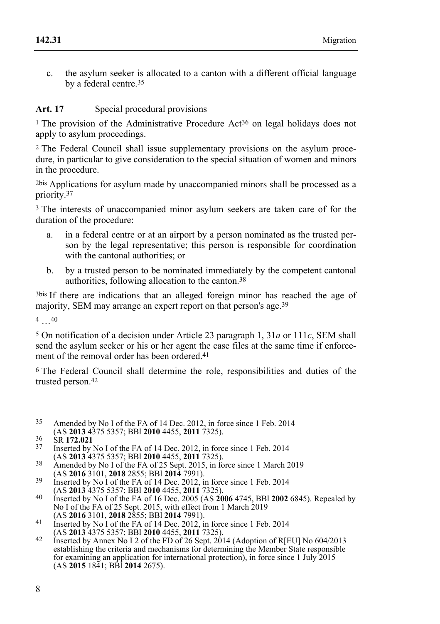c. the asylum seeker is allocated to a canton with a different official language by a federal centre.35

### **Art. 17** Special procedural provisions

<sup>1</sup> The provision of the Administrative Procedure Act<sup>36</sup> on legal holidays does not apply to asylum proceedings.

2 The Federal Council shall issue supplementary provisions on the asylum procedure, in particular to give consideration to the special situation of women and minors in the procedure.

2bis Applications for asylum made by unaccompanied minors shall be processed as a priority.37

<sup>3</sup> The interests of unaccompanied minor asylum seekers are taken care of for the duration of the procedure:

- a. in a federal centre or at an airport by a person nominated as the trusted person by the legal representative; this person is responsible for coordination with the cantonal authorities; or
- b. by a trusted person to be nominated immediately by the competent cantonal authorities, following allocation to the canton.38

3bis If there are indications that an alleged foreign minor has reached the age of majority, SEM may arrange an expert report on that person's age.39

4 …40

5 On notification of a decision under Article 23 paragraph 1, 31*a* or 111*c*, SEM shall send the asylum seeker or his or her agent the case files at the same time if enforcement of the removal order has been ordered.<sup>41</sup>

6 The Federal Council shall determine the role, responsibilities and duties of the trusted person.42

- $35$ Amended by No I of the FA of 14 Dec. 2012, in force since 1 Feb. 2014 (AS 2013 4375 5357; BBI 2010 4455, 2011 7325).
- 
- <sup>36</sup> SR **172.021**<br><sup>37</sup> Inserted by No I of the FA of 14 Dec. 2012, in force since 1 Feb. 2014<br>(AS **2013** 4375 5357; BBI **2010** 4455, **2011** 7325).
- 438 Amended by No I of the FA of 25 Sept. 2015, in force since 1 March 2019<br>(AS **2016** 3101, **2018** 2855; BBI **2014** 7991).
- <sup>39</sup> Inserted by No I of the FA of 14 Dec. 2012, in force since 1 Feb. 2014
- (AS **2013** 4375 5357; BBl **2010** 4455, **2011** 7325). 40 Inserted by No I of the FA of 16 Dec. 2005 (AS **2006** 4745, BBl **2002** 6845). Repealed by No I of the FA of 25 Sept. 2015, with effect from 1 March 2019
- (AS **2016** 3101, **2018** 2855; BBl **2014** 7991). 41 Inserted by No I of the FA of 14 Dec. 2012, in force since 1 Feb. 2014
- (AS **2013** 4375 5357; BBl **2010** 4455, **2011** 7325). 42 Inserted by Annex No I 2 of the FD of 26 Sept. 2014 (Adoption of R[EU] No 604/2013 establishing the criteria and mechanisms for determining the Member State responsible for examining an application for international protection), in force since 1 July 2015 (AS **2015** 1841; BBl **2014** 2675).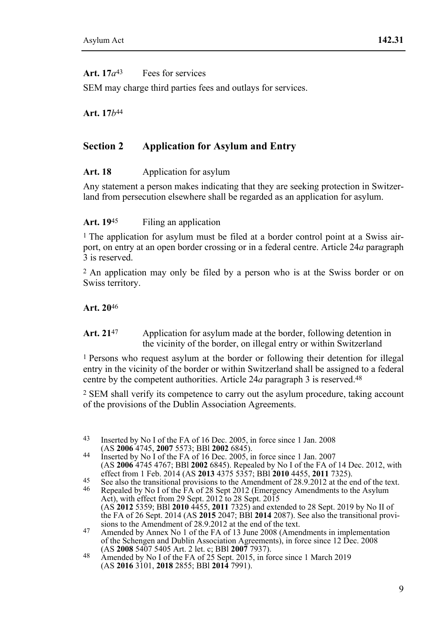### Art.  $17*a*<sup>43</sup>$  Fees for services

SEM may charge third parties fees and outlays for services.

**Art. 17***b*44

## **Section 2 Application for Asylum and Entry**

#### Art. 18 Application for asylum

Any statement a person makes indicating that they are seeking protection in Switzerland from persecution elsewhere shall be regarded as an application for asylum.

#### Art. 19<sup>45</sup> Filing an application

1 The application for asylum must be filed at a border control point at a Swiss airport, on entry at an open border crossing or in a federal centre. Article 24*a* paragraph 3 is reserved.

2 An application may only be filed by a person who is at the Swiss border or on Swiss territory.

#### **Art. 20**46

#### Art. 21<sup>47</sup> Application for asylum made at the border, following detention in the vicinity of the border, on illegal entry or within Switzerland

1 Persons who request asylum at the border or following their detention for illegal entry in the vicinity of the border or within Switzerland shall be assigned to a federal centre by the competent authorities. Article 24*a* paragraph 3 is reserved.48

2 SEM shall verify its competence to carry out the asylum procedure, taking account of the provisions of the Dublin Association Agreements.

<sup>43</sup> Inserted by No I of the FA of 16 Dec. 2005, in force since 1 Jan. 2008 (AS 2006 4745, 2007 5573; BBI 2002 6845).

<sup>&</sup>lt;sup>44</sup> Inserted by No I of the FA of 16 Dec. 2005, in force since 1 Jan. 2007 (AS **2006** 4745 4767; BBl **2002** 6845). Repealed by No I of the FA of 14 Dec. 2012, with

<sup>&</sup>lt;sup>45</sup> See also the transitional provisions to the Amendment of 28.9.2012 at the end of the text.<br><sup>46</sup> Repealed by No I of the FA of 28 Sept 2012 (Emergency Amendments to the Asylum

Act), with effect from 29 Sept. 2012 to 28 Sept. 2015 (AS **2012** 5359; BBl **2010** 4455, **2011** 7325) and extended to 28 Sept. 2019 by No II of the FA of 26 Sept. 2014 (AS **2015** 2017). BBl **2014** 2087). See also the transitional provisions to the Amendment of 28.9.2012 at the end of the text.

sions to the Amendment of 28.9.2012 at the end of the text. 47 Amended by Annex No 1 of the FA of 13 June 2008 (Amendments in implementation of the Schengen and Dublin Association Agreements), in force since 12 Dec. 2008

<sup>(</sup>AS **2008** 5407 5405 Art. 2 let. c; BBl **2007** 7937). 48 Amended by No I of the FA of 25 Sept. 2015, in force since 1 March 2019 (AS **2016** 3101, **2018** 2855; BBl **2014** 7991).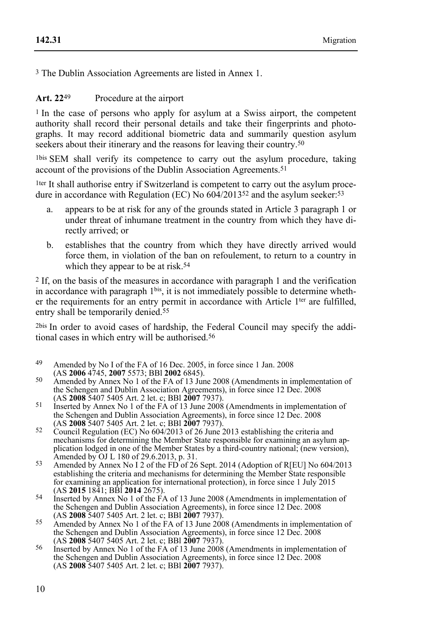3 The Dublin Association Agreements are listed in Annex 1.

### Art. 22<sup>49</sup> Procedure at the airport

<sup>1</sup> In the case of persons who apply for asylum at a Swiss airport, the competent authority shall record their personal details and take their fingerprints and photographs. It may record additional biometric data and summarily question asylum seekers about their itinerary and the reasons for leaving their country.<sup>50</sup>

1bis SEM shall verify its competence to carry out the asylum procedure, taking account of the provisions of the Dublin Association Agreements.<sup>51</sup>

1ter It shall authorise entry if Switzerland is competent to carry out the asylum procedure in accordance with Regulation (EC) No  $604/2013^{52}$  and the asylum seeker:<sup>53</sup>

- a. appears to be at risk for any of the grounds stated in Article 3 paragraph 1 or under threat of inhumane treatment in the country from which they have directly arrived; or
- b. establishes that the country from which they have directly arrived would force them, in violation of the ban on refoulement, to return to a country in which they appear to be at risk.<sup>54</sup>

2 If, on the basis of the measures in accordance with paragraph 1 and the verification in accordance with paragraph 1<sup>bis</sup>, it is not immediately possible to determine whether the requirements for an entry permit in accordance with Article 1<sup>ter</sup> are fulfilled, entry shall be temporarily denied.<sup>55</sup>

2bis In order to avoid cases of hardship, the Federal Council may specify the additional cases in which entry will be authorised.56

- 49 Amended by No I of the FA of 16 Dec. 2005, in force since 1 Jan. 2008 (AS 2006 4745, 2007 5573; BBI 2002 6845).
- <sup>50</sup> Amended by Annex No 1 of the FA of 13 June 2008 (Amendments in implementation of the Schengen and Dublin Association Agreements), in force since 12 Dec. 2008 (AS 2008 5407 5405 Art. 2 let. c; BBI 2007 7937).
- <sup>51</sup> Inserted by Annex No 1 of the FA of 13 June 2008 (Amendments in implementation of the Schengen and Dublin Association Agreements), in force since 12 Dec. 2008 (AS 2008 5407 5405 Art. 2 let. c; BBI 2007 7937).
- <sup>52</sup> Council Regulation (EC) No 604/2013 of 26 June 2013 establishing the criteria and mechanisms for determining the Member State responsible for examining an asylum application lodged in one of the Member States by a third-country national; (new version), Amended by OJ L 180 of 29.6.2013, p. 31.
- $53$  Amended by Annex No I 2 of the FD of 26 Sept. 2014 (Adoption of R[EU] No 604/2013 establishing the criteria and mechanisms for determining the Member State responsible for examining an application for international protection), in force since 1 July 2015 (AS 2015 1841: BBI 2014 2675).
- (AS **2015** 1841; BBl **2014** 2675). 54 Inserted by Annex No 1 of the FA of 13 June 2008 (Amendments in implementation of the Schengen and Dublin Association Agreements), in force since 12 Dec. 2008
- (AS **2008** 5407 5405 Art. 2 let. c; BBI **2007** 7937).<br>
Amended by Annex No 1 of the FA of 13 June 2008 (Amendments in implementation of the Schengen and Dublin Association Agreements), in force since 12 Dec. 2008
- (AS **2008** 5407 5405 Art. 2 let. c; BBI **2007** 7937). These since 12 Bee. 2000<br>
Inserted by Annex No 1 of the FA of 13 June 2008 (Amendments in implementation of the Schengen and Dublin Association Agreements), in force since 12 Dec. 2008 (AS **2008** 5407 5405 Art. 2 let. c; BBl **2007** 7937).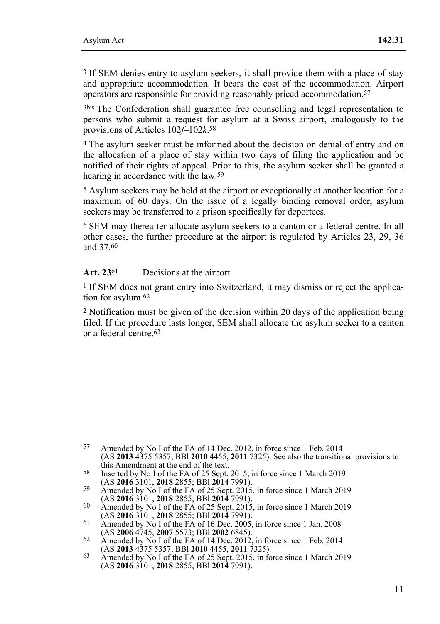3 If SEM denies entry to asylum seekers, it shall provide them with a place of stay and appropriate accommodation. It bears the cost of the accommodation. Airport operators are responsible for providing reasonably priced accommodation.57

3bis The Confederation shall guarantee free counselling and legal representation to persons who submit a request for asylum at a Swiss airport, analogously to the provisions of Articles 102*f*–102*k*.58

4 The asylum seeker must be informed about the decision on denial of entry and on the allocation of a place of stay within two days of filing the application and be notified of their rights of appeal. Prior to this, the asylum seeker shall be granted a hearing in accordance with the law.<sup>59</sup>

5 Asylum seekers may be held at the airport or exceptionally at another location for a maximum of 60 days. On the issue of a legally binding removal order, asylum seekers may be transferred to a prison specifically for deportees.

6 SEM may thereafter allocate asylum seekers to a canton or a federal centre. In all other cases, the further procedure at the airport is regulated by Articles 23, 29, 36 and 37.60

#### Art. 23<sup>61</sup> Decisions at the airport

1 If SEM does not grant entry into Switzerland, it may dismiss or reject the application for asylum.62

2 Notification must be given of the decision within 20 days of the application being filed. If the procedure lasts longer, SEM shall allocate the asylum seeker to a canton or a federal centre.63

<sup>57</sup> 57 Amended by No I of the FA of 14 Dec. 2012, in force since 1 Feb. 2014 (AS **2013** 4375 5357; BBl **2010** 4455, **2011** 7325). See also the transitional provisions to

the end of the FA of 25 Sept. 2015, in force since 1 March 2019<br>(AS 2016 3101, 2018 2855; BBI 2014 7991).

<sup>59</sup> Amended by No I of the FA of 25 Sept. 2015, in force since 1 March 2019<br>(AS **2016** 3101, **2018** 2855; BBI **2014** 7991).

<sup>(</sup>AS **2016** 3101, **2018** 2855; BBl **2014** 7991). 60 Amended by No I of the FA of 25 Sept. 2015, in force since 1 March 2019

<sup>411 2018 3101,</sup> **2016** 3101, **2016** 2856, *Amended by No I of the FA of 16 Dec.* 2005, in force since 1 Jan. 2008 (AS 2006 4745, 2007 5573; BBI 2002 6845).

<sup>62</sup> Amended by No I of the FA of 14 Dec. 2012, in force since 1 Feb. 2014<br>(AS **2013** 4375 5357; BBI **2010** 4455, **2011** 7325).

<sup>&</sup>lt;sup>63</sup> Amended by No I of the FA of 25 Sept. 2015, in force since 1 March 2019 (AS **2016** 3101, **2018** 2855; BBl **2014** 7991).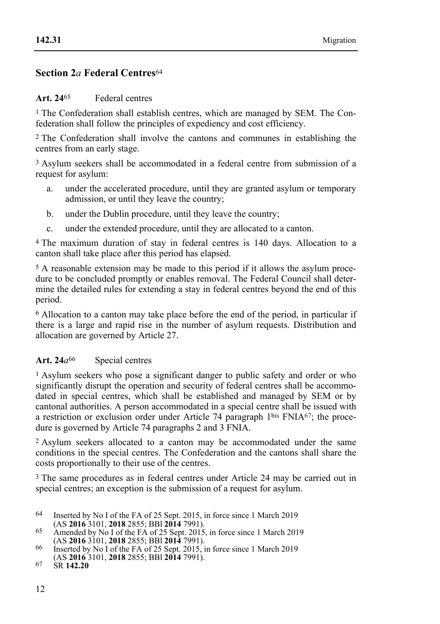### **Section 2***a* **Federal Centres**<sup>64</sup>

#### **Art. 24**65 Federal centres

<sup>1</sup> The Confederation shall establish centres, which are managed by SEM. The Confederation shall follow the principles of expediency and cost efficiency.

2 The Confederation shall involve the cantons and communes in establishing the centres from an early stage.

3 Asylum seekers shall be accommodated in a federal centre from submission of a request for asylum:

- a. under the accelerated procedure, until they are granted asylum or temporary admission, or until they leave the country;
- b. under the Dublin procedure, until they leave the country;
- c. under the extended procedure, until they are allocated to a canton.

4 The maximum duration of stay in federal centres is 140 days. Allocation to a canton shall take place after this period has elapsed.

5 A reasonable extension may be made to this period if it allows the asylum procedure to be concluded promptly or enables removal. The Federal Council shall determine the detailed rules for extending a stay in federal centres beyond the end of this period.

6 Allocation to a canton may take place before the end of the period, in particular if there is a large and rapid rise in the number of asylum requests. Distribution and allocation are governed by Article 27.

#### Art. 24 $a^{66}$  Special centres

1 Asylum seekers who pose a significant danger to public safety and order or who significantly disrupt the operation and security of federal centres shall be accommodated in special centres, which shall be established and managed by SEM or by cantonal authorities. A person accommodated in a special centre shall be issued with a restriction or exclusion order under Article 74 paragraph 1bis FNIA67; the procedure is governed by Article 74 paragraphs 2 and 3 FNIA.

2 Asylum seekers allocated to a canton may be accommodated under the same conditions in the special centres. The Confederation and the cantons shall share the costs proportionally to their use of the centres.

3 The same procedures as in federal centres under Article 24 may be carried out in special centres; an exception is the submission of a request for asylum.

<sup>&</sup>lt;sup>64</sup> Inserted by No I of the FA of 25 Sept. 2015, in force since 1 March 2019<br>(AS **2016** 3101, **2018** 2855; BBI **2014** 7991). (AS **2016** 3101, **2018** 2855; BBl **2014** 7991). 65 Amended by No I of the FA of 25 Sept. 2015, in force since 1 March 2019

<sup>(</sup>AS **2016** 3101, **2018** 2855; BBl **2014** 7991). 66 Inserted by No I of the FA of 25 Sept. 2015, in force since 1 March 2019

<sup>(</sup>AS **2016** 3101, **2018** 2855; BBl **2014** 7991). 67 SR **142.20**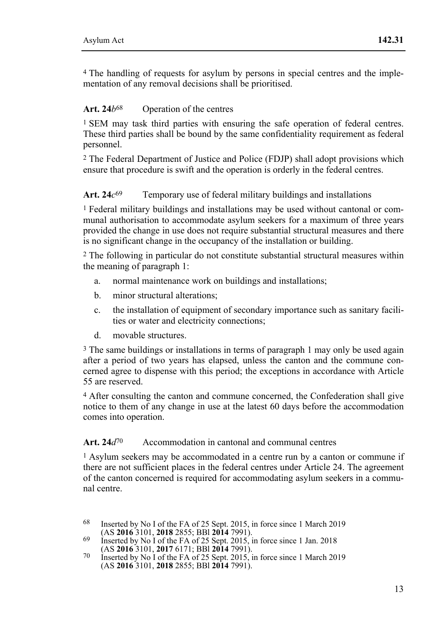4 The handling of requests for asylum by persons in special centres and the implementation of any removal decisions shall be prioritised.

### **Art. 24***b*68 Operation of the centres

1 SEM may task third parties with ensuring the safe operation of federal centres. These third parties shall be bound by the same confidentiality requirement as federal personnel.

2 The Federal Department of Justice and Police (FDJP) shall adopt provisions which ensure that procedure is swift and the operation is orderly in the federal centres.

### Art. 24 $c^{69}$  Temporary use of federal military buildings and installations

1 Federal military buildings and installations may be used without cantonal or communal authorisation to accommodate asylum seekers for a maximum of three years provided the change in use does not require substantial structural measures and there is no significant change in the occupancy of the installation or building.

2 The following in particular do not constitute substantial structural measures within the meaning of paragraph 1:

- a. normal maintenance work on buildings and installations;
- b. minor structural alterations;
- c. the installation of equipment of secondary importance such as sanitary facilities or water and electricity connections;
- d. movable structures.

3 The same buildings or installations in terms of paragraph 1 may only be used again after a period of two years has elapsed, unless the canton and the commune concerned agree to dispense with this period; the exceptions in accordance with Article 55 are reserved.

4 After consulting the canton and commune concerned, the Confederation shall give notice to them of any change in use at the latest 60 days before the accommodation comes into operation.

#### Art. 24*d*<sup>70</sup> Accommodation in cantonal and communal centres

1 Asylum seekers may be accommodated in a centre run by a canton or commune if there are not sufficient places in the federal centres under Article 24. The agreement of the canton concerned is required for accommodating asylum seekers in a communal centre.

- 68 Inserted by No I of the FA of 25 Sept. 2015, in force since 1 March 2019 (AS 2016 3101, 2018 2855; BBI 2014 7991).
- (AS **2016** 3101, **2017** 6171; BBI **2014** 7991).<br>
(AS **2016** 3101, **2017** 6171; BBI **2014** 7991).

<sup>&</sup>lt;sup>70</sup> Inserted by No I of the FA of 25 Sept. 2015, in force since 1 March 2019 (AS **2016** 3101, **2018** 2855; BBl **2014** 7991).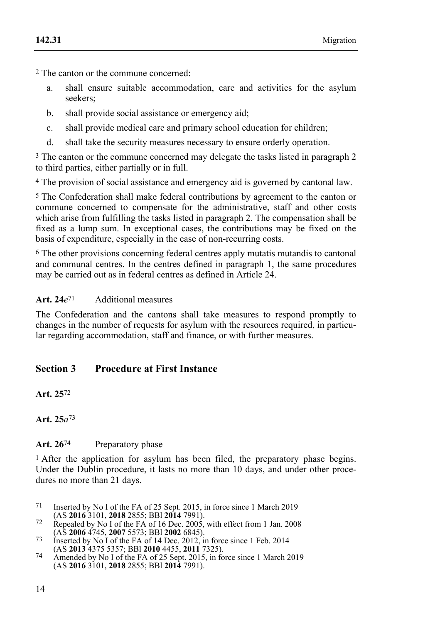2 The canton or the commune concerned:

- a. shall ensure suitable accommodation, care and activities for the asylum seekers;
- b. shall provide social assistance or emergency aid;
- c. shall provide medical care and primary school education for children;
- d. shall take the security measures necessary to ensure orderly operation.

3 The canton or the commune concerned may delegate the tasks listed in paragraph 2 to third parties, either partially or in full.

4 The provision of social assistance and emergency aid is governed by cantonal law.

5 The Confederation shall make federal contributions by agreement to the canton or commune concerned to compensate for the administrative, staff and other costs which arise from fulfilling the tasks listed in paragraph 2. The compensation shall be fixed as a lump sum. In exceptional cases, the contributions may be fixed on the basis of expenditure, especially in the case of non-recurring costs.

6 The other provisions concerning federal centres apply mutatis mutandis to cantonal and communal centres. In the centres defined in paragraph 1, the same procedures may be carried out as in federal centres as defined in Article 24.

## **Art. 24***e*71 Additional measures

The Confederation and the cantons shall take measures to respond promptly to changes in the number of requests for asylum with the resources required, in particular regarding accommodation, staff and finance, or with further measures.

# **Section 3 Procedure at First Instance**

**Art. 25**72

## Art. 26<sup>74</sup> Preparatory phase

<sup>1</sup> After the application for asylum has been filed, the preparatory phase begins. Under the Dublin procedure, it lasts no more than 10 days, and under other procedures no more than 21 days.

- 71 Inserted by No I of the FA of 25 Sept. 2015, in force since 1 March 2019 (AS 2016 3101, 2018 2855; BBI 2014 7991).
- Repealed by No I of the FA of 16 Dec. 2005, with effect from 1 Jan. 2008<br>(AS **2006** 4745, **2007** 5573; BBI **2002** 6845).
- (AS **2006** 4745, **2007** 5573; BBl **2002** 6845). 73 Inserted by No I of the FA of 14 Dec. 2012, in force since 1 Feb. 2014
- (AS **2013** 4375 5357; BBl **2010** 4455, **2011** 7325). 74 Amended by No I of the FA of 25 Sept. 2015, in force since 1 March 2019 (AS **2016** 3101, **2018** 2855; BBl **2014** 7991).

**Art. 25***a*73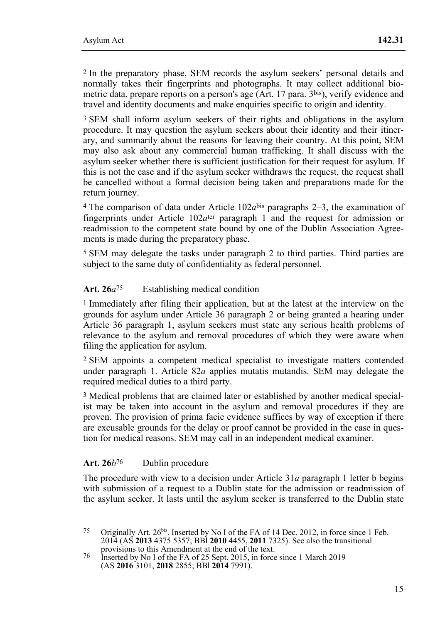2 In the preparatory phase, SEM records the asylum seekers' personal details and normally takes their fingerprints and photographs. It may collect additional biometric data, prepare reports on a person's age (Art. 17 para. 3bis), verify evidence and travel and identity documents and make enquiries specific to origin and identity.

3 SEM shall inform asylum seekers of their rights and obligations in the asylum procedure. It may question the asylum seekers about their identity and their itinerary, and summarily about the reasons for leaving their country. At this point, SEM may also ask about any commercial human trafficking. It shall discuss with the asylum seeker whether there is sufficient justification for their request for asylum. If this is not the case and if the asylum seeker withdraws the request, the request shall be cancelled without a formal decision being taken and preparations made for the return journey.

<sup>4</sup> The comparison of data under Article  $102a<sup>bis</sup>$  paragraphs 2–3, the examination of fingerprints under Article  $102a<sup>ter</sup>$  paragraph 1 and the request for admission or readmission to the competent state bound by one of the Dublin Association Agreements is made during the preparatory phase.

5 SEM may delegate the tasks under paragraph 2 to third parties. Third parties are subject to the same duty of confidentiality as federal personnel.

#### **Art. 26***a*75 Establishing medical condition

1 Immediately after filing their application, but at the latest at the interview on the grounds for asylum under Article 36 paragraph 2 or being granted a hearing under Article 36 paragraph 1, asylum seekers must state any serious health problems of relevance to the asylum and removal procedures of which they were aware when filing the application for asylum.

2 SEM appoints a competent medical specialist to investigate matters contended under paragraph 1. Article 82*a* applies mutatis mutandis. SEM may delegate the required medical duties to a third party.

3 Medical problems that are claimed later or established by another medical specialist may be taken into account in the asylum and removal procedures if they are proven. The provision of prima facie evidence suffices by way of exception if there are excusable grounds for the delay or proof cannot be provided in the case in question for medical reasons. SEM may call in an independent medical examiner.

#### Art. 26*b*<sup>76</sup> Dublin procedure

The procedure with view to a decision under Article 31*a* paragraph 1 letter b begins with submission of a request to a Dublin state for the admission or readmission of the asylum seeker. It lasts until the asylum seeker is transferred to the Dublin state

<sup>75</sup> Originally Art. 26<sup>bis</sup>. Inserted by No I of the FA of 14 Dec. 2012, in force since 1 Feb. 2014 (AS **2013** 4375 5357; BBl **2010** 4455, **2011** 7325). See also the transitional

provisions to this Amendment at the end of the text. 76 Inserted by No I of the FA of 25 Sept. 2015, in force since 1 March 2019 (AS **2016** 3101, **2018** 2855; BBl **2014** 7991).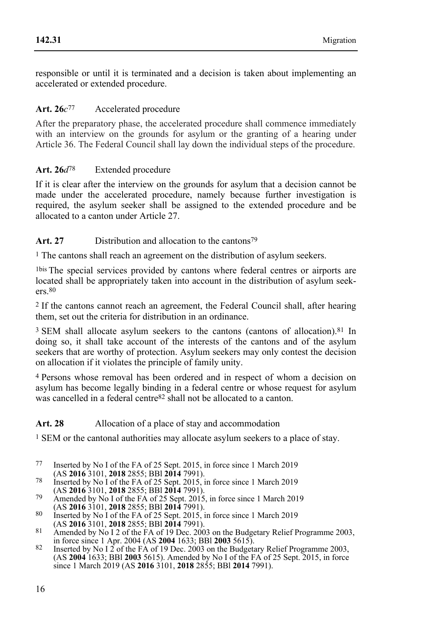responsible or until it is terminated and a decision is taken about implementing an accelerated or extended procedure.

## **Art. 26***c*77 Accelerated procedure

After the preparatory phase, the accelerated procedure shall commence immediately with an interview on the grounds for asylum or the granting of a hearing under Article 36. The Federal Council shall lay down the individual steps of the procedure.

## **Art. 26***d*78 Extended procedure

If it is clear after the interview on the grounds for asylum that a decision cannot be made under the accelerated procedure, namely because further investigation is required, the asylum seeker shall be assigned to the extended procedure and be allocated to a canton under Article 27.

## Art. 27 Distribution and allocation to the cantons<sup>79</sup>

1 The cantons shall reach an agreement on the distribution of asylum seekers.

1bis The special services provided by cantons where federal centres or airports are located shall be appropriately taken into account in the distribution of asylum seekers.80

2 If the cantons cannot reach an agreement, the Federal Council shall, after hearing them, set out the criteria for distribution in an ordinance.

<sup>3</sup> SEM shall allocate asylum seekers to the cantons (cantons of allocation).<sup>81</sup> In doing so, it shall take account of the interests of the cantons and of the asylum seekers that are worthy of protection. Asylum seekers may only contest the decision on allocation if it violates the principle of family unity.

4 Persons whose removal has been ordered and in respect of whom a decision on asylum has become legally binding in a federal centre or whose request for asylum was cancelled in a federal centre<sup>82</sup> shall not be allocated to a canton.

### Art. 28 Allocation of a place of stay and accommodation

<sup>1</sup> SEM or the cantonal authorities may allocate asylum seekers to a place of stay.

- 77 Inserted by No I of the FA of 25 Sept. 2015, in force since 1 March 2019 (AS 2016 3101, 2018 2855; BBI 2014 7991).
- (AS **2016** 3101, **2018** 2855; BBl **2014** 7991). 78 Inserted by No I of the FA of 25 Sept. 2015, in force since 1 March 2019
- (AS **2016** 3101, **2018** 2855; BBl **2014** 7991). 79 Amended by No I of the FA of 25 Sept. 2015, in force since 1 March 2019
- 80 Inserted by No I of the FA of 25 Sept. 2015, in force since 1 March 2019 (AS **2016** 3101, **2018** 2855; BBI **2014** 7991).
- (AS **2016** 3101, **2018** 2855; BBl **2014** 7991). 81 Amended by No I 2 of the FA of 19 Dec. 2003 on the Budgetary Relief Programme 2003,
- in force since 1 Apr. 2004 (AS **2004** 1633; BBl **2003** 5615). 82 Inserted by No I 2 of the FA of 19 Dec. 2003 on the Budgetary Relief Programme 2003, (AS **2004** 1633; BBl **2003** 5615). Amended by No I of the FA of 25 Sept. 2015, in force since 1 March 2019 (AS **2016** 3101, **2018** 2855; BBl **2014** 7991).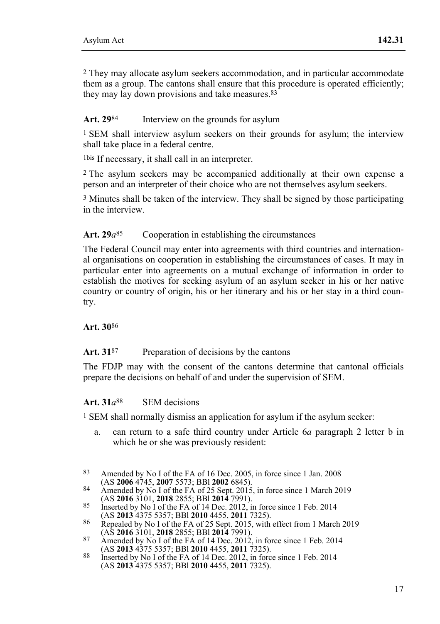2 They may allocate asylum seekers accommodation, and in particular accommodate them as a group. The cantons shall ensure that this procedure is operated efficiently; they may lay down provisions and take measures.<sup>83</sup>

### Art. 29<sup>84</sup> Interview on the grounds for asylum

<sup>1</sup> SEM shall interview asylum seekers on their grounds for asylum; the interview shall take place in a federal centre.

1bis If necessary, it shall call in an interpreter.

2 The asylum seekers may be accompanied additionally at their own expense a person and an interpreter of their choice who are not themselves asylum seekers.

3 Minutes shall be taken of the interview. They shall be signed by those participating in the interview.

### Art. 29*a*<sup>85</sup> Cooperation in establishing the circumstances

The Federal Council may enter into agreements with third countries and international organisations on cooperation in establishing the circumstances of cases. It may in particular enter into agreements on a mutual exchange of information in order to establish the motives for seeking asylum of an asylum seeker in his or her native country or country of origin, his or her itinerary and his or her stay in a third country.

#### **Art. 30**86

#### Art. 31<sup>87</sup> Preparation of decisions by the cantons

The FDJP may with the consent of the cantons determine that cantonal officials prepare the decisions on behalf of and under the supervision of SEM.

#### **Art. 31***a*88 SEM decisions

1 SEM shall normally dismiss an application for asylum if the asylum seeker:

a. can return to a safe third country under Article 6*a* paragraph 2 letter b in which he or she was previously resident:

 $83$ Amended by No I of the FA of 16 Dec. 2005, in force since 1 Jan. 2008<br>(AS 2006 4745, 2007 5573; BBI 2002 6845).

<sup>84</sup> Amended by No I of the FA of 25 Sept. 2015, in force since 1 March 2019<br>(AS **2016** 3101, **2018** 2855; BBI **2014** 7991). (AS **2016** 3101, **2018** 2855; BBl **2014** 7991). 85 Inserted by No I of the FA of 14 Dec. 2012, in force since 1 Feb. 2014

<sup>(</sup>AS **2013** 4375 5357; BBl **2010** 4455, **2011** 7325). 86 Repealed by No I of the FA of 25 Sept. 2015, with effect from 1 March 2019

<sup>(</sup>AS **2016** 3101, **2018** 2855; BBl **2014** 7991). 87 Amended by No I of the FA of 14 Dec. 2012, in force since 1 Feb. 2014

<sup>(</sup>AS **2013** 4375 5357; BBl **2010** 4455, **2011** 7325). 88 Inserted by No I of the FA of 14 Dec. 2012, in force since 1 Feb. 2014 (AS **2013** 4375 5357; BBl **2010** 4455, **2011** 7325).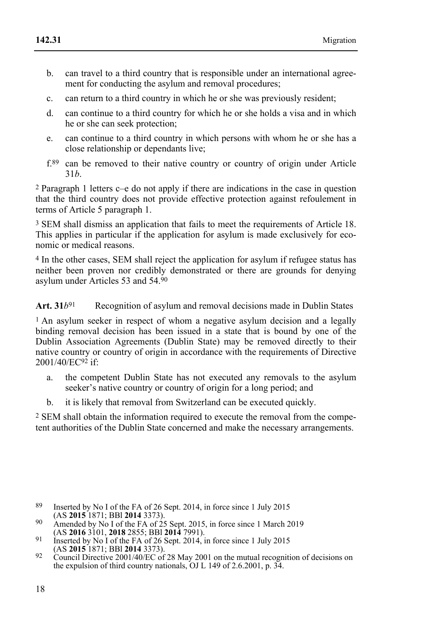- b. can travel to a third country that is responsible under an international agreement for conducting the asylum and removal procedures:
- c. can return to a third country in which he or she was previously resident;
- d. can continue to a third country for which he or she holds a visa and in which he or she can seek protection;
- e. can continue to a third country in which persons with whom he or she has a close relationship or dependants live;
- f.89 can be removed to their native country or country of origin under Article 31*b*.

2 Paragraph 1 letters c–e do not apply if there are indications in the case in question that the third country does not provide effective protection against refoulement in terms of Article 5 paragraph 1.

3 SEM shall dismiss an application that fails to meet the requirements of Article 18. This applies in particular if the application for asylum is made exclusively for economic or medical reasons.

4 In the other cases, SEM shall reject the application for asylum if refugee status has neither been proven nor credibly demonstrated or there are grounds for denying asylum under Articles 53 and 54.90

Art. 31*b*<sup>91</sup> Recognition of asylum and removal decisions made in Dublin States

<sup>1</sup> An asylum seeker in respect of whom a negative asylum decision and a legally binding removal decision has been issued in a state that is bound by one of the Dublin Association Agreements (Dublin State) may be removed directly to their native country or country of origin in accordance with the requirements of Directive 2001/40/EC92 if:

- a. the competent Dublin State has not executed any removals to the asylum seeker's native country or country of origin for a long period; and
- b. it is likely that removal from Switzerland can be executed quickly.

2 SEM shall obtain the information required to execute the removal from the competent authorities of the Dublin State concerned and make the necessary arrangements.

- 89 Inserted by No I of the FA of 26 Sept. 2014, in force since 1 July 2015 (AS 2015 1871: BBI 2014 3373). (AS **2015** 1871; BBl **2014** 3373). 90 Amended by No I of the FA of 25 Sept. 2015, in force since 1 March 2019
- (AS **2016** 3101, **2018** 2855; BBl **2014** 7991). 91 Inserted by No I of the FA of 26 Sept. 2014, in force since 1 July 2015
- 
- (AS **2015** 1871; BBl **2014** 3373). 92 Council Directive 2001/40/EC of 28 May 2001 on the mutual recognition of decisions on the expulsion of third country nationals, OJ L 149 of 2.6.2001, p. 34.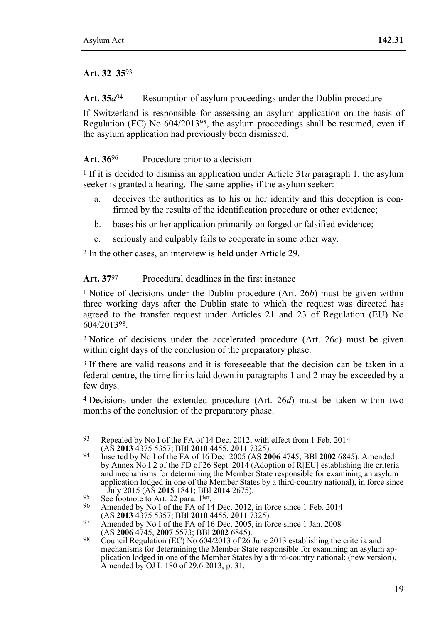### **Art. 32**–**35**93

Art.  $35a^{94}$  Resumption of asylum proceedings under the Dublin procedure

If Switzerland is responsible for assessing an asylum application on the basis of Regulation (EC) No  $604/2013^{95}$ , the asylum proceedings shall be resumed, even if the asylum application had previously been dismissed.

## Art. 36<sup>96</sup> Procedure prior to a decision

1 If it is decided to dismiss an application under Article 31*a* paragraph 1, the asylum seeker is granted a hearing. The same applies if the asylum seeker:

- a. deceives the authorities as to his or her identity and this deception is confirmed by the results of the identification procedure or other evidence;
- b. bases his or her application primarily on forged or falsified evidence;
- c. seriously and culpably fails to cooperate in some other way.

2 In the other cases, an interview is held under Article 29.

**Art. 37**97 Procedural deadlines in the first instance

1 Notice of decisions under the Dublin procedure (Art. 26*b*) must be given within three working days after the Dublin state to which the request was directed has agreed to the transfer request under Articles 21 and 23 of Regulation (EU) No 604/201398.

2 Notice of decisions under the accelerated procedure (Art. 26*c*) must be given within eight days of the conclusion of the preparatory phase.

<sup>3</sup> If there are valid reasons and it is foreseeable that the decision can be taken in a federal centre, the time limits laid down in paragraphs 1 and 2 may be exceeded by a few days.

4 Decisions under the extended procedure (Art. 26*d*) must be taken within two months of the conclusion of the preparatory phase.

<sup>93</sup> Repealed by No I of the FA of 14 Dec. 2012, with effect from 1 Feb. 2014 (AS 2013 4375 5357: BBI 2010 4455 2011 7325).

<sup>(</sup>AS **2013** 4375 5357; BBl **2010** 4455, **2011** 7325). 94 Inserted by No I of the FA of 16 Dec. 2005 (AS **2006** 4745; BBl **2002** 6845). Amended by Annex No I 2 of the FD of 26 Sept. 2014 (Adoption of R[EU] establishing the criteria and mechanisms for determining the Member State responsible for examining an asylum application lodged in one of the Member States by a third-country national), in force since 1 July 2015 (AS  $2015$  1841; BBI 2014 2675).

<sup>1</sup> See footnote to Art. 22 para. 1ter.<br>
<sup>96</sup> Amended by No I of the FA of 14 Dec. 2012, in force since 1 Feb. 2014<br>
(AS **2013** 4375 5357; BBl **2010** 4455, **2011** 7325).

<sup>97</sup> Amended by No I of the FA of 16 Dec. 2005, in force since 1 Jan. 2008<br>(AS **2006** 4745, **2007** 5573; BBI **2002** 6845).

<sup>(</sup>AS 2006 4745, 2007 5573; BBI 2002 6845).<br>Council Regulation (EC) No  $604/2013$  of 26 June 2013 establishing the criteria and<br>mechanisms for determining the Member State responsible for examining an asylum application lodged in one of the Member States by a third-country national; (new version), Amended by OJ L 180 of 29.6.2013, p. 31.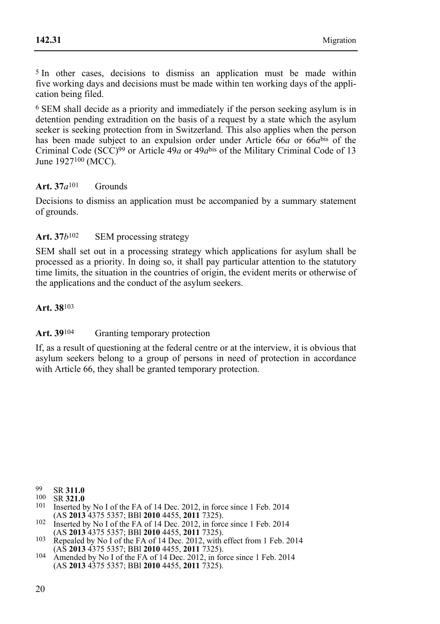5 In other cases, decisions to dismiss an application must be made within five working days and decisions must be made within ten working days of the application being filed.

6 SEM shall decide as a priority and immediately if the person seeking asylum is in detention pending extradition on the basis of a request by a state which the asylum seeker is seeking protection from in Switzerland. This also applies when the person has been made subject to an expulsion order under Article 66*a* or 66*a*bis of the Criminal Code (SCC)99 or Article 49*a* or 49*a*bis of the Military Criminal Code of 13 June 1927100 (MCC).

### **Art. 37***a*101 Grounds

Decisions to dismiss an application must be accompanied by a summary statement of grounds.

### **Art. 37***b*102 SEM processing strategy

SEM shall set out in a processing strategy which applications for asylum shall be processed as a priority. In doing so, it shall pay particular attention to the statutory time limits, the situation in the countries of origin, the evident merits or otherwise of the applications and the conduct of the asylum seekers.

#### **Art. 38**103

### Art. 39<sup>104</sup> Granting temporary protection

If, as a result of questioning at the federal centre or at the interview, it is obvious that asylum seekers belong to a group of persons in need of protection in accordance with Article 66, they shall be granted temporary protection.

 $00$ 

- 99 SR **311.0**<br><sup>100</sup> SR **321.0**<br><sup>101</sup> Inserted by No I of the FA of 14 Dec. 2012, in force since 1 Feb. 2014
- (AS **2013** 4375 5357; BBI **2010** 4455, **2011** 7325).<br>
102 Inserted by No I of the FA of 14 Dec. 2012, in force since 1 Feb. 2014<br>
(AS **2013** 4375 5357; BBI **2010** 4455, **2011** 7325).
- (AS **2013** 4375 5357; BBl **2010** 4455, **2011** 7325). 103 Repealed by No I of the FA of 14 Dec. 2012, with effect from 1 Feb. 2014
- (AS **2013** 4375 5357; BBl **2010** 4455, **2011** 7325). 104 Amended by No I of the FA of 14 Dec. 2012, in force since 1 Feb. 2014 (AS **2013** 4375 5357; BBl **2010** 4455, **2011** 7325).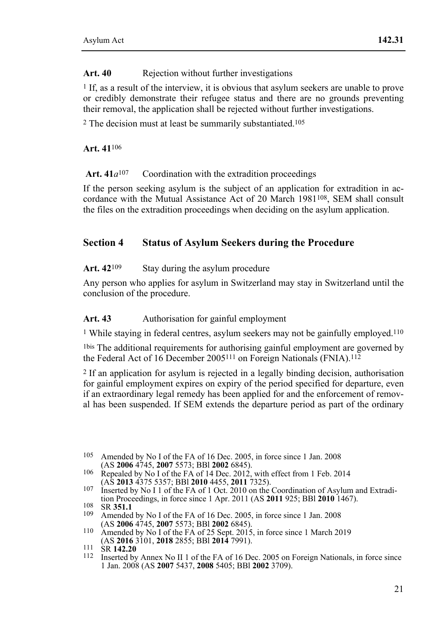#### Art. 40 Rejection without further investigations

1 If, as a result of the interview, it is obvious that asylum seekers are unable to prove or credibly demonstrate their refugee status and there are no grounds preventing their removal, the application shall be rejected without further investigations.

2 The decision must at least be summarily substantiated.105

**Art. 41**106

Art.  $41a^{107}$  Coordination with the extradition proceedings

If the person seeking asylum is the subject of an application for extradition in accordance with the Mutual Assistance Act of 20 March 1981108, SEM shall consult the files on the extradition proceedings when deciding on the asylum application.

## **Section 4 Status of Asylum Seekers during the Procedure**

Art. 42<sup>109</sup> Stay during the asylum procedure

Any person who applies for asylum in Switzerland may stay in Switzerland until the conclusion of the procedure.

### Art. 43 Authorisation for gainful employment

<sup>1</sup> While staying in federal centres, asylum seekers may not be gainfully employed.<sup>110</sup>

1bis The additional requirements for authorising gainful employment are governed by the Federal Act of 16 December 2005<sup>111</sup> on Foreign Nationals (FNIA).<sup>112</sup>

2 If an application for asylum is rejected in a legally binding decision, authorisation for gainful employment expires on expiry of the period specified for departure, even if an extraordinary legal remedy has been applied for and the enforcement of removal has been suspended. If SEM extends the departure period as part of the ordinary

- 106 Repealed by No I of the FA of 14 Dec. 2012, with effect from 1 Feb. 2014 (AS **2013** 4375 5357; BBI **2010** 4455, **2011** 7325).
- 107 Inserted by No I 1 of the FA of 1 Oct. 2010 on the Coordination of Asylum and Extradition Proceedings, in force since 1 Apr. 2011 (AS 2011 925; BBI 2010 1467).

<sup>105</sup> Amended by No I of the FA of 16 Dec. 2005, in force since 1 Jan. 2008<br>(AS 2006 4745, 2007 5573; BBI 2002 6845).

tion Proceedings, in the FA of 16 Dec. 2005, in force since 1 Jan. 2008<br>AS **2006** 4745, **2007** 5573; BBI **2002** 6845).

<sup>110</sup> Amended by No I of the FA of 25 Sept. 2015, in force since 1 March 2019<br>(AS **2016** 3101, **2018** 2855; BBI **2014** 7991).

<sup>(</sup>AS **2016** 311 SR **142.20**<br><sup>112</sup> Inserted by Annex No II 1 of the FA of 16 Dec. 2005 on Foreign Nationals, in force since 1 Jan. 2008 (AS **2007** 5437, **2008** 5405; BBl **2002** 3709).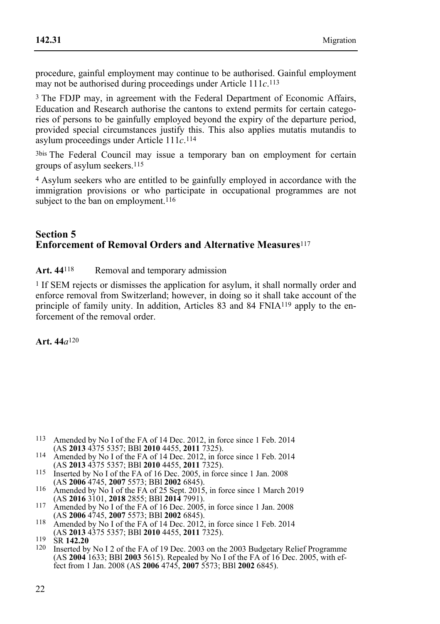procedure, gainful employment may continue to be authorised. Gainful employment may not be authorised during proceedings under Article 111*c*.113

3 The FDJP may, in agreement with the Federal Department of Economic Affairs, Education and Research authorise the cantons to extend permits for certain categories of persons to be gainfully employed beyond the expiry of the departure period, provided special circumstances justify this. This also applies mutatis mutandis to asylum proceedings under Article 111*c*.114

3bis The Federal Council may issue a temporary ban on employment for certain groups of asylum seekers.115

4 Asylum seekers who are entitled to be gainfully employed in accordance with the immigration provisions or who participate in occupational programmes are not subject to the ban on employment.<sup>116</sup>

### **Section 5 Enforcement of Removal Orders and Alternative Measures**<sup>117</sup>

#### Art. 44<sup>118</sup> Removal and temporary admission

<sup>1</sup> If SEM rejects or dismisses the application for asylum, it shall normally order and enforce removal from Switzerland; however, in doing so it shall take account of the principle of family unity. In addition, Articles 83 and 84 FNIA119 apply to the enforcement of the removal order.

**Art. 44***a*120

- <sup>113</sup> Amended by No I of the FA of 14 Dec. 2012, in force since 1 Feb. 2014 (AS **2013** 4375 5357: BBI **2010** 4455, **2011** 7325).
- 114 Amended by No I of the FA of 14 Dec. 2012, in force since 1 Feb. 2014<br>(AS **2013** 4375 5357: BBI **2010** 4455, **2011** 7325).
- 115 Inserted by No I of the FA of 16 Dec. 2005, in force since 1 Jan. 2008<br>(AS **2006** 4745, **2007** 5573; BBI **2002** 6845).
- (AS **2006** 4745, **2007** 5573; BBl **2002** 6845). 116 Amended by No I of the FA of 25 Sept. 2015, in force since 1 March 2019
- (AS **2016** 3101, **2018** 2855; BBl **2014** 7991). 117 Amended by No I of the FA of 16 Dec. 2005, in force since 1 Jan. 2008 117 Amended by No I of the FA of 16 Dec. 2005, in force since 1 Jan. 2008<br>(AS **2006** 4745, **2007** 5573; BBI **2002** 6845).<br>118 Amended by No I of the FA of 14 Dec. 2012, in force since 1 Feb. 2014<br>(AS **2013** 4375 5357; BBI
- 

(AS **2013** 4375 5357; BBl **2010** 4455, **2011** 7325). 119 SR **142.20** 120 Inserted by No I 2 of the FA of 19 Dec. 2003 on the 2003 Budgetary Relief Programme (AS **2004** 1633; BBl **2003** 5615). Repealed by No I of the FA of 16 Dec. 2005, with effect from 1 Jan. 2008 (AS **2006** 4745, **2007** 5573; BBl **2002** 6845).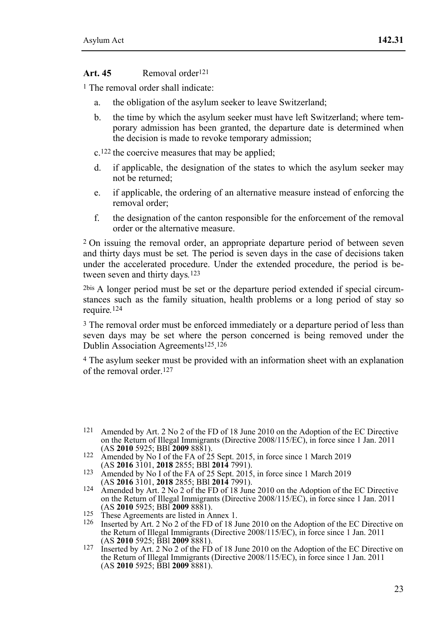#### **Art. 45** Removal order121

1 The removal order shall indicate:

- a. the obligation of the asylum seeker to leave Switzerland;
- b. the time by which the asylum seeker must have left Switzerland; where temporary admission has been granted, the departure date is determined when the decision is made to revoke temporary admission;

c.122 the coercive measures that may be applied;

- d. if applicable, the designation of the states to which the asylum seeker may not be returned;
- e. if applicable, the ordering of an alternative measure instead of enforcing the removal order;
- f. the designation of the canton responsible for the enforcement of the removal order or the alternative measure.

2 On issuing the removal order, an appropriate departure period of between seven and thirty days must be set*.* The period is seven days in the case of decisions taken under the accelerated procedure. Under the extended procedure, the period is between seven and thirty days*.*123

2bis A longer period must be set or the departure period extended if special circumstances such as the family situation, health problems or a long period of stay so require*.*124

3 The removal order must be enforced immediately or a departure period of less than seven days may be set where the person concerned is being removed under the Dublin Association Agreements125.126

4 The asylum seeker must be provided with an information sheet with an explanation of the removal order.<sup>127</sup>

- (AS **2010** 5925; BBl **2009** 8881). 122 Amended by No I of the FA of 25 Sept. 2015, in force since 1 March 2019
- (AS **2016** 3101, **2018** 2855; BBl **2014** 7991). 123 Amended by No I of the FA of 25 Sept. 2015, in force since 1 March 2019
- (AS 2016 3101, 2018 2855; BBI 2014 7991).<br>
Amended by Art. 2 No 2 of the FD of 18 June 2010 on the Adoption of the EC Directive<br>
on the Return of Illegal Immigrants (Directive 2008/115/EC), in force since 1 Jan. 2011 (AS **2010** 5925; BBl **2009** 8881). 125 These Agreements are listed in Annex 1. 126 Inserted by Art. 2 No 2 of the FD of 18 June 2010 on the Adoption of the EC Directive on
- 
- the Return of Illegal Immigrants (Directive 2008/115/EC), in force since 1 Jan. 2011 (AS 2010 5925; BBI 2009 8881).
- (AS **2010** 5925; BBl **2009** 8881). 127 Inserted by Art. 2 No 2 of the FD of 18 June 2010 on the Adoption of the EC Directive on the Return of Illegal Immigrants (Directive 2008/115/EC), in force since 1 Jan. 2011 (AS **2010** 5925; BBl **2009** 8881).

<sup>121</sup> Amended by Art. 2 No 2 of the FD of 18 June 2010 on the Adoption of the EC Directive on the Return of Illegal Immigrants (Directive 2008/115/EC), in force since 1 Jan. 2011<br>(AS 2010 5925: BBI 2009 8881).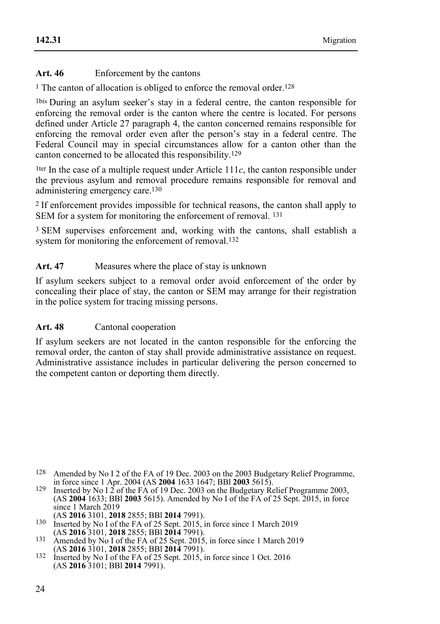### Art. 46 Enforcement by the cantons

<sup>1</sup> The canton of allocation is obliged to enforce the removal order.<sup>128</sup>

1bis During an asylum seeker's stay in a federal centre, the canton responsible for enforcing the removal order is the canton where the centre is located. For persons defined under Article 27 paragraph 4, the canton concerned remains responsible for enforcing the removal order even after the person's stay in a federal centre. The Federal Council may in special circumstances allow for a canton other than the canton concerned to be allocated this responsibility.129

<sup>1ter</sup> In the case of a multiple request under Article  $111c$ , the canton responsible under the previous asylum and removal procedure remains responsible for removal and administering emergency care.130

2 If enforcement provides impossible for technical reasons, the canton shall apply to SEM for a system for monitoring the enforcement of removal. <sup>131</sup>

3 SEM supervises enforcement and, working with the cantons, shall establish a system for monitoring the enforcement of removal.<sup>132</sup>

#### Art. 47 Measures where the place of stay is unknown

If asylum seekers subject to a removal order avoid enforcement of the order by concealing their place of stay, the canton or SEM may arrange for their registration in the police system for tracing missing persons.

#### **Art. 48** Cantonal cooperation

If asylum seekers are not located in the canton responsible for the enforcing the removal order, the canton of stay shall provide administrative assistance on request. Administrative assistance includes in particular delivering the person concerned to the competent canton or deporting them directly.

 128 Amended by No I 2 of the FA of 19 Dec. 2003 on the 2003 Budgetary Relief Programme, in force since 1 Apr. 2004 (AS **2004** 1633 1647; BBl **2003** 5615). 129 Inserted by No I 2 of the FA of 19 Dec. 2003 on the Budgetary Relief Programme 2003,

<sup>(</sup>AS **2004** 1633; BBl **2003** 5615). Amended by No I of the FA of 25 Sept. 2015, in force since 1 March 2019<br>(AS 2016 3101, 2018 2855; BBI 2014 7991).

<sup>130</sup> Inserted by No I of the FA of 25 Sept. 2015, in force since 1 March 2019<br>(AS **2016** 3101, **2018** 2855; BBI **2014** 7991). (AS **2016** 3101, **2018** 2855; BBl **2014** 7991). 131 Amended by No I of the FA of 25 Sept. 2015, in force since 1 March 2019

<sup>(</sup>AS **2016** 3101, **2018** 2855; BBl **2014** 7991). 132 Inserted by No I of the FA of 25 Sept. 2015, in force since 1 Oct. 2016

<sup>(</sup>AS **2016** 3101; BBl **2014** 7991).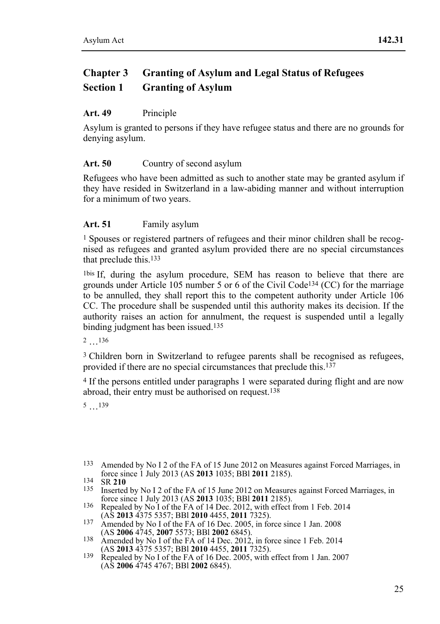# **Chapter 3 Granting of Asylum and Legal Status of Refugees Section 1 Granting of Asylum**

### **Art. 49** Principle

Asylum is granted to persons if they have refugee status and there are no grounds for denying asylum.

### Art. 50 Country of second asylum

Refugees who have been admitted as such to another state may be granted asylum if they have resided in Switzerland in a law-abiding manner and without interruption for a minimum of two years.

### **Art. 51** Family asylum

1 Spouses or registered partners of refugees and their minor children shall be recognised as refugees and granted asylum provided there are no special circumstances that preclude this.133

1bis If, during the asylum procedure, SEM has reason to believe that there are grounds under Article 105 number 5 or 6 of the Civil Code134 (CC) for the marriage to be annulled, they shall report this to the competent authority under Article 106 CC. The procedure shall be suspended until this authority makes its decision. If the authority raises an action for annulment, the request is suspended until a legally binding judgment has been issued.135

2 …136

3 Children born in Switzerland to refugee parents shall be recognised as refugees, provided if there are no special circumstances that preclude this.137

4 If the persons entitled under paragraphs 1 were separated during flight and are now abroad, their entry must be authorised on request.138

5 …139

<sup>&</sup>lt;sup>133</sup> Amended by No I 2 of the FA of 15 June 2012 on Measures against Forced Marriages, in force since 1 July 2013 (AS **2013** 1035; BBI **2011** 2185).

force since 1 July 2013 (AS **2013** 1035; BBI **2011** 2185).<br>
135 Inserted by No I 2 of the FA of 15 June 2012 on Measures against Forced Marriages, in<br>
force since 1 July 2013 (AS **2013** 1035; BBI **2011** 2185).

<sup>136</sup> Repealed by No I of the FA of 14 Dec. 2012, with effect from 1 Feb. 2014 (AS **2013** 4375 5357; BBI **2010** 4455, **2011** 7325).

<sup>137</sup> Amended by No I of the FA of 16 Dec. 2005, in force since 1 Jan. 2008<br>(AS **2006** 4745, **2007** 5573; BBI **2002** 6845).

<sup>138</sup> Amended by No I of the FA of 14 Dec. 2012, in force since 1 Feb. 2014<br>(AS **2013** 4375 5357; BBl **2010** 4455, **2011** 7325).

<sup>&</sup>lt;sup>139</sup> Repealed by No I of the FA of 16 Dec. 2005, with effect from 1 Jan. 2007 (AS **2006** 4745 4767; BBl **2002** 6845).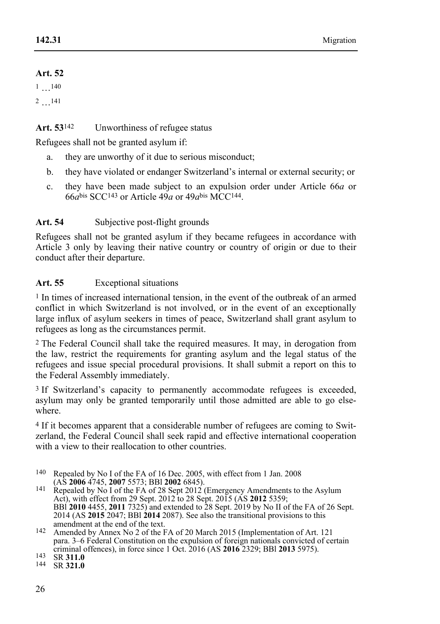### **Art. 52**

1 …140

2 …141

### Art. 53<sup>142</sup> Unworthiness of refugee status

Refugees shall not be granted asylum if:

- a. they are unworthy of it due to serious misconduct;
- b. they have violated or endanger Switzerland's internal or external security; or
- c. they have been made subject to an expulsion order under Article 66*a* or  $66a$ bis SCC<sup>143</sup> or Article  $49a$  or  $49a$ <sup>bis</sup> MCC<sup>144</sup>.

## Art. 54 Subjective post-flight grounds

Refugees shall not be granted asylum if they became refugees in accordance with Article 3 only by leaving their native country or country of origin or due to their conduct after their departure.

### **Art. 55** Exceptional situations

1 In times of increased international tension, in the event of the outbreak of an armed conflict in which Switzerland is not involved, or in the event of an exceptionally large influx of asylum seekers in times of peace, Switzerland shall grant asylum to refugees as long as the circumstances permit.

2 The Federal Council shall take the required measures. It may, in derogation from the law, restrict the requirements for granting asylum and the legal status of the refugees and issue special procedural provisions. It shall submit a report on this to the Federal Assembly immediately.

<sup>3</sup> If Switzerland's capacity to permanently accommodate refugees is exceeded, asylum may only be granted temporarily until those admitted are able to go elsewhere.

4 If it becomes apparent that a considerable number of refugees are coming to Switzerland, the Federal Council shall seek rapid and effective international cooperation with a view to their reallocation to other countries.

140 Repealed by No I of the FA of 16 Dec. 2005, with effect from 1 Jan. 2008

(AS **2006** 4745, **2007** 5573; BBl **2002** 6845). 141 Repealed by No I of the FA of 28 Sept 2012 (Emergency Amendments to the Asylum Act), with effect from 29 Sept. 2012 to 28 Sept. 2015 (AS **2012** 5359; BBl **2010** 4455, **2011** 7325) and extended to 28 Sept. 2019 by No II of the FA of 26 Sept. 2014 (AS **2015** 2047; BBI **2014** 2087). See also the transitional provisions to this amendment at the end of the text.

<sup>142</sup> Amended by Annex No 2 of the FA of 20 March 2015 (Implementation of Art. 121 para. 3–6 Federal Constitution on the expulsion of foreign nationals convicted of certain criminal offences), in force since 1 Oct. 2016 (AS **2016** 2329; BBl **2013** 5975). 143 SR **311.0** 144 SR **321.0**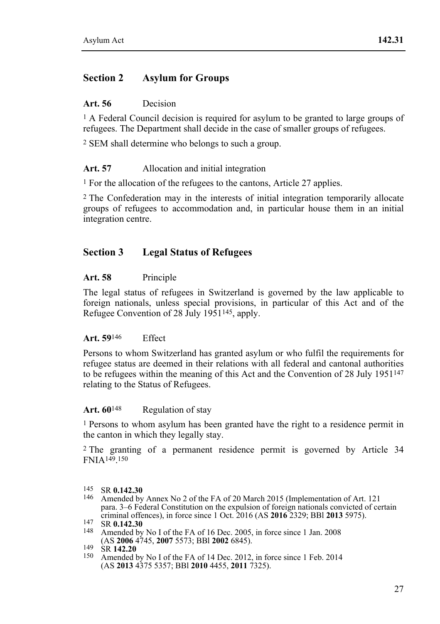## **Section 2 Asylum for Groups**

#### **Art. 56** Decision

 $<sup>1</sup>$  A Federal Council decision is required for asylum to be granted to large groups of</sup> refugees. The Department shall decide in the case of smaller groups of refugees.

2 SEM shall determine who belongs to such a group.

#### Art. 57 Allocation and initial integration

1 For the allocation of the refugees to the cantons, Article 27 applies.

2 The Confederation may in the interests of initial integration temporarily allocate groups of refugees to accommodation and, in particular house them in an initial integration centre.

### **Section 3 Legal Status of Refugees**

#### **Art. 58** Principle

The legal status of refugees in Switzerland is governed by the law applicable to foreign nationals, unless special provisions, in particular of this Act and of the Refugee Convention of 28 July 1951145, apply.

#### **Art. 59**146 Effect

Persons to whom Switzerland has granted asylum or who fulfil the requirements for refugee status are deemed in their relations with all federal and cantonal authorities to be refugees within the meaning of this Act and the Convention of 28 July 1951147 relating to the Status of Refugees.

#### Art. 60<sup>148</sup> Regulation of stay

1 Persons to whom asylum has been granted have the right to a residence permit in the canton in which they legally stay.

2 The granting of a permanent residence permit is governed by Article 34 FNIA149.150

<sup>&</sup>lt;sup>145</sup> SR **0.142.30**<br><sup>146</sup> Amended by Annex No 2 of the FA of 20 March 2015 (Implementation of Art. 121 para. 3–6 Federal Constitution on the expulsion of foreign nationals convicted of certain criminal offences), in force since 1 Oct. 2016 (AS 2016 2329; BBI 2013 5975).

**EXECUTE:** 147 SR **0.142.30**<br>148 Amended by No I of the FA of 16 Dec. 2005, in force since 1 Jan. 2008<br>(AS **2006** 4745, **2007** 5573; BBI **2002** 6845).

<sup>&</sup>lt;sup>2149</sup> SR **142.20 2008 686** 142.20<br><sup>150</sup> Amended by No I of the FA of 14 Dec. 2012, in force since 1 Feb. 2014 (AS **2013** 4375 5357; BBl **2010** 4455, **2011** 7325).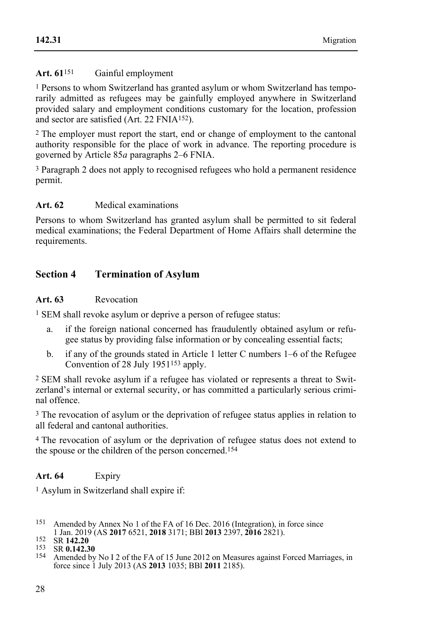### Art. 61<sup>151</sup> Gainful employment

1 Persons to whom Switzerland has granted asylum or whom Switzerland has temporarily admitted as refugees may be gainfully employed anywhere in Switzerland provided salary and employment conditions customary for the location, profession and sector are satisfied (Art. 22 FNIA152).

2 The employer must report the start, end or change of employment to the cantonal authority responsible for the place of work in advance. The reporting procedure is governed by Article 85*a* paragraphs 2–6 FNIA.

3 Paragraph 2 does not apply to recognised refugees who hold a permanent residence permit.

### **Art. 62** Medical examinations

Persons to whom Switzerland has granted asylum shall be permitted to sit federal medical examinations; the Federal Department of Home Affairs shall determine the requirements.

## **Section 4 Termination of Asylum**

#### **Art. 63** Revocation

1 SEM shall revoke asylum or deprive a person of refugee status:

- a. if the foreign national concerned has fraudulently obtained asylum or refugee status by providing false information or by concealing essential facts;
- b. if any of the grounds stated in Article 1 letter C numbers 1–6 of the Refugee Convention of 28 July 1951153 apply.

2 SEM shall revoke asylum if a refugee has violated or represents a threat to Switzerland's internal or external security, or has committed a particularly serious criminal offence.

3 The revocation of asylum or the deprivation of refugee status applies in relation to all federal and cantonal authorities.

4 The revocation of asylum or the deprivation of refugee status does not extend to the spouse or the children of the person concerned.154

### **Art. 64** Expiry

1 Asylum in Switzerland shall expire if:

151 Amended by Annex No 1 of the FA of 16 Dec. 2016 (Integration), in force since 1 Jan. 2019 (AS 2017 6521, 2018 3171; BBI 2013 2397, 2016 2821).

152 SR 142.20<br>
153 SR 0.142.30<br>
154 Amended by No I 2 of the FA of 15 June 2012 on Measures against Forced Marriages in force since 1 July 2013 (AS **2013** 1035; BBl **2011** 2185).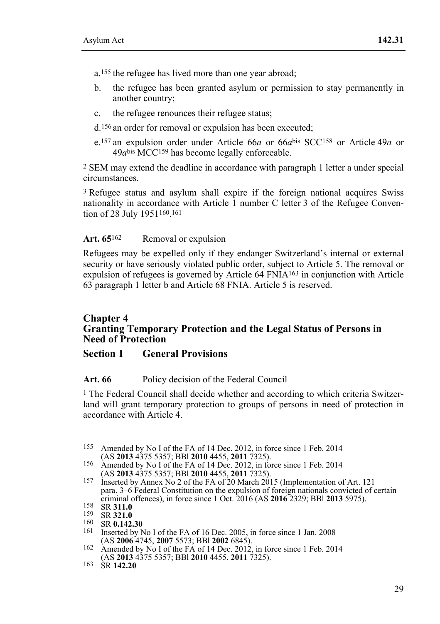a.155 the refugee has lived more than one year abroad;

- b. the refugee has been granted asylum or permission to stay permanently in another country;
- c. the refugee renounces their refugee status;

d.156 an order for removal or expulsion has been executed;

e.157 an expulsion order under Article 66*a* or 66*a*bis SCC158 or Article 49*a* or 49*a*bis MCC159 has become legally enforceable.

2 SEM may extend the deadline in accordance with paragraph 1 letter a under special circumstances.

3 Refugee status and asylum shall expire if the foreign national acquires Swiss nationality in accordance with Article  $\hat{1}$  number C letter 3 of the Refugee Convention of 28 July 1951160.161

#### Art. 65<sup>162</sup> Removal or expulsion

Refugees may be expelled only if they endanger Switzerland's internal or external security or have seriously violated public order, subject to Article 5. The removal or expulsion of refugees is governed by Article 64 FNIA163 in conjunction with Article 63 paragraph 1 letter b and Article 68 FNIA. Article 5 is reserved.

### **Chapter 4 Granting Temporary Protection and the Legal Status of Persons in Need of Protection**

#### **Section 1 General Provisions**

#### **Art. 66** Policy decision of the Federal Council

<sup>1</sup> The Federal Council shall decide whether and according to which criteria Switzerland will grant temporary protection to groups of persons in need of protection in accordance with Article 4.

- <sup>155</sup> Amended by No I of the FA of 14 Dec. 2012, in force since 1 Feb. 2014 (AS **2013** 4375 5357; BBI **2010** 4455, **2011** 7325).
- <sup>156</sup> Amended by No I of the FA of 14 Dec. 2012, in force since 1 Feb. 2014 (AS **2013** 4375 5357; BBI **2010** 4455, **2011** 7325).
- <sup>157</sup> Inserted by Annex No 2 of the FA of 20 March 2015 (Implementation of Art. 121 para. 3–6 Federal Constitution on the expulsion of foreign nationals convicted of certain criminal offences), in force since 1 Oct. 2016 (AS 2016 2329; BBI 2013 5975).

<sup>158</sup> SR 311.0<br>159 SR 321.0<br>160 SR 0.142.30<br>161 Inserted by No I of the FA of 16 Dec. 2005, in force since 1 Jan. 2008<br>(AS 2006 4745, 2007 5573; BBI 2002 6845).

<sup>(</sup>AS **2006** 4745, **2007** 5573; BBl **2002** 6845). 162 Amended by No I of the FA of 14 Dec. 2012, in force since 1 Feb. 2014 (AS **2013** 4375 5357; BBl **2010** 4455, **2011** 7325). 163 SR **142.20**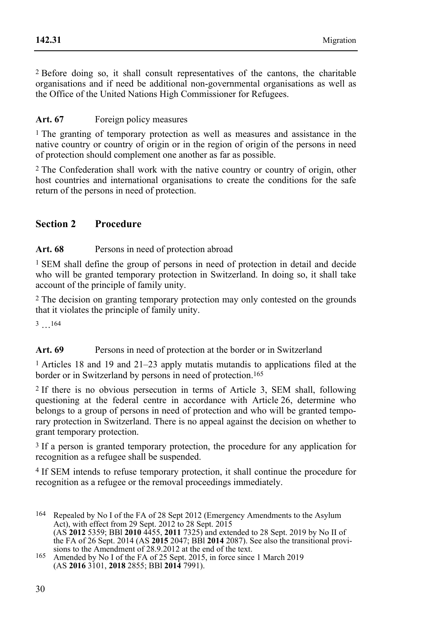2 Before doing so, it shall consult representatives of the cantons, the charitable organisations and if need be additional non-governmental organisations as well as the Office of the United Nations High Commissioner for Refugees.

## Art. 67 Foreign policy measures

1 The granting of temporary protection as well as measures and assistance in the native country or country of origin or in the region of origin of the persons in need of protection should complement one another as far as possible.

2 The Confederation shall work with the native country or country of origin, other host countries and international organisations to create the conditions for the safe return of the persons in need of protection.

## **Section 2 Procedure**

### Art. 68 Persons in need of protection abroad

1 SEM shall define the group of persons in need of protection in detail and decide who will be granted temporary protection in Switzerland. In doing so, it shall take account of the principle of family unity.

2 The decision on granting temporary protection may only contested on the grounds that it violates the principle of family unity.

3 …164

## Art. 69 Persons in need of protection at the border or in Switzerland

1 Articles 18 and 19 and 21–23 apply mutatis mutandis to applications filed at the border or in Switzerland by persons in need of protection.165

2 If there is no obvious persecution in terms of Article 3, SEM shall, following questioning at the federal centre in accordance with Article 26, determine who belongs to a group of persons in need of protection and who will be granted temporary protection in Switzerland. There is no appeal against the decision on whether to grant temporary protection.

3 If a person is granted temporary protection, the procedure for any application for recognition as a refugee shall be suspended.

4 If SEM intends to refuse temporary protection, it shall continue the procedure for recognition as a refugee or the removal proceedings immediately.

 164 Repealed by No I of the FA of 28 Sept 2012 (Emergency Amendments to the Asylum Act), with effect from 29 Sept. 2012 to 28 Sept. 2015 (AS **2012** 5359; BBl **2010** 4455, **2011** 7325) and extended to 28 Sept. 2019 by No II of the FA of 26 Sept. 2014 (AS **2015** 2047; BBl **2014** 2087). See also the transitional provisions to the Amendment of 28.9.2012 at the end of the text.<br><sup>165</sup> Amended by No I of the FA of 25 Sept. 2015, in force since 1 March 2019

<sup>(</sup>AS **2016** 3101, **2018** 2855; BBl **2014** 7991).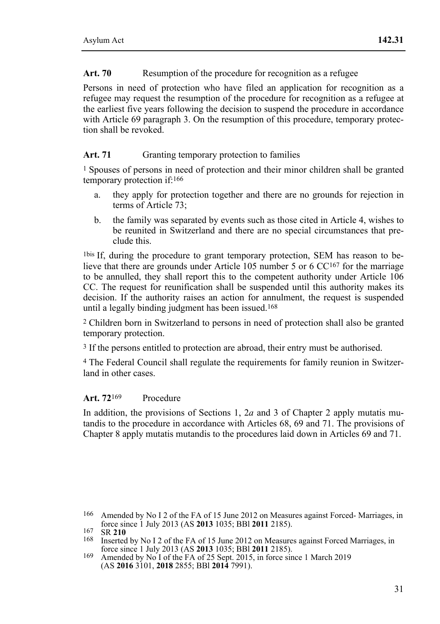#### Art. 70 Resumption of the procedure for recognition as a refugee

Persons in need of protection who have filed an application for recognition as a refugee may request the resumption of the procedure for recognition as a refugee at the earliest five years following the decision to suspend the procedure in accordance with Article 69 paragraph 3. On the resumption of this procedure, temporary protection shall be revoked.

#### Art. 71 Granting temporary protection to families

 $<sup>1</sup>$  Spouses of persons in need of protection and their minor children shall be granted</sup> temporary protection if:166

- a. they apply for protection together and there are no grounds for rejection in terms of Article 73;
- b. the family was separated by events such as those cited in Article 4, wishes to be reunited in Switzerland and there are no special circumstances that preclude this.

1bis If, during the procedure to grant temporary protection, SEM has reason to believe that there are grounds under Article 105 number 5 or 6 CC167 for the marriage to be annulled, they shall report this to the competent authority under Article 106 CC. The request for reunification shall be suspended until this authority makes its decision. If the authority raises an action for annulment, the request is suspended until a legally binding judgment has been issued.168

2 Children born in Switzerland to persons in need of protection shall also be granted temporary protection.

3 If the persons entitled to protection are abroad, their entry must be authorised.

4 The Federal Council shall regulate the requirements for family reunion in Switzerland in other cases.

#### **Art. 72**169 Procedure

In addition, the provisions of Sections 1, 2*a* and 3 of Chapter 2 apply mutatis mutandis to the procedure in accordance with Articles 68, 69 and 71. The provisions of Chapter 8 apply mutatis mutandis to the procedures laid down in Articles 69 and 71.

<sup>&</sup>lt;sup>166</sup> Amended by No I 2 of the FA of 15 June 2012 on Measures against Forced-Marriages, in force since 1 July 2013 (AS **2013** 1035; BBI **2011** 2185).

force since 1 July 2013 (AS **2013** 1035; BBI **2011** 2185).<br>
168 Inserted by No I 2 of the FA of 15 June 2012 on Measures against Forced Marriages, in<br>
force since 1 July 2013 (AS **2013** 1035; BBI **2011** 2185).

force since 1 July 2013 (AS **2013** 1035; BBl **2011** 2185). 169 Amended by No I of the FA of 25 Sept. 2015, in force since 1 March 2019 (AS **2016** 3101, **2018** 2855; BBl **2014** 7991).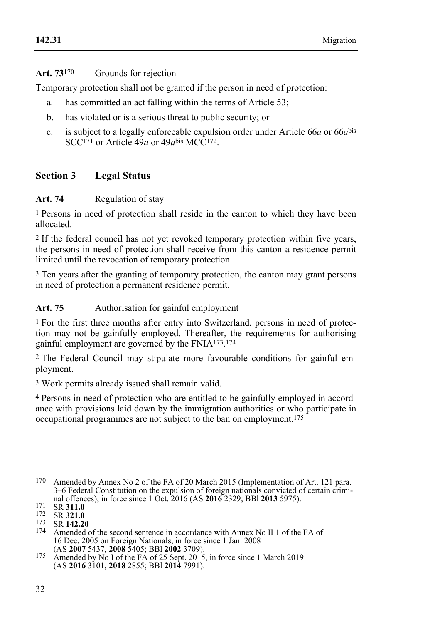## **Art. 73**170 Grounds for rejection

Temporary protection shall not be granted if the person in need of protection:

- a. has committed an act falling within the terms of Article 53;
- b. has violated or is a serious threat to public security; or
- c. is subject to a legally enforceable expulsion order under Article 66*a* or 66*a*bis SCC<sup>171</sup> or Article  $49a$  or  $49a$ <sup>bis</sup> MCC<sup>172</sup>.

## **Section 3 Legal Status**

#### Art. 74 Regulation of stay

1 Persons in need of protection shall reside in the canton to which they have been allocated.

<sup>2</sup> If the federal council has not yet revoked temporary protection within five years. the persons in need of protection shall receive from this canton a residence permit limited until the revocation of temporary protection.

3 Ten years after the granting of temporary protection, the canton may grant persons in need of protection a permanent residence permit.

Art. 75 Authorisation for gainful employment

1 For the first three months after entry into Switzerland, persons in need of protection may not be gainfully employed. Thereafter, the requirements for authorising gainful employment are governed by the FNIA173.174

2 The Federal Council may stipulate more favourable conditions for gainful employment.

3 Work permits already issued shall remain valid.

4 Persons in need of protection who are entitled to be gainfully employed in accordance with provisions laid down by the immigration authorities or who participate in occupational programmes are not subject to the ban on employment.175

<sup>170</sup> Amended by Annex No 2 of the FA of 20 March 2015 (Implementation of Art. 121 para. 3–6 Federal Constitution on the expulsion of foreign nationals convicted of certain crimi-<br>nal offences), in force since 1 Oct. 2016 (AS 2016 2329; BBI 2013 5975).

<sup>171</sup> SR 311.0<br>
172 SR 321.0<br>
173 SR 142.20<br>
174 Amended of the second sentence in accordance with Annex No II 1 of the FA of 16 Dec. 2005 on Foreign Nationals, in force since 1 Jan. 2008 (AS 2007 5437, 2008 5405; BBI 2002 3709).

<sup>(</sup>AS **2007** 5437, **2008** 5405; BBl **2002** 3709). 175 Amended by No I of the FA of 25 Sept. 2015, in force since 1 March 2019 (AS **2016** 3101, **2018** 2855; BBl **2014** 7991).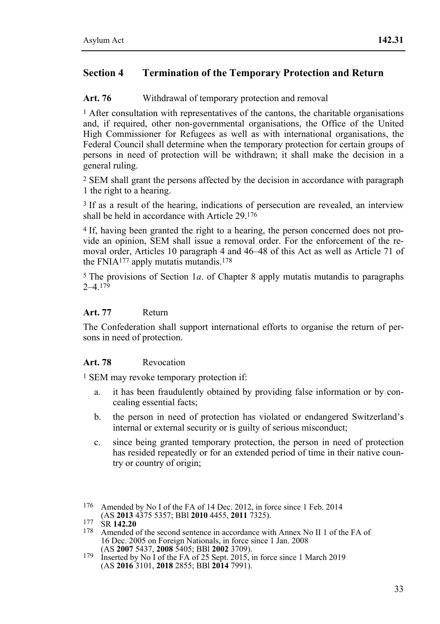## **Section 4 Termination of the Temporary Protection and Return**

#### Art. 76 Withdrawal of temporary protection and removal

<sup>1</sup> After consultation with representatives of the cantons, the charitable organisations and, if required, other non-governmental organisations, the Office of the United High Commissioner for Refugees as well as with international organisations, the Federal Council shall determine when the temporary protection for certain groups of persons in need of protection will be withdrawn; it shall make the decision in a general ruling.

2 SEM shall grant the persons affected by the decision in accordance with paragraph 1 the right to a hearing.

3 If as a result of the hearing, indications of persecution are revealed, an interview shall be held in accordance with Article 29.176

4 If, having been granted the right to a hearing, the person concerned does not provide an opinion, SEM shall issue a removal order. For the enforcement of the removal order, Articles 10 paragraph 4 and 46–48 of this Act as well as Article 71 of the FNIA<sup>177</sup> apply mutatis mutandis.<sup>178</sup>

5 The provisions of Section 1*a*. of Chapter 8 apply mutatis mutandis to paragraphs  $2-4.179$ 

### **Art. 77** Return

The Confederation shall support international efforts to organise the return of persons in need of protection.

#### **Art. 78** Revocation

1 SEM may revoke temporary protection if:

- a. it has been fraudulently obtained by providing false information or by concealing essential facts;
- b. the person in need of protection has violated or endangered Switzerland's internal or external security or is guilty of serious misconduct;
- c. since being granted temporary protection, the person in need of protection has resided repeatedly or for an extended period of time in their native country or country of origin;
- 176 Amended by No I of the FA of 14 Dec. 2012, in force since 1 Feb. 2014 (AS 2013 4375 5357; BBI 2010 4455, 2011 7325).

<sup>(</sup>AS **2013** 4375 5357; BBl **2010** 4455, **2011** 7325). 177 SR **142.20** 178 Amended of the second sentence in accordance with Annex No II 1 of the FA of 16 Dec. 2005 on Foreign Nationals, in force since 1 Jan. 2008 (AS 2007 5437, 2008 5405; BBI 2002 3709).

<sup>&</sup>lt;sup>179</sup> Inserted by No I of the FA of 25 Sept. 2015, in force since 1 March 2019 (AS **2016** 3101, **2018** 2855; BBl **2014** 7991).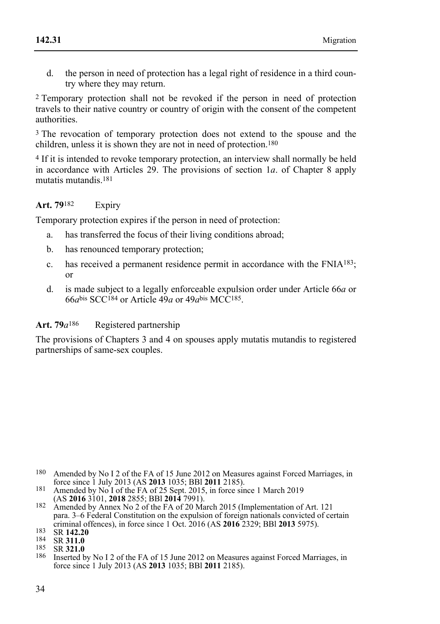d. the person in need of protection has a legal right of residence in a third country where they may return.

2 Temporary protection shall not be revoked if the person in need of protection travels to their native country or country of origin with the consent of the competent authorities.

3 The revocation of temporary protection does not extend to the spouse and the children, unless it is shown they are not in need of protection.180

4 If it is intended to revoke temporary protection, an interview shall normally be held in accordance with Articles 29. The provisions of section 1*a*. of Chapter 8 apply mutatis mutandis.181

### **Art. 79**182 Expiry

Temporary protection expires if the person in need of protection:

- a. has transferred the focus of their living conditions abroad;
- b. has renounced temporary protection;
- c. has received a permanent residence permit in accordance with the FNIA183; or
- d. is made subject to a legally enforceable expulsion order under Article 66*a* or  $66a^{bis}$  SCC<sup>184</sup> or Article  $49a$  or  $49a^{bis}$  MCC<sup>185</sup>.

#### Art. 79 $a^{186}$  Registered partnership

The provisions of Chapters 3 and 4 on spouses apply mutatis mutandis to registered partnerships of same-sex couples.

<sup>1.80</sup> Amended by No I 2 of the FA of 15 June 2012 on Measures against Forced Marriages, in force since 1 July 2013 (AS 2013 1035: BBI 2011 2185).

force since 1 sary 2013 (Amended by No I of the FA of 25 Sept. 2015, in force since 1 March 2019 (AS **2016** 3101, **2018** 2855; BBI **2014** 7991).

<sup>&</sup>lt;sup>182</sup> Amended by Annex No 2 of the FA of 20 March 2015 (Implementation of Art. 121 para. 3–6 Federal Constitution on the expulsion of foreign nationals convicted of certain criminal offences), in force since 1 Oct. 2016 (AS 2016 2329; BBI 2013 5975).

<sup>183</sup> SR 142.20<br>184 SR 311.0<br>185 SR 321.0<br>186 Inserted by No I 2 of the FA of 15 June 2012 on Measures against Forced Marriages in force since 1 July 2013 (AS **2013** 1035; BBl **2011** 2185).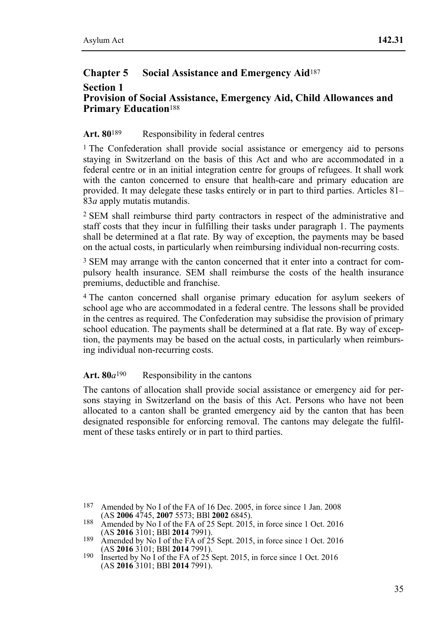## **Chapter 5 Social Assistance and Emergency Aid**<sup>187</sup>

#### **Section 1 Provision of Social Assistance, Emergency Aid, Child Allowances and Primary Education**<sup>188</sup>

### Art. 80<sup>189</sup> Responsibility in federal centres

1 The Confederation shall provide social assistance or emergency aid to persons staying in Switzerland on the basis of this Act and who are accommodated in a federal centre or in an initial integration centre for groups of refugees. It shall work with the canton concerned to ensure that health-care and primary education are provided. It may delegate these tasks entirely or in part to third parties. Articles 81– 83*a* apply mutatis mutandis.

2 SEM shall reimburse third party contractors in respect of the administrative and staff costs that they incur in fulfilling their tasks under paragraph 1. The payments shall be determined at a flat rate. By way of exception, the payments may be based on the actual costs, in particularly when reimbursing individual non-recurring costs.

3 SEM may arrange with the canton concerned that it enter into a contract for compulsory health insurance. SEM shall reimburse the costs of the health insurance premiums, deductible and franchise.

4 The canton concerned shall organise primary education for asylum seekers of school age who are accommodated in a federal centre. The lessons shall be provided in the centres as required. The Confederation may subsidise the provision of primary school education. The payments shall be determined at a flat rate. By way of exception, the payments may be based on the actual costs, in particularly when reimbursing individual non-recurring costs.

#### Art.  $80a^{190}$  Responsibility in the cantons

The cantons of allocation shall provide social assistance or emergency aid for persons staying in Switzerland on the basis of this Act. Persons who have not been allocated to a canton shall be granted emergency aid by the canton that has been designated responsible for enforcing removal. The cantons may delegate the fulfilment of these tasks entirely or in part to third parties.

<sup>187</sup> Amended by No I of the FA of 16 Dec. 2005, in force since 1 Jan. 2008 (AS 2006 4745, 2007 5573; BBI 2002 6845).

<sup>188</sup> Amended by No I of the FA of 25 Sept. 2015, in force since 1 Oct. 2016<br>(AS **2016** 3101: BBI **2014** 7991).

<sup>189</sup> Amended by No I of the FA of 25 Sept. 2015, in force since 1 Oct. 2016<br>(AS **2016** 3101; BBI **2014** 7991).

<sup>&</sup>lt;sup>190</sup> Inserted by No I of the FA of 25 Sept. 2015, in force since 1 Oct. 2016 (AS **2016** 3101; BBl **2014** 7991).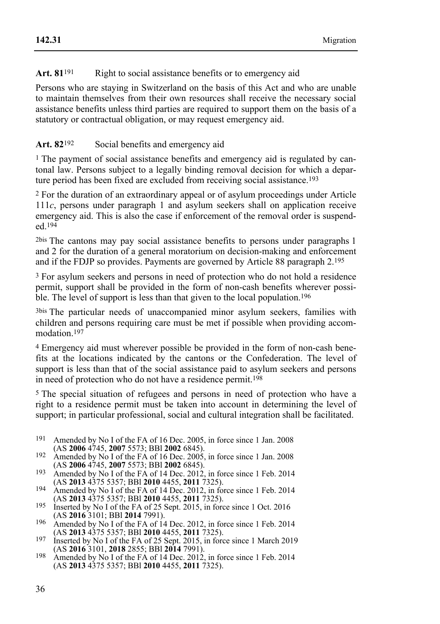### Art. 81<sup>191</sup> Right to social assistance benefits or to emergency aid

Persons who are staying in Switzerland on the basis of this Act and who are unable to maintain themselves from their own resources shall receive the necessary social assistance benefits unless third parties are required to support them on the basis of a statutory or contractual obligation, or may request emergency aid.

### Art. 82<sup>192</sup> Social benefits and emergency aid

<sup>1</sup> The payment of social assistance benefits and emergency aid is regulated by cantonal law. Persons subject to a legally binding removal decision for which a departure period has been fixed are excluded from receiving social assistance.193

2 For the duration of an extraordinary appeal or of asylum proceedings under Article 111*c*, persons under paragraph 1 and asylum seekers shall on application receive emergency aid. This is also the case if enforcement of the removal order is suspended.194

2bis The cantons may pay social assistance benefits to persons under paragraphs 1 and 2 for the duration of a general moratorium on decision-making and enforcement and if the FDJP so provides. Payments are governed by Article 88 paragraph 2.195

3 For asylum seekers and persons in need of protection who do not hold a residence permit, support shall be provided in the form of non-cash benefits wherever possible. The level of support is less than that given to the local population.<sup>196</sup>

3bis The particular needs of unaccompanied minor asylum seekers, families with children and persons requiring care must be met if possible when providing accommodation.<sup>197</sup>

4 Emergency aid must wherever possible be provided in the form of non-cash benefits at the locations indicated by the cantons or the Confederation. The level of support is less than that of the social assistance paid to asylum seekers and persons in need of protection who do not have a residence permit.198

5 The special situation of refugees and persons in need of protection who have a right to a residence permit must be taken into account in determining the level of support; in particular professional, social and cultural integration shall be facilitated.

- <sup>191</sup> Amended by No I of the FA of 16 Dec. 2005, in force since 1 Jan. 2008 (AS **2006** 4745, **2007** 5573; BBI **2002** 6845).
- 192 Amended by No I of the FA of 16 Dec. 2005, in force since 1 Jan. 2008<br>(AS **2006** 4745, **2007** 5573; BBI **2002** 6845).
- 193 Amended by No I of the FA of 14 Dec. 2012, in force since 1 Feb. 2014<br>(AS **2013** 4375 5357: BBl **2010** 4455, **2011** 7325).
- 194 Amended by No I of the FA of 14 Dec. 2012, in force since 1 Feb. 2014<br>(AS **2013** 4375 5357; BBI **2010** 4455, **2011** 7325).
- <sup>195</sup> Inserted by No I of the FA of 25 Sept. 2015, in force since 1 Oct. 2016<br>(AS **2016** 3101; BBl **2014** 7991).
- 196 Amended by No I of the FA of 14 Dec. 2012, in force since 1 Feb. 2014<br>(AS **2013** 4375 5357; BBI **2010** 4455, **2011** 7325).
- (AS **2013** 4375 5357; BBl **2010** 4455, **2011** 7325). 197 Inserted by No I of the FA of 25 Sept. 2015, in force since 1 March 2019 (AS **2016** 3101, **2018** 2855; BBl **2014** 7991). 198 Amended by No I of the FA of 14 Dec. 2012, in force since 1 Feb. 2014
- (AS **2013** 4375 5357; BBl **2010** 4455, **2011** 7325).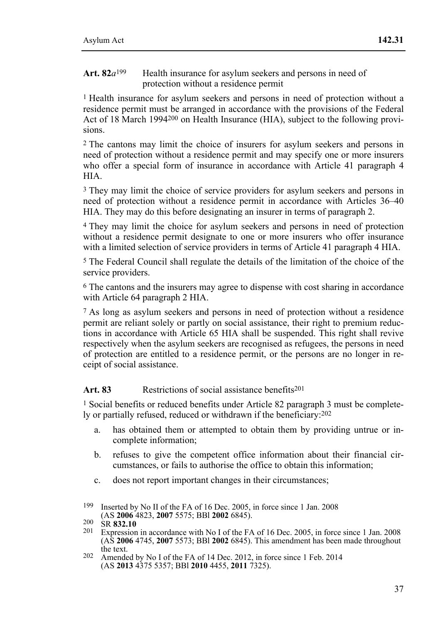Art. 82*a*<sup>199</sup> Health insurance for asylum seekers and persons in need of protection without a residence permit

1 Health insurance for asylum seekers and persons in need of protection without a residence permit must be arranged in accordance with the provisions of the Federal Act of 18 March 1994<sup>200</sup> on Health Insurance (HIA), subject to the following provisions.

2 The cantons may limit the choice of insurers for asylum seekers and persons in need of protection without a residence permit and may specify one or more insurers who offer a special form of insurance in accordance with Article 41 paragraph 4 HIA.

<sup>3</sup> They may limit the choice of service providers for asylum seekers and persons in need of protection without a residence permit in accordance with Articles 36–40 HIA. They may do this before designating an insurer in terms of paragraph 2.

4 They may limit the choice for asylum seekers and persons in need of protection without a residence permit designate to one or more insurers who offer insurance with a limited selection of service providers in terms of Article 41 paragraph 4 HIA.

5 The Federal Council shall regulate the details of the limitation of the choice of the service providers.

6 The cantons and the insurers may agree to dispense with cost sharing in accordance with Article 64 paragraph 2 HIA.

7 As long as asylum seekers and persons in need of protection without a residence permit are reliant solely or partly on social assistance, their right to premium reductions in accordance with Article 65 HIA shall be suspended. This right shall revive respectively when the asylum seekers are recognised as refugees, the persons in need of protection are entitled to a residence permit, or the persons are no longer in receipt of social assistance.

### Art. 83 Restrictions of social assistance benefits<sup>201</sup>

1 Social benefits or reduced benefits under Article 82 paragraph 3 must be completely or partially refused, reduced or withdrawn if the beneficiary:202

- a. has obtained them or attempted to obtain them by providing untrue or incomplete information;
- b. refuses to give the competent office information about their financial circumstances, or fails to authorise the office to obtain this information;
- c. does not report important changes in their circumstances;

 199 Inserted by No II of the FA of 16 Dec. 2005, in force since 1 Jan. 2008

<sup>(</sup>AS **2006** 4823, **2007** 5575; BBl **2002** 6845). 200 SR **832.10** 201 Expression in accordance with No I of the FA of 16 Dec. 2005, in force since 1 Jan. 2008 (AS **2006** 4745, **2007** 5573; BBl **2002** 6845). This amendment has been made throughout

 $202$  Amended by No I of the FA of 14 Dec. 2012, in force since 1 Feb. 2014 (AS **2013** 4375 5357; BBl **2010** 4455, **2011** 7325).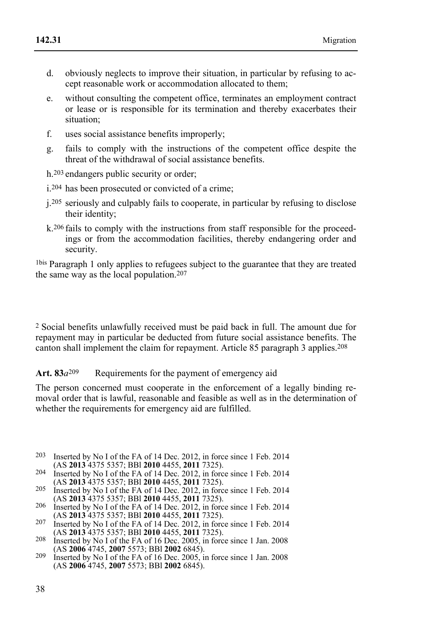- d. obviously neglects to improve their situation, in particular by refusing to accept reasonable work or accommodation allocated to them;
- e. without consulting the competent office, terminates an employment contract or lease or is responsible for its termination and thereby exacerbates their situation;
- f. uses social assistance benefits improperly;
- g. fails to comply with the instructions of the competent office despite the threat of the withdrawal of social assistance benefits.

h.203 endangers public security or order;

- i.204 has been prosecuted or convicted of a crime;
- j.205 seriously and culpably fails to cooperate, in particular by refusing to disclose their identity;
- k.206 fails to comply with the instructions from staff responsible for the proceedings or from the accommodation facilities, thereby endangering order and security.

1bis Paragraph 1 only applies to refugees subject to the guarantee that they are treated the same way as the local population.207

2 Social benefits unlawfully received must be paid back in full. The amount due for repayment may in particular be deducted from future social assistance benefits. The canton shall implement the claim for repayment. Article 85 paragraph 3 applies.208

Art. 83*a*<sup>209</sup> Requirements for the payment of emergency aid

The person concerned must cooperate in the enforcement of a legally binding removal order that is lawful, reasonable and feasible as well as in the determination of whether the requirements for emergency aid are fulfilled.

- 203 Inserted by No I of the FA of 14 Dec. 2012, in force since 1 Feb. 2014 (AS 2013 4375 5357: BBI 2010 4455, 2011 7325).
- (AS **2013** 4375 5357; BBl **2010** 4455, **2011** 7325). 204 Inserted by No I of the FA of 14 Dec. 2012, in force since 1 Feb. 2014
- 205 Inserted by No I of the FA of 14 Dec. 2012, in force since 1 Feb. 2014<br>(AS **2013** 4375 5357; BBl **2010** 4455, **2011** 7325).
- (AS **2013** 4375 5357; BBl **2010** 4455, **2011** 7325). 206 Inserted by No I of the FA of 14 Dec. 2012, in force since 1 Feb. 2014 (AS **2013** 4375 5357; BBl **2010** 4455, **2011** 7325). 207 Inserted by No I of the FA of 14 Dec. 2012, in force since 1 Feb. 2014
- (AS **2013** 4375 5357; BBl **2010** 4455, **2011** 7325). 208 Inserted by No I of the FA of 16 Dec. 2005, in force since 1 Jan. 2008
- (AS **2006** 4745, **2007** 5573; BBl **2002** 6845). 209 Inserted by No I of the FA of 16 Dec. 2005, in force since 1 Jan. 2008
- (AS **2006** 4745, **2007** 5573; BBl **2002** 6845).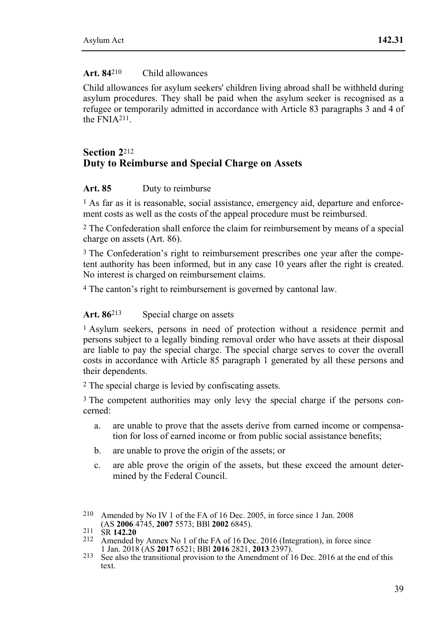## **Art. 84**210 Child allowances

Child allowances for asylum seekers' children living abroad shall be withheld during asylum procedures. They shall be paid when the asylum seeker is recognised as a refugee or temporarily admitted in accordance with Article 83 paragraphs 3 and 4 of the  $FNIA211$ 

# **Section 2**<sup>212</sup> **Duty to Reimburse and Special Charge on Assets**

## **Art. 85** Duty to reimburse

1 As far as it is reasonable, social assistance, emergency aid, departure and enforcement costs as well as the costs of the appeal procedure must be reimbursed.

2 The Confederation shall enforce the claim for reimbursement by means of a special charge on assets (Art. 86).

3 The Confederation's right to reimbursement prescribes one year after the competent authority has been informed, but in any case 10 years after the right is created. No interest is charged on reimbursement claims.

4 The canton's right to reimbursement is governed by cantonal law.

# Art. 86<sup>213</sup> Special charge on assets

1 Asylum seekers, persons in need of protection without a residence permit and persons subject to a legally binding removal order who have assets at their disposal are liable to pay the special charge. The special charge serves to cover the overall costs in accordance with Article 85 paragraph 1 generated by all these persons and their dependents.

2 The special charge is levied by confiscating assets.

<sup>3</sup> The competent authorities may only levy the special charge if the persons concerned:

- a. are unable to prove that the assets derive from earned income or compensation for loss of earned income or from public social assistance benefits;
- b. are unable to prove the origin of the assets; or
- c. are able prove the origin of the assets, but these exceed the amount determined by the Federal Council.

<sup>&</sup>lt;sup>210</sup> Amended by No IV 1 of the FA of 16 Dec. 2005, in force since 1 Jan. 2008 (AS **2006** 4745, **2007** 5573; BBI **2002** 6845).

<sup>211</sup> SR **142.20**<br><sup>212</sup> Amended by Annex No 1 of the FA of 16 Dec. 2016 (Integration), in force since<br>1 Jan. 2018 (AS **2017** 6521; BBI **2016** 2821, **2013** 2397).

<sup>&</sup>lt;sup>213</sup> See also the transitional provision to the Amendment of 16 Dec. 2016 at the end of this text.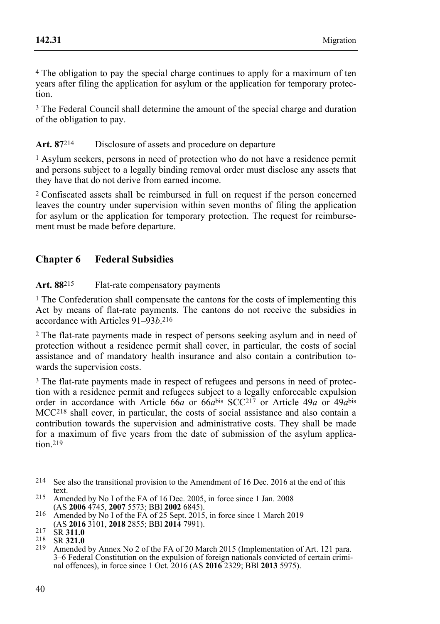4 The obligation to pay the special charge continues to apply for a maximum of ten years after filing the application for asylum or the application for temporary protection.

3 The Federal Council shall determine the amount of the special charge and duration of the obligation to pay.

# **Art. 87**214 Disclosure of assets and procedure on departure

1 Asylum seekers, persons in need of protection who do not have a residence permit and persons subject to a legally binding removal order must disclose any assets that they have that do not derive from earned income.

2 Confiscated assets shall be reimbursed in full on request if the person concerned leaves the country under supervision within seven months of filing the application for asylum or the application for temporary protection. The request for reimbursement must be made before departure.

# **Chapter 6 Federal Subsidies**

**Art. 88**215 Flat-rate compensatory payments

1 The Confederation shall compensate the cantons for the costs of implementing this Act by means of flat-rate payments. The cantons do not receive the subsidies in accordance with Articles 91–93*b*.216

2 The flat-rate payments made in respect of persons seeking asylum and in need of protection without a residence permit shall cover, in particular, the costs of social assistance and of mandatory health insurance and also contain a contribution towards the supervision costs.

3 The flat-rate payments made in respect of refugees and persons in need of protection with a residence permit and refugees subject to a legally enforceable expulsion order in accordance with Article 66*a* or 66*a*bis SCC217 or Article 49*a* or 49*a*bis MCC218 shall cover, in particular, the costs of social assistance and also contain a contribution towards the supervision and administrative costs. They shall be made for a maximum of five years from the date of submission of the asylum application.<sub>219</sub>

<sup>214</sup> See also the transitional provision to the Amendment of 16 Dec. 2016 at the end of this text.

<sup>215</sup> Amended by No I of the FA of 16 Dec. 2005, in force since 1 Jan. 2008 (AS 2006 4745, 2007 5573; BBI 2002 6845).

<sup>(</sup>AS **2006** 4745, **2007** 5573; BBl **2002** 6845). 216 Amended by No I of the FA of 25 Sept. 2015, in force since 1 March 2019

<sup>(</sup>AS **2016** 3101, **2018** 2855; BBl **2014** 7991). 217 SR **311.0** 218 SR **321.0** 219 Amended by Annex No 2 of the FA of 20 March 2015 (Implementation of Art. 121 para. 3–6 Federal Constitution on the expulsion of foreign nationals convicted of certain criminal offences), in force since 1 Oct. 2016 (AS **2016** 2329; BBl **2013** 5975).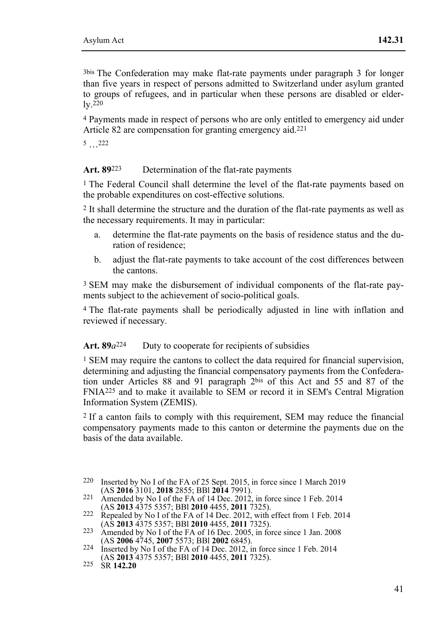3bis The Confederation may make flat-rate payments under paragraph 3 for longer than five years in respect of persons admitted to Switzerland under asylum granted to groups of refugees, and in particular when these persons are disabled or elder- $\overline{\mathbf{v}}$ . 220

4 Payments made in respect of persons who are only entitled to emergency aid under Article 82 are compensation for granting emergency aid.221

5 …222

**Art. 89**223 Determination of the flat-rate payments

1 The Federal Council shall determine the level of the flat-rate payments based on the probable expenditures on cost-effective solutions.

2 It shall determine the structure and the duration of the flat-rate payments as well as the necessary requirements. It may in particular:

- a. determine the flat-rate payments on the basis of residence status and the duration of residence;
- b. adjust the flat-rate payments to take account of the cost differences between the cantons.

3 SEM may make the disbursement of individual components of the flat-rate payments subject to the achievement of socio-political goals.

4 The flat-rate payments shall be periodically adjusted in line with inflation and reviewed if necessary.

### Art. 89*a*<sup>224</sup> Duty to cooperate for recipients of subsidies

<sup>1</sup> SEM may require the cantons to collect the data required for financial supervision, determining and adjusting the financial compensatory payments from the Confederation under Articles 88 and 91 paragraph 2bis of this Act and 55 and 87 of the FNIA225 and to make it available to SEM or record it in SEM's Central Migration Information System (ZEMIS).

2 If a canton fails to comply with this requirement, SEM may reduce the financial compensatory payments made to this canton or determine the payments due on the basis of the data available.

 220 Inserted by No I of the FA of 25 Sept. 2015, in force since 1 March 2019

<sup>(</sup>AS **2016** 3101, **2018** 2855; BBl **2014** 7991). 221 Amended by No I of the FA of 14 Dec. 2012, in force since 1 Feb. 2014

<sup>(</sup>AS **2013** 4375 5357; BBl **2010** 4455, **2011** 7325). 222 Repealed by No I of the FA of 14 Dec. 2012, with effect from 1 Feb. 2014

<sup>223</sup> Amended by No I of the FA of 16 Dec. 2005, in force since 1 Jan. 2008<br>(AS **2006** 4745, **2007** 5573; BBI **2002** 6845).

<sup>&</sup>lt;sup>224</sup> Inserted by No I of the FA of 14 Dec. 2012, in force since 1 Feb. 2014 (AS **2013** 4375 5357; BBl **2010** 4455, **2011** 7325). 225 SR **142.20**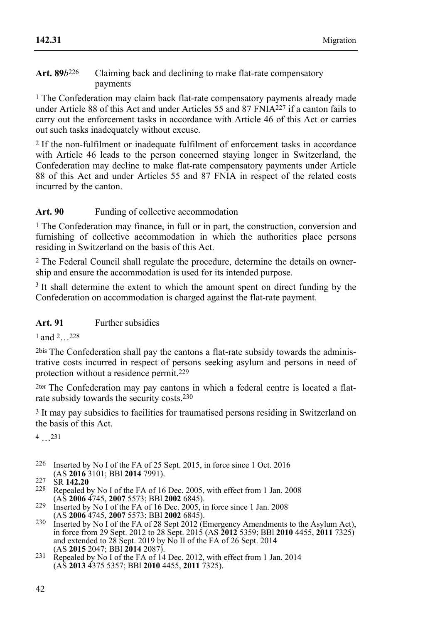#### Art. 89*b*<sup>226</sup> Claiming back and declining to make flat-rate compensatory payments

1 The Confederation may claim back flat-rate compensatory payments already made under Article 88 of this Act and under Articles 55 and 87 FNIA227 if a canton fails to carry out the enforcement tasks in accordance with Article 46 of this Act or carries out such tasks inadequately without excuse.

2 If the non-fulfilment or inadequate fulfilment of enforcement tasks in accordance with Article 46 leads to the person concerned staying longer in Switzerland, the Confederation may decline to make flat-rate compensatory payments under Article 88 of this Act and under Articles 55 and 87 FNIA in respect of the related costs incurred by the canton.

## Art. 90 Funding of collective accommodation

1 The Confederation may finance, in full or in part, the construction, conversion and furnishing of collective accommodation in which the authorities place persons residing in Switzerland on the basis of this Act.

2 The Federal Council shall regulate the procedure, determine the details on ownership and ensure the accommodation is used for its intended purpose.

<sup>3</sup> It shall determine the extent to which the amount spent on direct funding by the Confederation on accommodation is charged against the flat-rate payment.

# **Art. 91** Further subsidies

1 and 2…228

2bis The Confederation shall pay the cantons a flat-rate subsidy towards the administrative costs incurred in respect of persons seeking asylum and persons in need of protection without a residence permit.229

2ter The Confederation may pay cantons in which a federal centre is located a flatrate subsidy towards the security costs.230

3 It may pay subsidies to facilities for traumatised persons residing in Switzerland on the basis of this Act.

4 …231

- <sup>226</sup> Inserted by No I of the FA of 25 Sept. 2015, in force since 1 Oct. 2016 (AS **2016** 3101; BBI **2014** 7991).
- 
- 227 SR **142.20**<br><sup>228</sup> Repealed by No I of the FA of 16 Dec. 2005, with effect from 1 Jan. 2008<br>(AS **2006** 4745, **2007** 5573; BBI **2002** 6845).
- <sup>229</sup> Inserted by No I of the FA of 16 Dec. 2005, in force since 1 Jan. 2008
- (AS **2006** 4745, **2007** 5573; BBl **2002** 6845). 230 Inserted by No I of the FA of 28 Sept 2012 (Emergency Amendments to the Asylum Act), in force from 29 Sept. 2012 to 28 Sept. 2015 (AS **2012** 5359; BBl **2010** 4455, **2011** 7325) and extended to 28 Sept. 2019 by No II of the FA of 26 Sept. 2014<br>(AS **2015** 2047; BBl **2014** 2087).<br><sup>231</sup> Repealed by No I of the FA of 14 Dec. 2012, with effect from 1 Jan. 2014
- (AS **2013** 4375 5357; BBl **2010** 4455, **2011** 7325).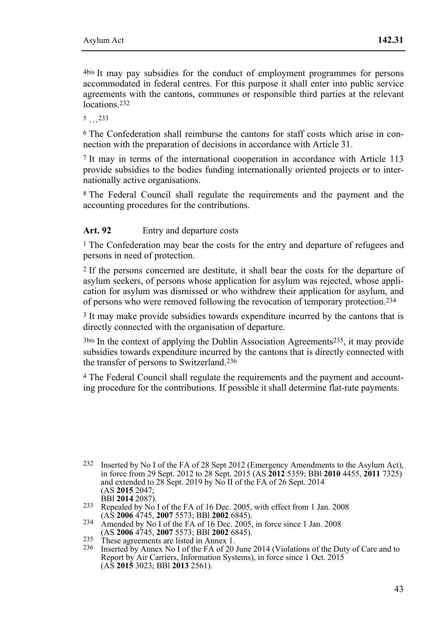4bis It may pay subsidies for the conduct of employment programmes for persons accommodated in federal centres. For this purpose it shall enter into public service agreements with the cantons, communes or responsible third parties at the relevant locations.<sup>232</sup>

5 …233

6 The Confederation shall reimburse the cantons for staff costs which arise in connection with the preparation of decisions in accordance with Article 31.

7 It may in terms of the international cooperation in accordance with Article 113 provide subsidies to the bodies funding internationally oriented projects or to internationally active organisations.

8 The Federal Council shall regulate the requirements and the payment and the accounting procedures for the contributions.

# Art. 92 Entry and departure costs

<sup>1</sup> The Confederation may bear the costs for the entry and departure of refugees and persons in need of protection.

2 If the persons concerned are destitute, it shall bear the costs for the departure of asylum seekers, of persons whose application for asylum was rejected, whose application for asylum was dismissed or who withdrew their application for asylum, and of persons who were removed following the revocation of temporary protection.234

3 It may make provide subsidies towards expenditure incurred by the cantons that is directly connected with the organisation of departure.

3bis In the context of applying the Dublin Association Agreements235, it may provide subsidies towards expenditure incurred by the cantons that is directly connected with the transfer of persons to Switzerland.236

4 The Federal Council shall regulate the requirements and the payment and accounting procedure for the contributions. If possible it shall determine flat-rate payments.

<sup>232</sup> Inserted by No I of the FA of 28 Sept 2012 (Emergency Amendments to the Asylum Act), in force from 29 Sept. 2012 to 28 Sept. 2015 (AS **2012** 5359; BBl **2010** 4455, **2011** 7325) and extended to 28 Sept. 2019 by No II of the FA of 26 Sept. 2014 (AS **2015** 2047;

<sup>&</sup>lt;sup>233</sup> Repealed by No I of the FA of 16 Dec. 2005, with effect from 1 Jan. 2008 (AS **2006** 4745, **2007** 5573; BBI **2002** 6845).

<sup>234</sup> Amended by No I of the FA of 16 Dec. 2005, in force since 1 Jan. 2008<br>(AS **2006** 4745, **2007** 5573; BBI **2002** 6845).

<sup>(</sup>ASS)<br>
235 These agreements are listed in Annex 1.<br>
<sup>236</sup> Inserted by Annex No I of the FA of 20 June 2014 (Violations of the Duty of Care and to Report by Air Carriers, Information Systems), in force since 1 Oct. 2015 (AS **2015** 3023; BBl **2013** 2561).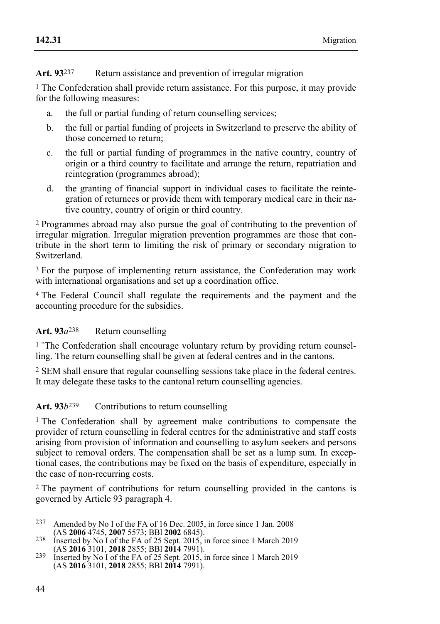**Art. 93**237 Return assistance and prevention of irregular migration

1 The Confederation shall provide return assistance. For this purpose, it may provide for the following measures:

- a. the full or partial funding of return counselling services;
- b. the full or partial funding of projects in Switzerland to preserve the ability of those concerned to return;
- c. the full or partial funding of programmes in the native country, country of origin or a third country to facilitate and arrange the return, repatriation and reintegration (programmes abroad);
- d. the granting of financial support in individual cases to facilitate the reintegration of returnees or provide them with temporary medical care in their native country, country of origin or third country.

2 Programmes abroad may also pursue the goal of contributing to the prevention of irregular migration. Irregular migration prevention programmes are those that contribute in the short term to limiting the risk of primary or secondary migration to Switzerland.

3 For the purpose of implementing return assistance, the Confederation may work with international organisations and set up a coordination office.

4 The Federal Council shall regulate the requirements and the payment and the accounting procedure for the subsidies.

# **Art. 93***a*238 Return counselling

<sup>1</sup> The Confederation shall encourage voluntary return by providing return counselling. The return counselling shall be given at federal centres and in the cantons.

2 SEM shall ensure that regular counselling sessions take place in the federal centres. It may delegate these tasks to the cantonal return counselling agencies.

Art. 93*b*<sup>239</sup> Contributions to return counselling

1 The Confederation shall by agreement make contributions to compensate the provider of return counselling in federal centres for the administrative and staff costs arising from provision of information and counselling to asylum seekers and persons subject to removal orders. The compensation shall be set as a lump sum. In exceptional cases, the contributions may be fixed on the basis of expenditure, especially in the case of non-recurring costs.

2 The payment of contributions for return counselling provided in the cantons is governed by Article 93 paragraph 4.

- 237 Amended by No I of the FA of 16 Dec. 2005, in force since 1 Jan. 2008 (AS 2006 4745, 2007 5573; BBI 2002 6845).
- 238 Inserted by No I of the FA of 25 Sept. 2015. in force since 1 March 2019<br>(AS **2016** 3101, **2018** 2855; BBI **2014** 7991).
- <sup>239</sup> Inserted by No I of the FA of 25 Sept. 2015, in force since 1 March 2019 (AS **2016** 3101, **2018** 2855; BBl **2014** 7991).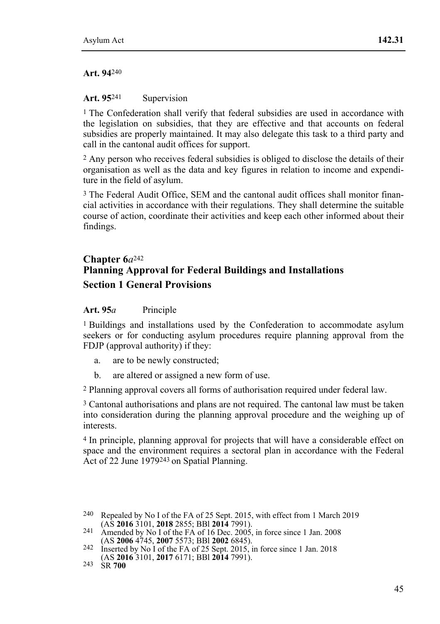#### **Art. 94**240

#### Art. 95<sup>241</sup> Supervision

<sup>1</sup> The Confederation shall verify that federal subsidies are used in accordance with the legislation on subsidies, that they are effective and that accounts on federal subsidies are properly maintained. It may also delegate this task to a third party and call in the cantonal audit offices for support.

2 Any person who receives federal subsidies is obliged to disclose the details of their organisation as well as the data and key figures in relation to income and expenditure in the field of asylum.

3 The Federal Audit Office, SEM and the cantonal audit offices shall monitor financial activities in accordance with their regulations. They shall determine the suitable course of action, coordinate their activities and keep each other informed about their findings.

# **Chapter 6***a*242 **Planning Approval for Federal Buildings and Installations Section 1 General Provisions**

#### **Art. 95***a* Principle

1 Buildings and installations used by the Confederation to accommodate asylum seekers or for conducting asylum procedures require planning approval from the FDJP (approval authority) if they:

- a. are to be newly constructed;
- b. are altered or assigned a new form of use.

2 Planning approval covers all forms of authorisation required under federal law.

3 Cantonal authorisations and plans are not required. The cantonal law must be taken into consideration during the planning approval procedure and the weighing up of interests.

4 In principle, planning approval for projects that will have a considerable effect on space and the environment requires a sectoral plan in accordance with the Federal Act of 22 June 1979243 on Spatial Planning.

<sup>&</sup>lt;sup>240</sup> Repealed by No I of the FA of 25 Sept. 2015, with effect from 1 March 2019 (AS **2016** 3101, **2018** 2855; BBI **2014** 7991).

<sup>&</sup>lt;sup>241</sup> Amended by No I of the FA of 16 Dec. 2005, in force since 1 Jan. 2008 (AS **2006** 4745, **2007** 5573; BBl **2002** 6845). 242 Inserted by No I of the FA of 25 Sept. 2015, in force since 1 Jan. 2018

<sup>(</sup>AS **2016** 3101, **2017** 6171; BBl **2014** 7991). 243 SR **700**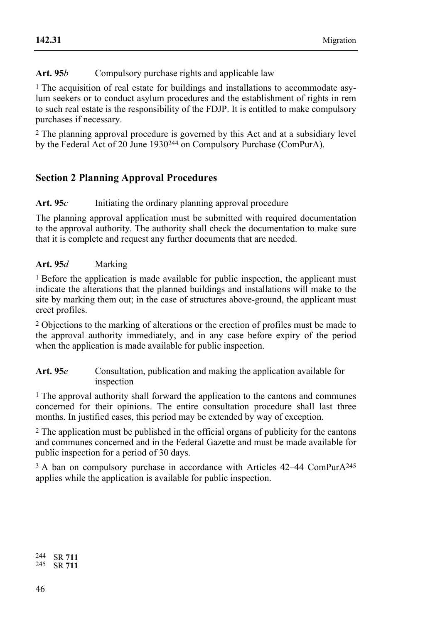# Art. 95*b* Compulsory purchase rights and applicable law

1 The acquisition of real estate for buildings and installations to accommodate asylum seekers or to conduct asylum procedures and the establishment of rights in rem to such real estate is the responsibility of the FDJP. It is entitled to make compulsory purchases if necessary.

2 The planning approval procedure is governed by this Act and at a subsidiary level by the Federal Act of 20 June 1930244 on Compulsory Purchase (ComPurA).

# **Section 2 Planning Approval Procedures**

## Art. 95*c* Initiating the ordinary planning approval procedure

The planning approval application must be submitted with required documentation to the approval authority. The authority shall check the documentation to make sure that it is complete and request any further documents that are needed.

## **Art. 95***d* Marking

1 Before the application is made available for public inspection, the applicant must indicate the alterations that the planned buildings and installations will make to the site by marking them out; in the case of structures above-ground, the applicant must erect profiles.

2 Objections to the marking of alterations or the erection of profiles must be made to the approval authority immediately, and in any case before expiry of the period when the application is made available for public inspection.

**Art. 95***e* Consultation, publication and making the application available for inspection

1 The approval authority shall forward the application to the cantons and communes concerned for their opinions. The entire consultation procedure shall last three months. In justified cases, this period may be extended by way of exception.

2 The application must be published in the official organs of publicity for the cantons and communes concerned and in the Federal Gazette and must be made available for public inspection for a period of 30 days.

3 A ban on compulsory purchase in accordance with Articles 42–44 ComPurA245 applies while the application is available for public inspection.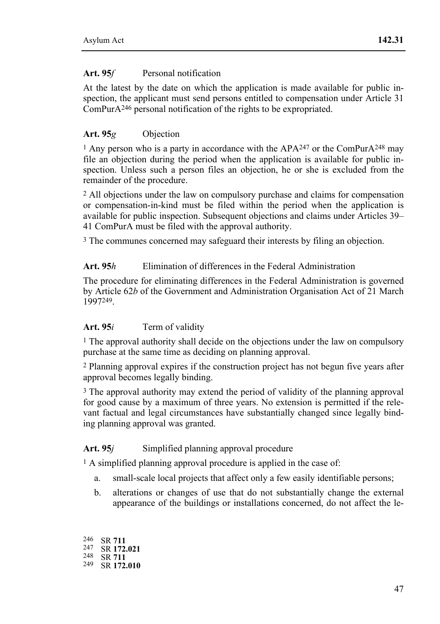# Art. 95*f* Personal notification

At the latest by the date on which the application is made available for public inspection, the applicant must send persons entitled to compensation under Article 31  $ComPurA<sup>246</sup>$  personal notification of the rights to be expropriated.

## **Art. 95***g* Objection

<sup>1</sup> Any person who is a party in accordance with the APA<sup>247</sup> or the ComPurA<sup>248</sup> may file an objection during the period when the application is available for public inspection. Unless such a person files an objection, he or she is excluded from the remainder of the procedure.

2 All objections under the law on compulsory purchase and claims for compensation or compensation-in-kind must be filed within the period when the application is available for public inspection. Subsequent objections and claims under Articles 39– 41 ComPurA must be filed with the approval authority.

3 The communes concerned may safeguard their interests by filing an objection.

### **Art. 95***h* Elimination of differences in the Federal Administration

The procedure for eliminating differences in the Federal Administration is governed by Article 62*b* of the Government and Administration Organisation Act of 21 March 1997249.

### **Art. 95***i* Term of validity

1 The approval authority shall decide on the objections under the law on compulsory purchase at the same time as deciding on planning approval.

2 Planning approval expires if the construction project has not begun five years after approval becomes legally binding.

3 The approval authority may extend the period of validity of the planning approval for good cause by a maximum of three years. No extension is permitted if the relevant factual and legal circumstances have substantially changed since legally binding planning approval was granted.

### Art. 95*j* Simplified planning approval procedure

<sup>1</sup> A simplified planning approval procedure is applied in the case of:

- a. small-scale local projects that affect only a few easily identifiable persons;
- b. alterations or changes of use that do not substantially change the external appearance of the buildings or installations concerned, do not affect the le-

246 SR **<sup>711</sup>** 247 SR **172.021** 248 SR **<sup>711</sup>** 249 SR **172.010**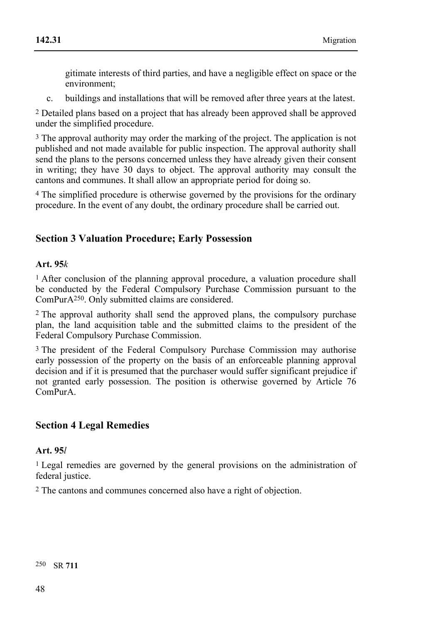gitimate interests of third parties, and have a negligible effect on space or the environment;

c. buildings and installations that will be removed after three years at the latest.

2 Detailed plans based on a project that has already been approved shall be approved under the simplified procedure.

<sup>3</sup> The approval authority may order the marking of the project. The application is not published and not made available for public inspection. The approval authority shall send the plans to the persons concerned unless they have already given their consent in writing; they have 30 days to object. The approval authority may consult the cantons and communes. It shall allow an appropriate period for doing so.

4 The simplified procedure is otherwise governed by the provisions for the ordinary procedure. In the event of any doubt, the ordinary procedure shall be carried out.

# **Section 3 Valuation Procedure; Early Possession**

#### **Art. 95***k*

1 After conclusion of the planning approval procedure, a valuation procedure shall be conducted by the Federal Compulsory Purchase Commission pursuant to the ComPurA250. Only submitted claims are considered.

2 The approval authority shall send the approved plans, the compulsory purchase plan, the land acquisition table and the submitted claims to the president of the Federal Compulsory Purchase Commission.

<sup>3</sup> The president of the Federal Compulsory Purchase Commission may authorise early possession of the property on the basis of an enforceable planning approval decision and if it is presumed that the purchaser would suffer significant prejudice if not granted early possession. The position is otherwise governed by Article 76 ComPurA.

# **Section 4 Legal Remedies**

#### **Art. 95***l*

1 Legal remedies are governed by the general provisions on the administration of federal justice.

2 The cantons and communes concerned also have a right of objection.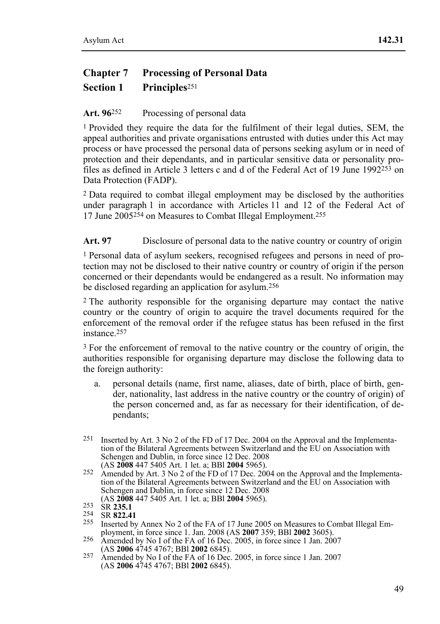# **Chapter 7 Processing of Personal Data Section 1 Principles**<sup>251</sup>

### Art. 96<sup>252</sup> Processing of personal data

1 Provided they require the data for the fulfilment of their legal duties, SEM, the appeal authorities and private organisations entrusted with duties under this Act may process or have processed the personal data of persons seeking asylum or in need of protection and their dependants, and in particular sensitive data or personality profiles as defined in Article 3 letters c and d of the Federal Act of 19 June 1992 $^{253}$  on Data Protection (FADP).

2 Data required to combat illegal employment may be disclosed by the authorities under paragraph 1 in accordance with Articles 11 and 12 of the Federal Act of 17 June 2005254 on Measures to Combat Illegal Employment.255

**Art. 97** Disclosure of personal data to the native country or country of origin

1 Personal data of asylum seekers, recognised refugees and persons in need of protection may not be disclosed to their native country or country of origin if the person concerned or their dependants would be endangered as a result. No information may be disclosed regarding an application for asylum.256

2 The authority responsible for the organising departure may contact the native country or the country of origin to acquire the travel documents required for the enforcement of the removal order if the refugee status has been refused in the first instance.257

3 For the enforcement of removal to the native country or the country of origin, the authorities responsible for organising departure may disclose the following data to the foreign authority:

- a. personal details (name, first name, aliases, date of birth, place of birth, gender, nationality, last address in the native country or the country of origin) of the person concerned and, as far as necessary for their identification, of dependants;
- 251 Inserted by Art. 3 No 2 of the FD of 17 Dec. 2004 on the Approval and the Implementation of the Bilateral Agreements between Switzerland and the EU on Association with Schengen and Dublin, in force since 12 Dec. 2008 (AS 2008 447 5405 Art. 1 let. a; BBI 2004 5965).
- <sup>252</sup> Amended by Art. 3 No 2 of the FD of 17 Dec. 2004 on the Approval and the Implementation of the Bilateral Agreements between Switzerland and the EU on Association with Schengen and Dublin, in force since 12 Dec. 2008 (AS 2008 447 5405 Art. 1 let. a; BBI 2004 5965).

<sup>253</sup> SR **235.1**<br>
<sup>254</sup> SR **822.41**<br>
<sup>255</sup> Inserted by Annex No 2 of the FA of 17 June 2005 on Measures to Combat Illegal Em-<br>
ployment, in force since 1. Jan. 2008 (AS **2007** 359; BBI **2002** 3605).

<sup>256</sup> Amended by No I of the FA of 16 Dec. 2005, in force since 1 Jan. 2007 (AS **2006** 4745 4767; BBI **2002** 6845).

<sup>&</sup>lt;sup>257</sup> Amended by No I of the FA of 16 Dec. 2005, in force since 1 Jan. 2007 (AS **2006** 4745 4767; BBl **2002** 6845).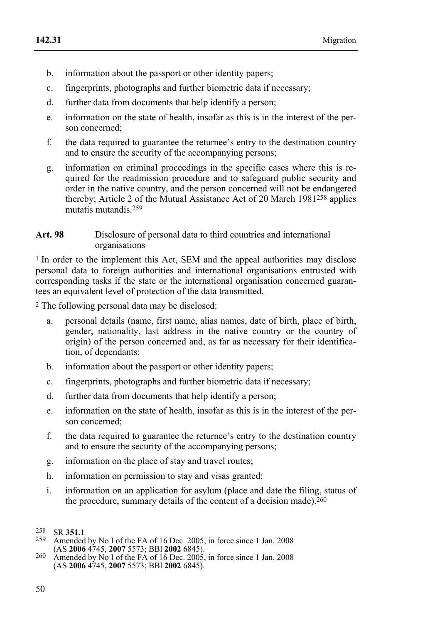- b. information about the passport or other identity papers;
- c. fingerprints, photographs and further biometric data if necessary;
- d. further data from documents that help identify a person;
- e. information on the state of health, insofar as this is in the interest of the person concerned;
- f. the data required to guarantee the returnee's entry to the destination country and to ensure the security of the accompanying persons;
- g. information on criminal proceedings in the specific cases where this is required for the readmission procedure and to safeguard public security and order in the native country, and the person concerned will not be endangered thereby; Article 2 of the Mutual Assistance Act of 20 March 1981258 applies mutatis mutandis.259
- **Art. 98** Disclosure of personal data to third countries and international organisations

1 In order to the implement this Act, SEM and the appeal authorities may disclose personal data to foreign authorities and international organisations entrusted with corresponding tasks if the state or the international organisation concerned guarantees an equivalent level of protection of the data transmitted.

2 The following personal data may be disclosed:

- a. personal details (name, first name, alias names, date of birth, place of birth, gender, nationality, last address in the native country or the country of origin) of the person concerned and, as far as necessary for their identification, of dependants;
- b. information about the passport or other identity papers;
- c. fingerprints, photographs and further biometric data if necessary;
- d. further data from documents that help identify a person;
- e. information on the state of health, insofar as this is in the interest of the person concerned;
- f. the data required to guarantee the returnee's entry to the destination country and to ensure the security of the accompanying persons;
- g. information on the place of stay and travel routes;
- h. information on permission to stay and visas granted;
- i. information on an application for asylum (place and date the filing, status of the procedure, summary details of the content of a decision made).<sup>260</sup>

258 SR **351.1** 259 Amended by No I of the FA of 16 Dec. 2005, in force since 1 Jan. 2008

<sup>258</sup> 

<sup>&</sup>lt;sup>260</sup> Amended by No I of the FA of 16 Dec. 2005, in force since 1 Jan. 2008 (AS **2006** 4745, **2007** 5573; BBl **2002** 6845).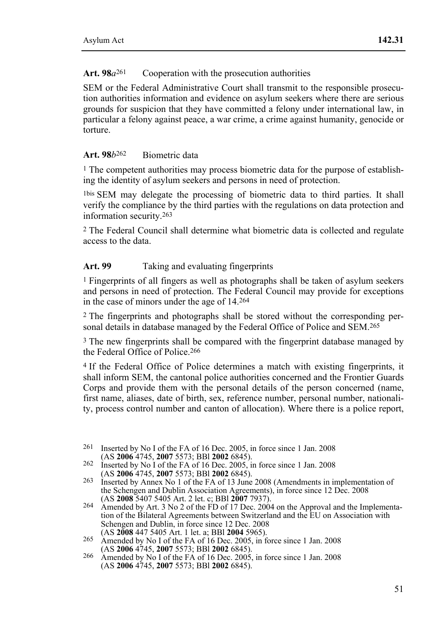## Art. 98*a*<sup>261</sup> Cooperation with the prosecution authorities

SEM or the Federal Administrative Court shall transmit to the responsible prosecution authorities information and evidence on asylum seekers where there are serious grounds for suspicion that they have committed a felony under international law, in particular a felony against peace, a war crime, a crime against humanity, genocide or torture.

### **Art. 98***b*262 Biometric data

 $<sup>1</sup>$  The competent authorities may process biometric data for the purpose of establish-</sup> ing the identity of asylum seekers and persons in need of protection.

1bis SEM may delegate the processing of biometric data to third parties. It shall verify the compliance by the third parties with the regulations on data protection and information security.263

2 The Federal Council shall determine what biometric data is collected and regulate access to the data.

## **Art. 99** Taking and evaluating fingerprints

1 Fingerprints of all fingers as well as photographs shall be taken of asylum seekers and persons in need of protection. The Federal Council may provide for exceptions in the case of minors under the age of 14.264

2 The fingerprints and photographs shall be stored without the corresponding personal details in database managed by the Federal Office of Police and SEM.<sup>265</sup>

<sup>3</sup> The new fingerprints shall be compared with the fingerprint database managed by the Federal Office of Police.266

4 If the Federal Office of Police determines a match with existing fingerprints, it shall inform SEM, the cantonal police authorities concerned and the Frontier Guards Corps and provide them with the personal details of the person concerned (name, first name, aliases, date of birth, sex, reference number, personal number, nationality, process control number and canton of allocation). Where there is a police report,

- 265 Amended by No I of the FA of 16 Dec. 2005, in force since 1 Jan. 2008<br>(AS **2006** 4745, **2007** 5573; BBI **2002** 6845).
- 266 Amended by No I of the FA of 16 Dec. 2005, in force since 1 Jan. 2008 (AS **2006** 4745, **2007** 5573; BBl **2002** 6845).

<sup>&</sup>lt;sup>261</sup> Inserted by No I of the FA of 16 Dec. 2005, in force since 1 Jan. 2008 (AS **2006** 4745, **2007** 5573; BBI **2002** 6845).

<sup>&</sup>lt;sup>262</sup> Inserted by No 1 of the FA of 16 Dec. 2005, in force since 1 Jan. 2008 (AS **2006** 4745, **2007** 5573; BBI **2002** 6845).

<sup>&</sup>lt;sup>263</sup> Inserted by Annex No 1 of the FA of 13 June 2008 (Amendments in implementation of the Schengen and Dublin Association Agreements), in force since 12 Dec. 2008 (AS 2008 5407 5405 Art. 2 let. c; BBI 2007 7937).

<sup>&</sup>lt;sup>264</sup> Amended by Art. 3 No 2 of the FD of 17 Dec. 2004 on the Approval and the Implementation of the Bilateral Agreements between Switzerland and the EU on Association with Schengen and Dublin, in force since 12 Dec. 2008 (AS 2008 447 5405 Art. 1 let. a; BBI 2004 5965).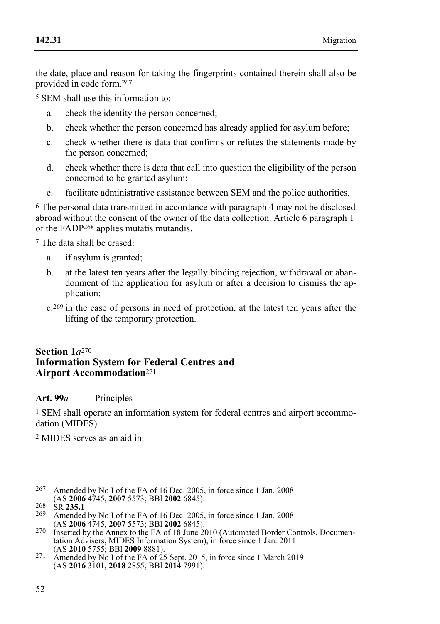the date, place and reason for taking the fingerprints contained therein shall also be provided in code form.267

5 SEM shall use this information to:

- a. check the identity the person concerned;
- b. check whether the person concerned has already applied for asylum before;
- c. check whether there is data that confirms or refutes the statements made by the person concerned;
- d. check whether there is data that call into question the eligibility of the person concerned to be granted asylum;
- e. facilitate administrative assistance between SEM and the police authorities.

6 The personal data transmitted in accordance with paragraph 4 may not be disclosed abroad without the consent of the owner of the data collection. Article 6 paragraph 1 of the FADP268 applies mutatis mutandis.

7 The data shall be erased:

- a. if asylum is granted;
- b. at the latest ten years after the legally binding rejection, withdrawal or abandonment of the application for asylum or after a decision to dismiss the application;
- c.269 in the case of persons in need of protection, at the latest ten years after the lifting of the temporary protection.

# **Section 1***a*<sup>270</sup> **Information System for Federal Centres and Airport Accommodation**<sup>271</sup>

# **Art. 99***a* Principles

<sup>1</sup> SEM shall operate an information system for federal centres and airport accommodation (MIDES).

2 MIDES serves as an aid in:

<sup>267</sup> Amended by No I of the FA of 16 Dec. 2005, in force since 1 Jan. 2008 (AS **2006** 4745, **2007** 5573; BBI **2002** 6845).

- 268 SR 235.1<br>
<sup>269</sup> Amended by No I of the FA of 16 Dec. 2005, in force since 1 Jan. 2008<br>
(AS 2006 4745, 2007 5573; BBI 2002 6845).
- <sup>270</sup> Inserted by the Annex to the FA of 18 June 2010 (Automated Border Controls, Documentation Advisers, MIDES Information System), in force since 1 Jan. 2011 (AS 2010 5755; BBI 2009 8881).
- 271 Amended by No I of the FA of 25 Sept. 2015, in force since 1 March 2019 (AS **2016** 3101, **2018** 2855; BBl **2014** 7991).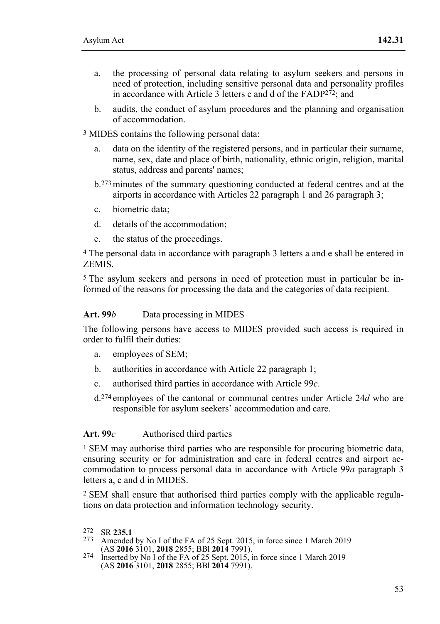- a. the processing of personal data relating to asylum seekers and persons in need of protection, including sensitive personal data and personality profiles in accordance with Article 3 letters c and d of the FADP272; and
- b. audits, the conduct of asylum procedures and the planning and organisation of accommodation.
- 3 MIDES contains the following personal data:
	- a. data on the identity of the registered persons, and in particular their surname, name, sex, date and place of birth, nationality, ethnic origin, religion, marital status, address and parents' names;
	- b.273 minutes of the summary questioning conducted at federal centres and at the airports in accordance with Articles 22 paragraph 1 and 26 paragraph 3;
	- c. biometric data;
	- d. details of the accommodation;
	- e. the status of the proceedings.

4 The personal data in accordance with paragraph 3 letters a and e shall be entered in **ZEMIS** 

5 The asylum seekers and persons in need of protection must in particular be informed of the reasons for processing the data and the categories of data recipient.

#### Art. 99*b* Data processing in MIDES

The following persons have access to MIDES provided such access is required in order to fulfil their duties:

- a. employees of SEM;
- b. authorities in accordance with Article 22 paragraph 1;
- c. authorised third parties in accordance with Article 99*c*.
- d.274 employees of the cantonal or communal centres under Article 24*d* who are responsible for asylum seekers' accommodation and care.

### Art. 99*c* Authorised third parties

1 SEM may authorise third parties who are responsible for procuring biometric data, ensuring security or for administration and care in federal centres and airport accommodation to process personal data in accordance with Article 99*a* paragraph 3 letters a, c and d in MIDES.

2 SEM shall ensure that authorised third parties comply with the applicable regulations on data protection and information technology security.

- <sup>273</sup> Amended by No I of the FA of 25 Sept. 2015, in force since 1 March 2019 (AS **2016** 3101, **2018** 2855; BBI **2014** 7991).
- <sup>274</sup> Inserted by No I of the FA of 25 Sept. 2015, in force since 1 March 2019 (AS **2016** 3101, **2018** 2855; BBl **2014** 7991).

<sup>272</sup> SR 235.1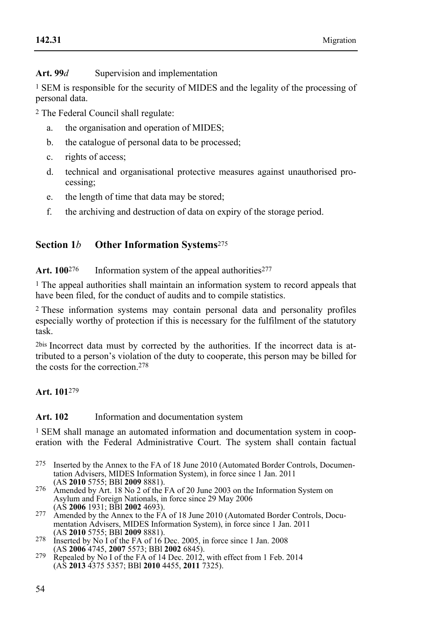Art. 99*d* Supervision and implementation

1 SEM is responsible for the security of MIDES and the legality of the processing of personal data.

2 The Federal Council shall regulate:

- a. the organisation and operation of MIDES;
- b. the catalogue of personal data to be processed;
- c. rights of access;
- d. technical and organisational protective measures against unauthorised processing;
- e. the length of time that data may be stored;
- f. the archiving and destruction of data on expiry of the storage period.

# **Section 1***b* **Other Information Systems**<sup>275</sup>

# Art. 100<sup>276</sup> Information system of the appeal authorities<sup>277</sup>

1 The appeal authorities shall maintain an information system to record appeals that have been filed, for the conduct of audits and to compile statistics.

2 These information systems may contain personal data and personality profiles especially worthy of protection if this is necessary for the fulfilment of the statutory task.

2bis Incorrect data must by corrected by the authorities. If the incorrect data is attributed to a person's violation of the duty to cooperate, this person may be billed for the costs for the correction 278

# **Art. 101**279

# **Art. 102** Information and documentation system

1 SEM shall manage an automated information and documentation system in cooperation with the Federal Administrative Court. The system shall contain factual

- 275 Inserted by the Annex to the FA of 18 June 2010 (Automated Border Controls, Documentation Advisers, MIDES Information System), in force since 1 Jan. 2011 (AS 2010 5755: BBI 2009 8881).
- <sup>276</sup> Amended by Art. 18 No 2 of the FA of 20 June 2003 on the Information System on Asylum and Foreign Nationals, in force since 29 May 2006
- <sup>277</sup> Amended by the Annex to the FA of 18 June 2010 (Automated Border Controls, Documentation Advisers, MIDES Information System), in force since 1 Jan. 2011 (AS 2010 5755; BBI 2009 8881).
- 278 Inserted by No I of the FA of 16 Dec. 2005, in force since 1 Jan. 2008<br>(AS **2006** 4745, **2007** 5573; BBI **2002** 6845).
- <sup>279</sup> Repealed by No I of the FA of 14 Dec. 2012, with effect from 1 Feb. 2014 (AS **2013** 4375 5357; BBl **2010** 4455, **2011** 7325).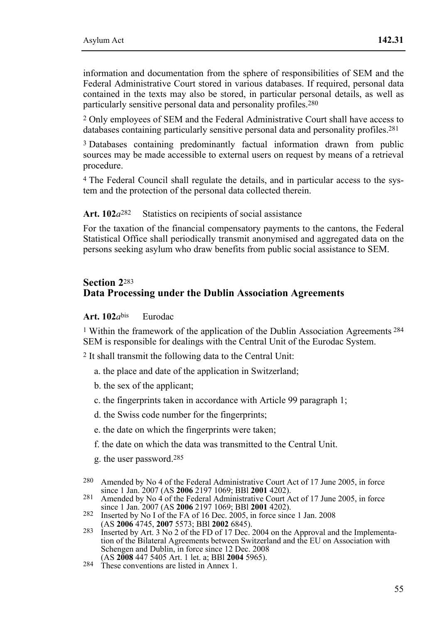information and documentation from the sphere of responsibilities of SEM and the Federal Administrative Court stored in various databases. If required, personal data contained in the texts may also be stored, in particular personal details, as well as particularly sensitive personal data and personality profiles.280

2 Only employees of SEM and the Federal Administrative Court shall have access to databases containing particularly sensitive personal data and personality profiles.281

3 Databases containing predominantly factual information drawn from public sources may be made accessible to external users on request by means of a retrieval procedure.

4 The Federal Council shall regulate the details, and in particular access to the system and the protection of the personal data collected therein.

Art. 102*a*<sup>282</sup> Statistics on recipients of social assistance

For the taxation of the financial compensatory payments to the cantons, the Federal Statistical Office shall periodically transmit anonymised and aggregated data on the persons seeking asylum who draw benefits from public social assistance to SEM.

### **Section 2**<sup>283</sup> **Data Processing under the Dublin Association Agreements**

#### **Art. 102***a*bis Eurodac

1 Within the framework of the application of the Dublin Association Agreements 284 SEM is responsible for dealings with the Central Unit of the Eurodac System.

2 It shall transmit the following data to the Central Unit:

- a. the place and date of the application in Switzerland;
- b. the sex of the applicant;
- c. the fingerprints taken in accordance with Article 99 paragraph 1;
- d. the Swiss code number for the fingerprints;
- e. the date on which the fingerprints were taken;
- f. the date on which the data was transmitted to the Central Unit.
- g. the user password.285
- 280 Amended by No 4 of the Federal Administrative Court Act of 17 June 2005, in force since 1 Jan. 2007 (AS 2006 2197 1069; BBI 2001 4202).
- 281 Amended by No 4 of the Federal Administrative Court Act of 17 June 2005, in force since 1 Jan. 2007 (AS 2006 2197 1069; BBI 2001 4202).
- **282** Inserted by No I of the FA of 16 Dec. 2005, in force since 1 Jan. 2008<br>(AS **2006** 4745, **2007** 5573; BBI **2002** 6845).
- 283 Inserted by Art. 3 No 2 of the FD of 17 Dec. 2004 on the Approval and the Implementation of the Bilateral Agreements between Switzerland and the EU on Association with Schengen and Dublin, in force since 12 Dec. 2008<br>(AS 2008 447 5405 Art. 1 let. a: BBI 2004 5965).
-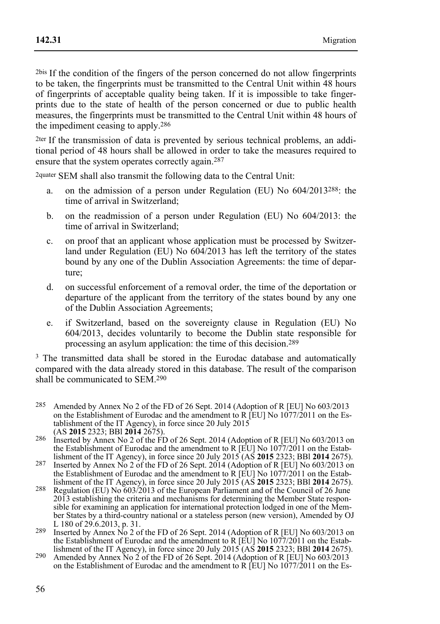2bis If the condition of the fingers of the person concerned do not allow fingerprints to be taken, the fingerprints must be transmitted to the Central Unit within 48 hours of fingerprints of acceptable quality being taken. If it is impossible to take fingerprints due to the state of health of the person concerned or due to public health measures, the fingerprints must be transmitted to the Central Unit within 48 hours of the impediment ceasing to apply.286

2ter If the transmission of data is prevented by serious technical problems, an additional period of 48 hours shall be allowed in order to take the measures required to ensure that the system operates correctly again.<sup>287</sup>

2quater SEM shall also transmit the following data to the Central Unit:

- a. on the admission of a person under Regulation (EU) No 604/2013288: the time of arrival in Switzerland;
- b. on the readmission of a person under Regulation (EU) No 604/2013: the time of arrival in Switzerland;
- c. on proof that an applicant whose application must be processed by Switzerland under Regulation (EU) No 604/2013 has left the territory of the states bound by any one of the Dublin Association Agreements: the time of departure;
- d. on successful enforcement of a removal order, the time of the deportation or departure of the applicant from the territory of the states bound by any one of the Dublin Association Agreements;
- e. if Switzerland, based on the sovereignty clause in Regulation (EU) No 604/2013, decides voluntarily to become the Dublin state responsible for processing an asylum application: the time of this decision.289

<sup>3</sup> The transmitted data shall be stored in the Eurodac database and automatically compared with the data already stored in this database. The result of the comparison shall be communicated to SEM.290

- 285 Amended by Annex No 2 of the FD of 26 Sept. 2014 (Adoption of R [EU] No 603/2013 on the Establishment of Eurodac and the amendment to R [EU] No 1077/2011 on the Establishment of the IT Agency), in force since 20 July 2015<br>(AS 2015 2323; BBI 2014 2675).
- <sup>286</sup> Inserted by Annex No 2 of the FD of 26 Sept. 2014 (Adoption of R [EU] No 603/2013 on the Establishment of Eurodac and the amendment to R [EU] No  $1077/2011$  on the Establishment of the IT Agency), in force since 20 July 2015 (AS 2015 2323; BBI 2014 2675).
- <sup>287</sup> Inserted by Annex No 2 of the FD of 26 Sept. 2014 (Adoption of R [EU] No 603/2013 on the Establishment of Eurodac and the amendment to R [EU] No 1077/2011 on the Estab-<br>lishment of the IT Agency), in force since 20 July 2015 (AS 2015 2323; BBI 2014 2675).
- lishment of the IT Agency), in force since 20 July 2015 (AS **2015** 2323; BBl **2014** 2675). 288 Regulation (EU) No 603/2013 of the European Parliament and of the Council of 26 June 2013 establishing the criteria and mechanisms for determining the Member State responsible for examining an application for international protection lodged in one of the Member States by a third-country national or a stateless person (new version), Amended by OJ L 180 of 29.6.2013, p. 31.
- $289$  Inserted by Annex No 2 of the FD of 26 Sept. 2014 (Adoption of R [EU] No 603/2013 on the Establishment of Eurodac and the amendment to R [EU] No 1077/2011 on the Establishment of the IT Agency), in force since 20 July 2015 (AS 2015 2323; BBI 2014 2675).<br><sup>290</sup> Amended by Annex No 2 of the FD of 26 Sept. 201
- on the Establishment of Eurodac and the amendment to R [EU] No 1077/2011 on the Es-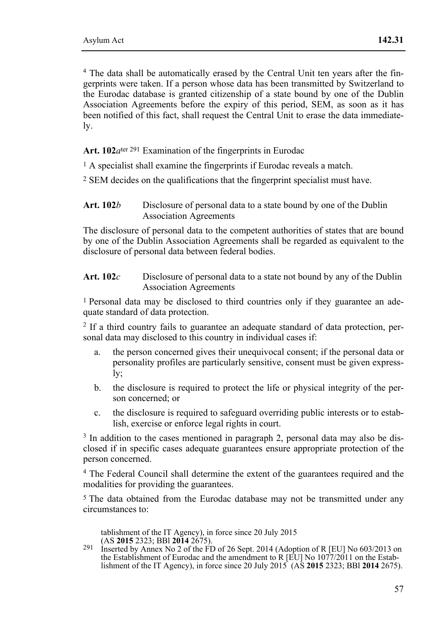4 The data shall be automatically erased by the Central Unit ten years after the fingerprints were taken. If a person whose data has been transmitted by Switzerland to the Eurodac database is granted citizenship of a state bound by one of the Dublin Association Agreements before the expiry of this period, SEM, as soon as it has been notified of this fact, shall request the Central Unit to erase the data immediately.

Art. 102*a*<sup>ter 291</sup> Examination of the fingerprints in Eurodac

1 A specialist shall examine the fingerprints if Eurodac reveals a match.

2 SEM decides on the qualifications that the fingerprint specialist must have.

#### Art. 102*b* Disclosure of personal data to a state bound by one of the Dublin Association Agreements

The disclosure of personal data to the competent authorities of states that are bound by one of the Dublin Association Agreements shall be regarded as equivalent to the disclosure of personal data between federal bodies.

### **Art. 102***c* Disclosure of personal data to a state not bound by any of the Dublin Association Agreements

1 Personal data may be disclosed to third countries only if they guarantee an adequate standard of data protection.

<sup>2</sup> If a third country fails to guarantee an adequate standard of data protection, personal data may disclosed to this country in individual cases if:

- a. the person concerned gives their unequivocal consent; if the personal data or personality profiles are particularly sensitive, consent must be given expressly;
- b. the disclosure is required to protect the life or physical integrity of the person concerned; or
- c. the disclosure is required to safeguard overriding public interests or to establish, exercise or enforce legal rights in court.

<sup>3</sup> In addition to the cases mentioned in paragraph 2, personal data may also be disclosed if in specific cases adequate guarantees ensure appropriate protection of the person concerned.

4 The Federal Council shall determine the extent of the guarantees required and the modalities for providing the guarantees.

5 The data obtained from the Eurodac database may not be transmitted under any circumstances to:

tablishment of the IT Agency), in force since 20 July 2015<br>(AS  $2015$   $2323$ ; BBI  $2014$   $2675$ ).

 $291$  Inserted by Annex No 2 of the FD of 26 Sept. 2014 (Adoption of R [EU] No 603/2013 on the Establishment of Eurodac and the amendment to R [EU] No 1077/2011 on the Establishment of the IT Agency), in force since 20 July 2015 (AS **2015** 2323; BBl **2014** 2675).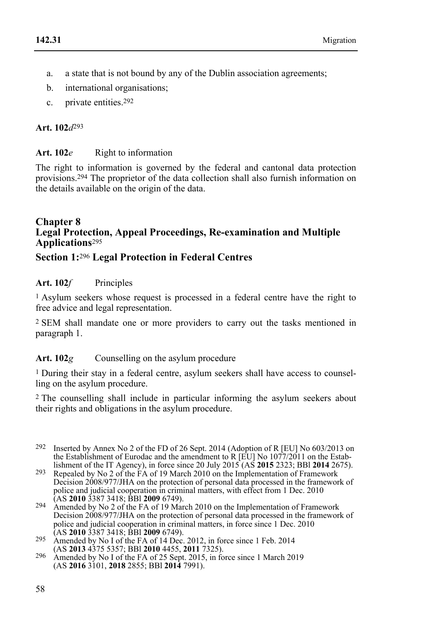- a. a state that is not bound by any of the Dublin association agreements;
- b. international organisations;
- c. private entities.292

# **Art. 102***d*293

# **Art. 102***e* Right to information

The right to information is governed by the federal and cantonal data protection provisions.294 The proprietor of the data collection shall also furnish information on the details available on the origin of the data.

#### **Chapter 8 Legal Protection, Appeal Proceedings, Re-examination and Multiple Applications**<sup>295</sup>

# **Section 1:**296 **Legal Protection in Federal Centres**

## Art. 102*f* Principles

1 Asylum seekers whose request is processed in a federal centre have the right to free advice and legal representation.

2 SEM shall mandate one or more providers to carry out the tasks mentioned in paragraph 1.

# Art. 102*g* Counselling on the asylum procedure

1 During their stay in a federal centre, asylum seekers shall have access to counselling on the asylum procedure.

2 The counselling shall include in particular informing the asylum seekers about their rights and obligations in the asylum procedure.

- 292 Inserted by Annex No 2 of the FD of 26 Sept. 2014 (Adoption of R [EU] No 603/2013 on the Establishment of Eurodac and the amendment to R [EU] No  $1077/2011$  on the Establishment of the IT Agency), in force since 20 July 2015 (AS 2015 2323; BBI 2014 2675).
- lishment of the IT Agency), in force since 20 July 2015 (AS **2015** 2323; BBl **2014** 2675). 293 Repealed by No 2 of the FA of 19 March 2010 on the Implementation of Framework Decision 2008/977/JHA on the protection of personal data processed in the framework of police and judicial cooperation in criminal matters, with effect from 1 Dec. 2010 (AS 2010 3387 3418; BBI 2009 6749).
- <sup>294</sup> Amended by No 2 of the FA of 19 March 2010 on the Implementation of Framework Decision 2008/977/JHA on the protection of personal data processed in the framework of police and judicial cooperation in criminal matters, in force since 1 Dec. 2010 (AS 2010 3387 3418; BBI 2009 6749).
- (AS **2010** 3387 3418; BBl **2009** 6749). 295 Amended by No I of the FA of 14 Dec. 2012, in force since 1 Feb. 2014
- (AS **2013** 4375 5357; BBl **2010** 4455, **2011** 7325). 296 Amended by No I of the FA of 25 Sept. 2015, in force since 1 March 2019 (AS **2016** 3101, **2018** 2855; BBl **2014** 7991).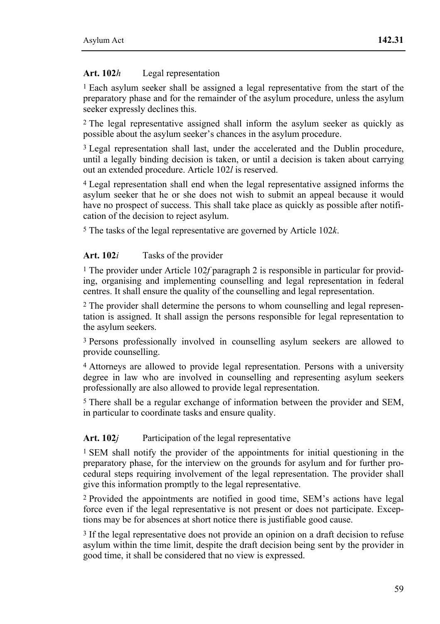## **Art. 102***h* Legal representation

1 Each asylum seeker shall be assigned a legal representative from the start of the preparatory phase and for the remainder of the asylum procedure, unless the asylum seeker expressly declines this.

2 The legal representative assigned shall inform the asylum seeker as quickly as possible about the asylum seeker's chances in the asylum procedure.

<sup>3</sup> Legal representation shall last, under the accelerated and the Dublin procedure, until a legally binding decision is taken, or until a decision is taken about carrying out an extended procedure. Article 102*l* is reserved.

4 Legal representation shall end when the legal representative assigned informs the asylum seeker that he or she does not wish to submit an appeal because it would have no prospect of success. This shall take place as quickly as possible after notification of the decision to reject asylum.

5 The tasks of the legal representative are governed by Article 102*k*.

## **Art. 102***i* Tasks of the provider

1 The provider under Article 102*f* paragraph 2 is responsible in particular for providing, organising and implementing counselling and legal representation in federal centres. It shall ensure the quality of the counselling and legal representation.

2 The provider shall determine the persons to whom counselling and legal representation is assigned. It shall assign the persons responsible for legal representation to the asylum seekers.

3 Persons professionally involved in counselling asylum seekers are allowed to provide counselling.

4 Attorneys are allowed to provide legal representation. Persons with a university degree in law who are involved in counselling and representing asylum seekers professionally are also allowed to provide legal representation.

5 There shall be a regular exchange of information between the provider and SEM, in particular to coordinate tasks and ensure quality.

# Art. 102*j* Participation of the legal representative

1 SEM shall notify the provider of the appointments for initial questioning in the preparatory phase, for the interview on the grounds for asylum and for further procedural steps requiring involvement of the legal representation. The provider shall give this information promptly to the legal representative.

2 Provided the appointments are notified in good time, SEM's actions have legal force even if the legal representative is not present or does not participate. Exceptions may be for absences at short notice there is justifiable good cause.

3 If the legal representative does not provide an opinion on a draft decision to refuse asylum within the time limit, despite the draft decision being sent by the provider in good time, it shall be considered that no view is expressed.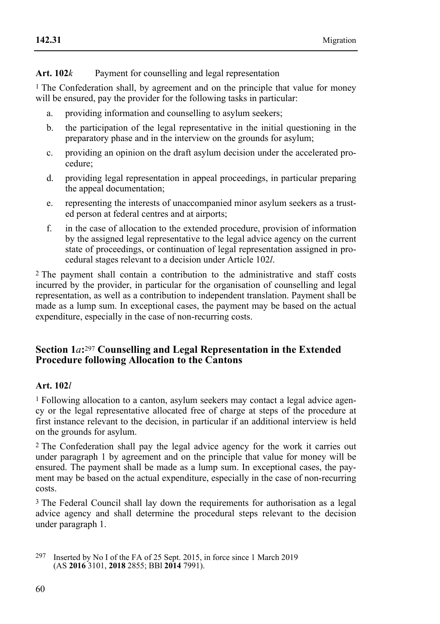## Art. 102*k* Payment for counselling and legal representation

1 The Confederation shall, by agreement and on the principle that value for money will be ensured, pay the provider for the following tasks in particular:

- a. providing information and counselling to asylum seekers;
- b. the participation of the legal representative in the initial questioning in the preparatory phase and in the interview on the grounds for asylum;
- c. providing an opinion on the draft asylum decision under the accelerated procedure;
- d. providing legal representation in appeal proceedings, in particular preparing the appeal documentation:
- e. representing the interests of unaccompanied minor asylum seekers as a trusted person at federal centres and at airports;
- f. in the case of allocation to the extended procedure, provision of information by the assigned legal representative to the legal advice agency on the current state of proceedings, or continuation of legal representation assigned in procedural stages relevant to a decision under Article 102*l*.

2 The payment shall contain a contribution to the administrative and staff costs incurred by the provider, in particular for the organisation of counselling and legal representation, as well as a contribution to independent translation. Payment shall be made as a lump sum. In exceptional cases, the payment may be based on the actual expenditure, especially in the case of non-recurring costs.

# **Section 1***a***:**297 **Counselling and Legal Representation in the Extended Procedure following Allocation to the Cantons**

### **Art. 102***l*

1 Following allocation to a canton, asylum seekers may contact a legal advice agency or the legal representative allocated free of charge at steps of the procedure at first instance relevant to the decision, in particular if an additional interview is held on the grounds for asylum.

2 The Confederation shall pay the legal advice agency for the work it carries out under paragraph 1 by agreement and on the principle that value for money will be ensured. The payment shall be made as a lump sum. In exceptional cases, the payment may be based on the actual expenditure, especially in the case of non-recurring costs.

3 The Federal Council shall lay down the requirements for authorisation as a legal advice agency and shall determine the procedural steps relevant to the decision under paragraph 1.

<sup>297</sup> 297 Inserted by No I of the FA of 25 Sept. 2015, in force since 1 March 2019 (AS **2016** 3101, **2018** 2855; BBl **2014** 7991).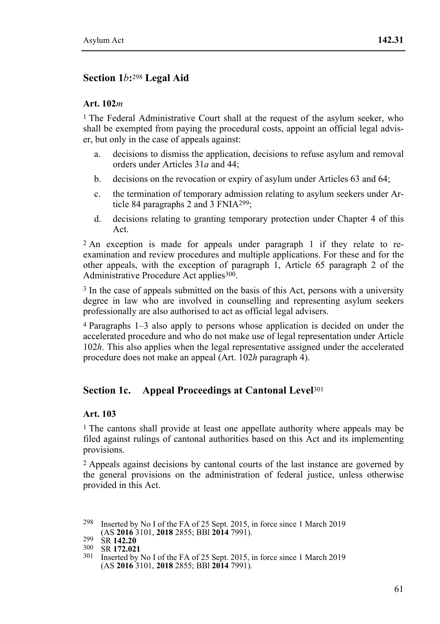# **Section 1***b***:**298 **Legal Aid**

#### **Art. 102***m*

<sup>1</sup> The Federal Administrative Court shall at the request of the asylum seeker, who shall be exempted from paying the procedural costs, appoint an official legal adviser, but only in the case of appeals against:

- a. decisions to dismiss the application, decisions to refuse asylum and removal orders under Articles 31*a* and 44;
- b. decisions on the revocation or expiry of asylum under Articles 63 and 64;
- c. the termination of temporary admission relating to asylum seekers under Article 84 paragraphs 2 and 3 FNIA299;
- d. decisions relating to granting temporary protection under Chapter 4 of this Act.

2 An exception is made for appeals under paragraph 1 if they relate to reexamination and review procedures and multiple applications. For these and for the other appeals, with the exception of paragraph 1, Article 65 paragraph 2 of the Administrative Procedure Act applies<sup>300</sup>.

3 In the case of appeals submitted on the basis of this Act, persons with a university degree in law who are involved in counselling and representing asylum seekers professionally are also authorised to act as official legal advisers.

4 Paragraphs 1–3 also apply to persons whose application is decided on under the accelerated procedure and who do not make use of legal representation under Article 102*h*. This also applies when the legal representative assigned under the accelerated procedure does not make an appeal (Art. 102*h* paragraph 4).

# **Section 1c. Appeal Proceedings at Cantonal Level**<sup>301</sup>

### **Art. 103**

<sup>1</sup> The cantons shall provide at least one appellate authority where appeals may be filed against rulings of cantonal authorities based on this Act and its implementing provisions.

2 Appeals against decisions by cantonal courts of the last instance are governed by the general provisions on the administration of federal justice, unless otherwise provided in this Act.

<sup>298</sup> Inserted by No I of the FA of 25 Sept. 2015, in force since 1 March 2019 (AS 2016 3101, 2018 2855; BBI 2014 7991).

<sup>(</sup>AS **2016** 3101, **2018** 2855; BBl **2014** 7991). 299 SR **142.20** 300 SR **172.021** 301 Inserted by No I of the FA of 25 Sept. 2015, in force since 1 March 2019 (AS **2016** 3101, **2018** 2855; BBl **2014** 7991).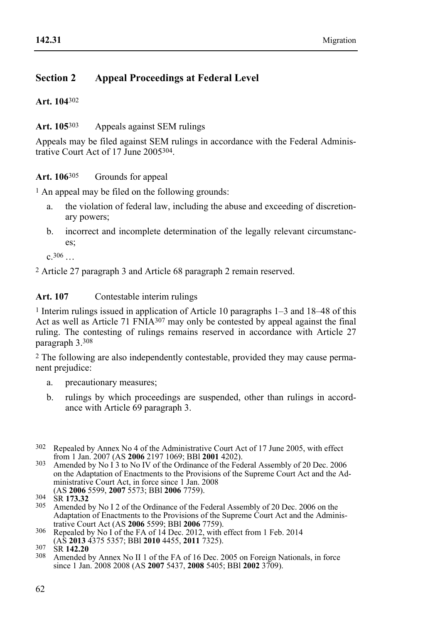# **Section 2 Appeal Proceedings at Federal Level**

**Art. 104**302

### **Art. 105**303 Appeals against SEM rulings

Appeals may be filed against SEM rulings in accordance with the Federal Administrative Court Act of 17 June 2005304.

#### **Art. 106**305 Grounds for appeal

 $<sup>1</sup>$  An appeal may be filed on the following grounds:</sup>

- a. the violation of federal law, including the abuse and exceeding of discretionary powers;
- b. incorrect and incomplete determination of the legally relevant circumstances;

c.306 …

2 Article 27 paragraph 3 and Article 68 paragraph 2 remain reserved.

### **Art. 107** Contestable interim rulings

 $1$  Interim rulings issued in application of Article 10 paragraphs 1–3 and 18–48 of this Act as well as Article 71  $\widehat{\text{FNA}}^{307}$  may only be contested by appeal against the final ruling. The contesting of rulings remains reserved in accordance with Article 27 paragraph 3.308

2 The following are also independently contestable, provided they may cause permanent prejudice:

- a. precautionary measures;
- b. rulings by which proceedings are suspended, other than rulings in accordance with Article 69 paragraph 3.
- <sup>302</sup> Repealed by Annex No 4 of the Administrative Court Act of 17 June 2005, with effect from 1 Jan. 2007 (AS **2006** 2197 1069; BBI **2001** 4202).
- <sup>303</sup> Amended by No I 3 to No IV of the Ordinance of the Federal Assembly of 20 Dec. 2006 on the Adaptation of Enactments to the Provisions of the Supreme Court Act and the Administrative Court Act, in force since 1 Jan. 2008<br>(AS 2006 5599, 2007 5573; BBI 2006 7759).
- EX **2006** 558 **2006** 558 **2007 2007 2007** 5573.32<br><sup>305</sup> Amended by No I 2 of the Ordinance of the Federal Assembly of 20 Dec. 2006 on the Adaptation of Enactments to the Provisions of the Supreme Court Act and the Administrative Court Act (AS 2006 5599; BBI 2006 7759).
- 306 Repealed by No I of the FA of 14 Dec. 2012, with effect from 1 Feb. 2014 (AS **2013** 4375 5357; BBI **2010** 4455, **2011** 7325).

(AS **2013** 4375 5357; BBl **2010** 4455, **2011** 7325). 307 SR **142.20** 308 Amended by Annex No II 1 of the FA of 16 Dec. 2005 on Foreign Nationals, in force since 1 Jan. 2008 2008 (AS **2007** 5437, **2008** 5405; BBl **2002** 3709).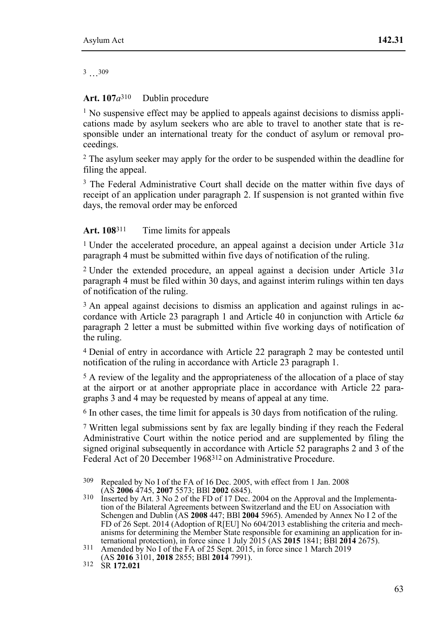3 …309

#### **Art. 107***a*310 Dublin procedure

 $<sup>1</sup>$  No suspensive effect may be applied to appeals against decisions to dismiss appli-</sup> cations made by asylum seekers who are able to travel to another state that is responsible under an international treaty for the conduct of asylum or removal proceedings.

2 The asylum seeker may apply for the order to be suspended within the deadline for filing the appeal.

<sup>3</sup> The Federal Administrative Court shall decide on the matter within five days of receipt of an application under paragraph 2. If suspension is not granted within five days, the removal order may be enforced

#### Art. 108<sup>311</sup> Time limits for appeals

1 Under the accelerated procedure, an appeal against a decision under Article 31*a* paragraph 4 must be submitted within five days of notification of the ruling.

2 Under the extended procedure, an appeal against a decision under Article 31*a* paragraph 4 must be filed within 30 days, and against interim rulings within ten days of notification of the ruling.

3 An appeal against decisions to dismiss an application and against rulings in accordance with Article 23 paragraph 1 and Article 40 in conjunction with Article 6*a* paragraph 2 letter a must be submitted within five working days of notification of the ruling.

4 Denial of entry in accordance with Article 22 paragraph 2 may be contested until notification of the ruling in accordance with Article 23 paragraph 1.

<sup>5</sup> A review of the legality and the appropriateness of the allocation of a place of stay at the airport or at another appropriate place in accordance with Article 22 paragraphs 3 and 4 may be requested by means of appeal at any time.

6 In other cases, the time limit for appeals is 30 days from notification of the ruling.

7 Written legal submissions sent by fax are legally binding if they reach the Federal Administrative Court within the notice period and are supplemented by filing the signed original subsequently in accordance with Article 52 paragraphs 2 and 3 of the Federal Act of 20 December 1968312 on Administrative Procedure.

 309 Repealed by No I of the FA of 16 Dec. 2005, with effect from 1 Jan. 2008 (AS **2006** 4745, **2007** 5573; BBl **2002** 6845). 310 Inserted by Art. 3 No 2 of the FD of 17 Dec. 2004 on the Approval and the Implementa-

tion of the Bilateral Agreements between Switzerland and the EU on Association with Schengen and Dublin (AS **2008** 447; BBl **2004** 5965). Amended by Annex No I 2 of the FD of 26 Sept. 2014 (Adoption of R[EU] No 604/2013 establishing the criteria and mechanisms for determining the Member State responsible for examining an application for international protection), in force since 1 July 2015 (AS **2015** 1841; BBl **2014** 2675). 311 Amended by No I of the FA of 25 Sept. 2015, in force since 1 March 2019

<sup>(</sup>AS **2016** 3101, **2018** 2855; BBl **2014** 7991). 312 SR **172.021**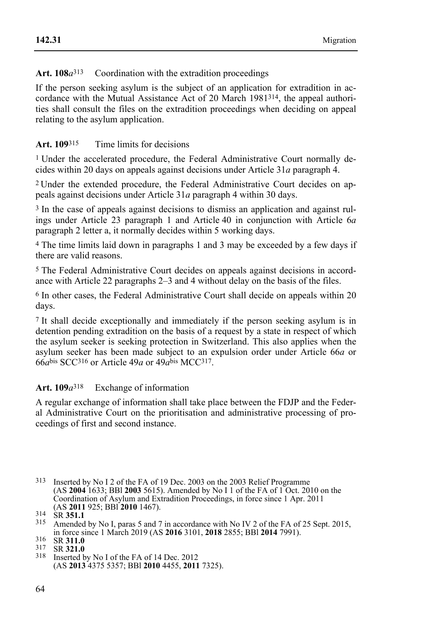Art.  $108a^{313}$  Coordination with the extradition proceedings

If the person seeking asylum is the subject of an application for extradition in accordance with the Mutual Assistance Act of 20 March 1981314, the appeal authorities shall consult the files on the extradition proceedings when deciding on appeal relating to the asylum application.

## **Art. 109**315 Time limits for decisions

1 Under the accelerated procedure, the Federal Administrative Court normally decides within 20 days on appeals against decisions under Article 31*a* paragraph 4.

2 Under the extended procedure, the Federal Administrative Court decides on appeals against decisions under Article 31*a* paragraph 4 within 30 days.

<sup>3</sup> In the case of appeals against decisions to dismiss an application and against rulings under Article 23 paragraph 1 and Article 40 in conjunction with Article 6*a* paragraph 2 letter a, it normally decides within 5 working days.

4 The time limits laid down in paragraphs 1 and 3 may be exceeded by a few days if there are valid reasons.

5 The Federal Administrative Court decides on appeals against decisions in accordance with Article 22 paragraphs 2–3 and 4 without delay on the basis of the files.

6 In other cases, the Federal Administrative Court shall decide on appeals within 20 days.

7 It shall decide exceptionally and immediately if the person seeking asylum is in detention pending extradition on the basis of a request by a state in respect of which the asylum seeker is seeking protection in Switzerland. This also applies when the asylum seeker has been made subject to an expulsion order under Article 66*a* or 66*a*bis SCC316 or Article 49*a* or 49*a*bis MCC317.

# **Art. 109***a*318 Exchange of information

A regular exchange of information shall take place between the FDJP and the Federal Administrative Court on the prioritisation and administrative processing of proceedings of first and second instance.

<sup>313</sup> Inserted by No I 2 of the FA of 19 Dec. 2003 on the 2003 Relief Programme (AS **2004** 1633; BBl **2003** 5615). Amended by No I 1 of the FA of 1 Oct. 2010 on the Coordination of Asylum and Extradition Proceedings, in force since 1 Apr. 2011

<sup>(</sup>AS **2011** 925; BBl **2010** 1467). 314 SR **351.1** 315 Amended by No I, paras 5 and 7 in accordance with No IV 2 of the FA of 25 Sept. 2015, in force since 1 March 2019 (AS **2016** 3101, **2018** 2855; BBl **2014** 7991). 316 SR **311.0** 317 SR **321.0** 318 Inserted by No I of the FA of 14 Dec. 2012

<sup>(</sup>AS **2013** 4375 5357; BBl **2010** 4455, **2011** 7325).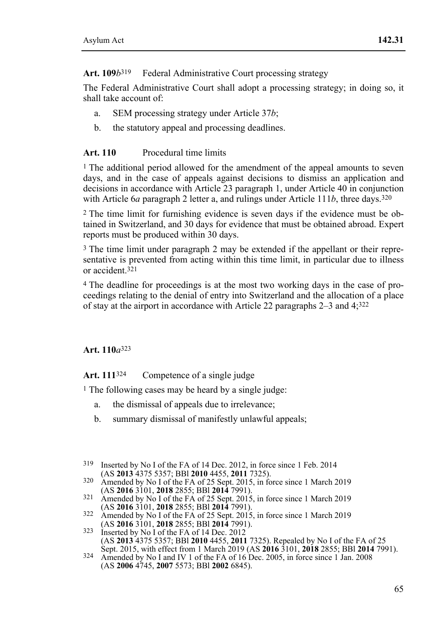Art. 109*b*<sup>319</sup> Federal Administrative Court processing strategy

The Federal Administrative Court shall adopt a processing strategy; in doing so, it shall take account of:

- a. SEM processing strategy under Article 37*b*;
- b. the statutory appeal and processing deadlines.

# **Art. 110** Procedural time limits

<sup>1</sup> The additional period allowed for the amendment of the appeal amounts to seven days, and in the case of appeals against decisions to dismiss an application and decisions in accordance with Article 23 paragraph 1, under Article 40 in conjunction with Article 6*a* paragraph 2 letter a, and rulings under Article 111*b*, three days.320

2 The time limit for furnishing evidence is seven days if the evidence must be obtained in Switzerland, and 30 days for evidence that must be obtained abroad. Expert reports must be produced within 30 days.

3 The time limit under paragraph 2 may be extended if the appellant or their representative is prevented from acting within this time limit, in particular due to illness or accident<sup>321</sup>

4 The deadline for proceedings is at the most two working days in the case of proceedings relating to the denial of entry into Switzerland and the allocation of a place of stay at the airport in accordance with Article 22 paragraphs 2–3 and 4;322

### **Art. 110***a*323

Art. 111<sup>324</sup> Competence of a single judge

<sup>1</sup> The following cases may be heard by a single judge:

- a. the dismissal of appeals due to irrelevance;
- b. summary dismissal of manifestly unlawful appeals;
- <sup>319</sup> Inserted by No I of the FA of 14 Dec. 2012, in force since 1 Feb. 2014 (AS **2013** 4375 5357; BBI **2010** 4455, **2011** 7325).
- 320 Amended by No I of the FA of 25 Sept. 2015, in force since 1 March 2019 (AS **2016** 3101, **2018** 2855; BBI **2014** 7991).
- (AS **2016** 3101, **2018** 2855; BBl **2014** 7991). 321 Amended by No I of the FA of 25 Sept. 2015, in force since 1 March 2019
- 322 Amended by No I of the FA of 25 Sept. 2015, in force since 1 March 2019 (AS **2016** 3101, **2018** 2855; BBI **2014** 7991).
- <sup>323</sup> Inserted by No I of the FA of 14 Dec. 2012 (AS 2013 4375 5357; BBI 2010 4455, 2011 7325). Repealed by No I of the FA of 25<br>Sept. 2015, with effect from 1 March 2019 (AS 2016 3101, 2018 2855; BBI 2014 7991).<br><sup>324</sup> Amended by No I and IV 1 of the FA of 16 Dec. 2005,
- (AS **2006** 4745, **2007** 5573; BBl **2002** 6845).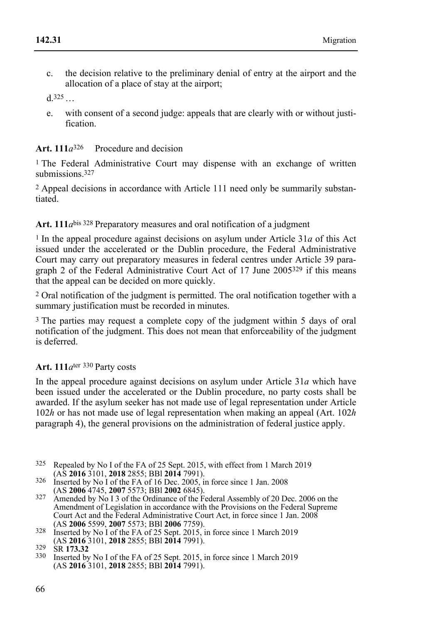c. the decision relative to the preliminary denial of entry at the airport and the allocation of a place of stay at the airport;

 $d.325...$ 

e. with consent of a second judge: appeals that are clearly with or without justification.

# **Art. 111***a*326 Procedure and decision

<sup>1</sup> The Federal Administrative Court may dispense with an exchange of written submissions.<sup>327</sup>

2 Appeal decisions in accordance with Article 111 need only be summarily substantiated.

# **Art. 111***a*bis 328 Preparatory measures and oral notification of a judgment

<sup>1</sup> In the appeal procedure against decisions on asylum under Article 31*a* of this Act issued under the accelerated or the Dublin procedure, the Federal Administrative Court may carry out preparatory measures in federal centres under Article 39 paragraph 2 of the Federal Administrative Court Act of 17 June 2005329 if this means that the appeal can be decided on more quickly.

2 Oral notification of the judgment is permitted. The oral notification together with a summary justification must be recorded in minutes.

3 The parties may request a complete copy of the judgment within 5 days of oral notification of the judgment. This does not mean that enforceability of the judgment is deferred.

# **Art. 111***a*ter 330 Party costs

In the appeal procedure against decisions on asylum under Article 31*a* which have been issued under the accelerated or the Dublin procedure, no party costs shall be awarded. If the asylum seeker has not made use of legal representation under Article 102*h* or has not made use of legal representation when making an appeal (Art. 102*h*  paragraph 4), the general provisions on the administration of federal justice apply.

- <sup>325</sup> Repealed by No I of the FA of 25 Sept. 2015, with effect from 1 March 2019 (AS **2016** 3101, **2018** 2855; BBI **2014** 7991).
- <sup>326</sup> Inserted by No I of the FA of 16 Dec. 2005, in force since 1 Jan. 2008<br>(AS **2006** 4745, **2007** 5573; BBI **2002** 6845).
- (AS **2006** 4745, **2007** 5573; BBl **2002** 6845). 327 Amended by No I 3 of the Ordinance of the Federal Assembly of 20 Dec. 2006 on the Amendment of Legislation in accordance with the Provisions on the Federal Supreme Court Act and the Federal Administrative Court Act, in force since 1 Jan. 2008 (AS 2006 5599, 2007 5573; BBI 2006 7759).
- <sup>328</sup> Inserted by No I of the FA of 25 Sept. 2015, in force since 1 March 2019 (AS **2016** 3101, **2018** 2855; BBI **2014** 7991).

(AS **2016** 3101, **2018** 2855; BBl **2014** 7991). 329 SR **173.32** 330 Inserted by No I of the FA of 25 Sept. 2015, in force since 1 March 2019 (AS **2016** 3101, **2018** 2855; BBl **2014** 7991).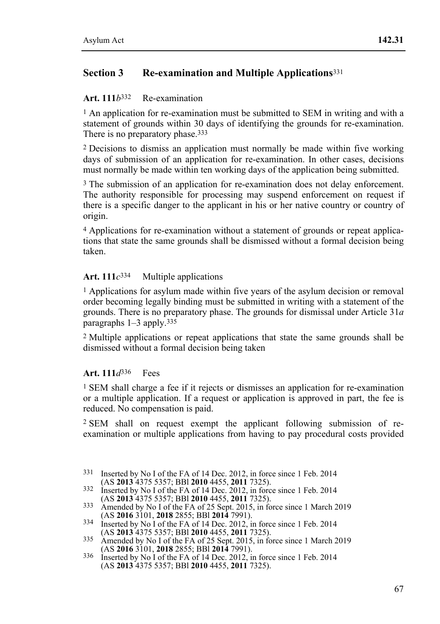# **Section 3 Re-examination and Multiple Applications**<sup>331</sup>

#### **Art. 111***b*332 Re-examination

<sup>1</sup> An application for re-examination must be submitted to SEM in writing and with a statement of grounds within 30 days of identifying the grounds for re-examination. There is no preparatory phase.<sup>333</sup>

2 Decisions to dismiss an application must normally be made within five working days of submission of an application for re-examination. In other cases, decisions must normally be made within ten working days of the application being submitted.

<sup>3</sup> The submission of an application for re-examination does not delay enforcement. The authority responsible for processing may suspend enforcement on request if there is a specific danger to the applicant in his or her native country or country of origin.

4 Applications for re-examination without a statement of grounds or repeat applications that state the same grounds shall be dismissed without a formal decision being taken.

### Art.  $111c^{334}$  Multiple applications

1 Applications for asylum made within five years of the asylum decision or removal order becoming legally binding must be submitted in writing with a statement of the grounds. There is no preparatory phase. The grounds for dismissal under Article 31*a* paragraphs 1–3 apply.335

2 Multiple applications or repeat applications that state the same grounds shall be dismissed without a formal decision being taken

### **Art. 111***d*336 Fees

1 SEM shall charge a fee if it rejects or dismisses an application for re-examination or a multiple application. If a request or application is approved in part, the fee is reduced. No compensation is paid.

2 SEM shall on request exempt the applicant following submission of reexamination or multiple applications from having to pay procedural costs provided

- 331 Inserted by No I of the FA of 14 Dec. 2012, in force since 1 Feb. 2014 (AS 2013 4375 5357; BBI 2010 4455, 2011 7325).
- (AS **2013** 4375 5357; BBl **2010** 4455, **2011** 7325). 332 Inserted by No I of the FA of 14 Dec. 2012, in force since 1 Feb. 2014
- <sup>333</sup> Amended by No I of the FA of 25 Sept. 2015, in force since 1 March 2019
- (AS **2016** 3101, **2018** 2855; BBI **2014** 7991).<br>
Inserted by No I of the FA of 14 Dec. 2012, in force since 1 Feb. 2014<br>
(AS **2013** 4375 5357; BBI **2010** 4455, **2011** 7325).
- (AS **2013** 4375 5357; BBl **2010** 4455, **2011** 7325). 335 Amended by No I of the FA of 25 Sept. 2015, in force since 1 March 2019
- (AS **2016** 3101, **2018** 2855; BBl **2014** 7991). 336 Inserted by No I of the FA of 14 Dec. 2012, in force since 1 Feb. 2014 (AS **2013** 4375 5357; BBl **2010** 4455, **2011** 7325).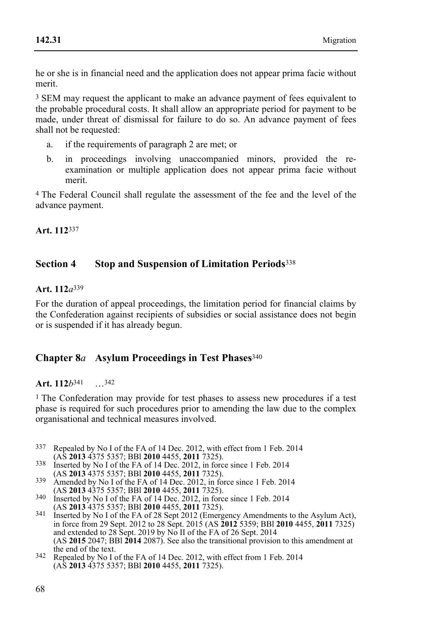he or she is in financial need and the application does not appear prima facie without merit.

<sup>3</sup> SEM may request the applicant to make an advance payment of fees equivalent to the probable procedural costs. It shall allow an appropriate period for payment to be made, under threat of dismissal for failure to do so. An advance payment of fees shall not be requested:

- a. if the requirements of paragraph 2 are met; or
- b. in proceedings involving unaccompanied minors, provided the reexamination or multiple application does not appear prima facie without merit.

4 The Federal Council shall regulate the assessment of the fee and the level of the advance payment.

**Art. 112**337

## **Section 4 Stop and Suspension of Limitation Periods**<sup>338</sup>

#### **Art. 112***a*339

For the duration of appeal proceedings, the limitation period for financial claims by the Confederation against recipients of subsidies or social assistance does not begin or is suspended if it has already begun.

# **Chapter 8***a* **Asylum Proceedings in Test Phases**<sup>340</sup>

#### **Art. 112***b*341 …342

1 The Confederation may provide for test phases to assess new procedures if a test phase is required for such procedures prior to amending the law due to the complex organisational and technical measures involved.

- 337 Repealed by No I of the FA of 14 Dec. 2012, with effect from 1 Feb. 2014 (AS 2013 4375 5357; BBI 2010 4455, 2011 7325).
- <sup>338</sup> Inserted by No I of the FA of 14 Dec. 2012, in force since 1 Feb. 2014 (AS **2013** 4375 5357; BBI **2010** 4455, **2011** 7325).
- <sup>339</sup> Amended by No I of the FA of 14 Dec. 2012, in force since 1 Feb. 2014
- (AS **2013** 4375 5357; BBI **2010** 4455, **2011** 7325).<br>340 Inserted by No I of the FA of 14 Dec. 2012, in force since 1 Feb. 2014<br>(AS **2013** 4375 5357; BBI **2010** 4455, **2011** 7325).
- (AS 2013 4375 5357; BBI 2010 4455, 2011 7325).<br>
Inserted by No I of the FA of 28 Sept 2012 (Emergency Amendments to the Asylum Act),<br>
in force from 29 Sept. 2012 to 28 Sept. 2015 (AS 2012 5359; BBI 2010 4455, 2011 7325) and extended to 28 Sept. 2019 by No II of the FA of 26 Sept. 2014 (AS **2015** 2047; BBl **2014** 2087). See also the transitional provision to this amendment at
- <sup>342</sup> Repealed by No I of the FA of 14 Dec. 2012, with effect from 1 Feb. 2014 (AS **2013** 4375 5357; BBl **2010** 4455, **2011** 7325).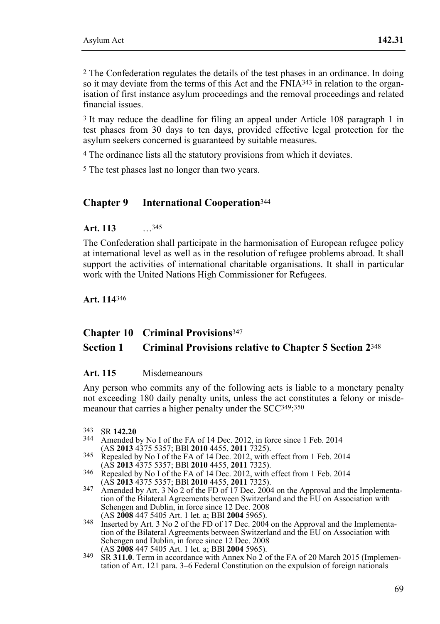2 The Confederation regulates the details of the test phases in an ordinance. In doing so it may deviate from the terms of this Act and the  $\text{FNIA}^{343}$  in relation to the organisation of first instance asylum proceedings and the removal proceedings and related financial issues.

3 It may reduce the deadline for filing an appeal under Article 108 paragraph 1 in test phases from 30 days to ten days, provided effective legal protection for the asylum seekers concerned is guaranteed by suitable measures.

4 The ordinance lists all the statutory provisions from which it deviates.

5 The test phases last no longer than two years.

#### **Chapter 9 International Cooperation**<sup>344</sup>

**Art. 113** …345

The Confederation shall participate in the harmonisation of European refugee policy at international level as well as in the resolution of refugee problems abroad. It shall support the activities of international charitable organisations. It shall in particular work with the United Nations High Commissioner for Refugees.

**Art. 114**346

#### **Chapter 10 Criminal Provisions**<sup>347</sup>

#### **Section 1 Criminal Provisions relative to Chapter 5 Section 2**<sup>348</sup>

#### **Art. 115** Misdemeanours

Any person who commits any of the following acts is liable to a monetary penalty not exceeding 180 daily penalty units, unless the act constitutes a felony or misdemeanour that carries a higher penalty under the SCC349:350

- 343 SR **142.20** 344 Amended by No I of the FA of 14 Dec. 2012, in force since 1 Feb. 2014
- (AS **2013** 4375 5357; BBl **2010** 4455, **2011** 7325). 345 Repealed by No I of the FA of 14 Dec. 2012, with effect from 1 Feb. 2014
- <sup>346</sup> Repealed by No I of the FA of 14 Dec. 2012, with effect from 1 Feb. 2014
- (AS **2013** 4375 5357; BBI **2010** 4455, **2011** 7325).<br>347 Amended by Art. 3 No 2 of the FD of 17 Dec. 2004 on the Approval and the Implementation of the Bilateral Agreements between Switzerland and the EU on Association with Schengen and Dublin, in force since 12 Dec. 2008<br>(AS 2008 447 5405 Art. 1 let. a; BBI 2004 5965).
- (AS **2008** 447 5405 Art. 1 let. a; BBl **2004** 5965). 348 Inserted by Art. 3 No 2 of the FD of 17 Dec. 2004 on the Approval and the Implementation of the Bilateral Agreements between Switzerland and the EU on Association with Schengen and Dublin, in force since 12 Dec. 2008 (AS 2008 447 5405 Art. 1 let. a; BBI 2004 5965).
- <sup>349</sup> SR **311.0**. Term in accordance with Annex No 2 of the FA of 20 March 2015 (Implementation of Art. 121 para. 3–6 Federal Constitution on the expulsion of foreign nationals

 $343$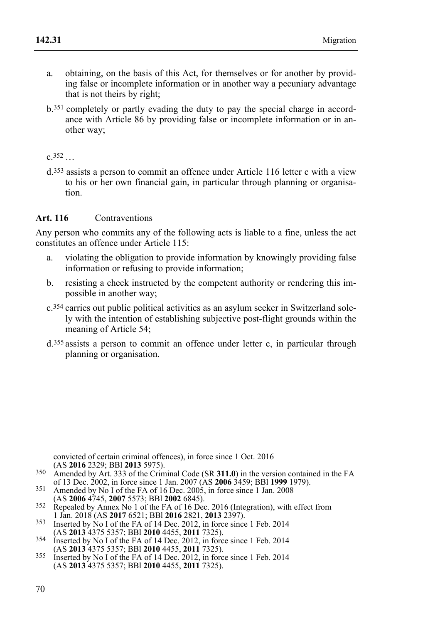- a. obtaining, on the basis of this Act, for themselves or for another by providing false or incomplete information or in another way a pecuniary advantage that is not theirs by right;
- b.351 completely or partly evading the duty to pay the special charge in accordance with Article 86 by providing false or incomplete information or in another way;

 $c.352$ 

d.353 assists a person to commit an offence under Article 116 letter c with a view to his or her own financial gain, in particular through planning or organisation.

### **Art. 116** Contraventions

Any person who commits any of the following acts is liable to a fine, unless the act constitutes an offence under Article 115:

- a. violating the obligation to provide information by knowingly providing false information or refusing to provide information;
- b. resisting a check instructed by the competent authority or rendering this impossible in another way;
- c.354 carries out public political activities as an asylum seeker in Switzerland solely with the intention of establishing subjective post-flight grounds within the meaning of Article 54;
- d.355 assists a person to commit an offence under letter c, in particular through planning or organisation.

convicted of certain criminal offences), in force since 1 Oct. 2016<br>(AS 2016 2329: BBI 2013 5975).

- Amended by Art. 333 of the Criminal Code (SR **311.0**) in the version contained in the FA of 13 Dec. 2002. in force since 1 Jan. 2007 (AS **2006** 3459: BBI 1999 1979).
- <sup>351</sup> Amended by No I of the FA of 16 Dec. 2005, in force since 1 Jan. 2008<br>(AS **2006** 4745, **2007** 5573; BBI **2002** 6845).
- <sup>352</sup> Repealed by Annex No 1 of the FA of 16 Dec. 2016 (Integration), with effect from 1 Jan. 2018 (AS **2017** 6521; BBI **2016** 2821, **2013** 2397).
- 1 Jan. 2018 (AS **2017** 6521, *DD1201, BBl* **2012**, in force since 1 Feb. 2014<br>(AS **2013** 4375 5357; BBl **2010** 4455, **2011** 7325).
- (AS **2013** 4375 5357; BBl **2010** 4455, **2011** 7325). 354 Inserted by No I of the FA of 14 Dec. 2012, in force since 1 Feb. 2014
- (AS **2013** 4375 5357; BBl **2010** 4455, **2011** 7325). 355 Inserted by No I of the FA of 14 Dec. 2012, in force since 1 Feb. 2014 (AS **2013** 4375 5357; BBl **2010** 4455, **2011** 7325).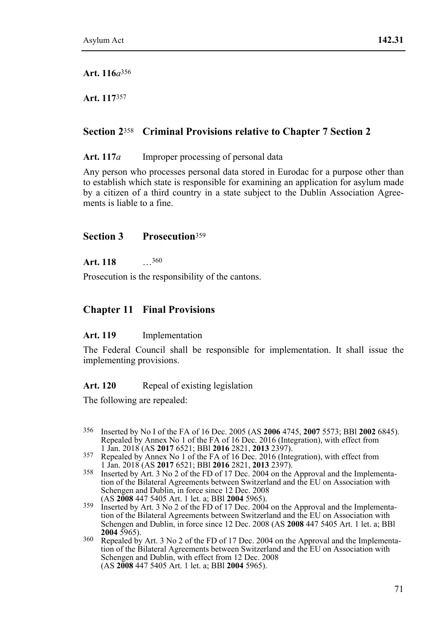**Art. 116***a*356

**Art. 117**357

# **Section 2**358 **Criminal Provisions relative to Chapter 7 Section 2**

Art. 117*a* Improper processing of personal data

Any person who processes personal data stored in Eurodac for a purpose other than to establish which state is responsible for examining an application for asylum made by a citizen of a third country in a state subject to the Dublin Association Agreements is liable to a fine.

## **Section 3 Prosecution**<sup>359</sup>

**Art. 118** …360

Prosecution is the responsibility of the cantons.

# **Chapter 11 Final Provisions**

### **Art. 119** Implementation

The Federal Council shall be responsible for implementation. It shall issue the implementing provisions.

### Art. 120 Repeal of existing legislation

The following are repealed:

- 356 356 Inserted by No I of the FA of 16 Dec. 2005 (AS **2006** 4745, **2007** 5573; BBl **2002** 6845). Repealed by Annex No 1 of the FA of 16 Dec. 2016 (Integration), with effect from 1 Jan. 2018 (AS  $2017\,6521$ ; BBI  $2016\,2821$ ,  $2013\,2397$ ).
- 1 Jan. 2018 (AS **2017** 6521; BBl **2016** 2821, **2013** 2397). 357 Repealed by Annex No 1 of the FA of 16 Dec. 2016 (Integration), with effect from
- <sup>358</sup> Inserted by Art. 3 No 2 of the FD of 17 Dec. 2004 on the Approval and the Implementation of the Bilateral Agreements between Switzerland and the EU on Association with Schengen and Dublin, in force since 12 Dec. 2008 (AS 2008 447 5405 Art. 1 let. a; BBI 2004 5965).
- <sup>359</sup> Inserted by Art. 3 No 2 of the FD of 17 Dec. 2004 on the Approval and the Implementation of the Bilateral Agreements between Switzerland and the EU on Association with Schengen and Dublin, in force since 12 Dec. 2008 (AS **2008** 447 5405 Art. 1 let. a; BBl
- <sup>360</sup> Repealed by Art. 3 No 2 of the FD of 17 Dec. 2004 on the Approval and the Implementation of the Bilateral Agreements between Switzerland and the EU on Association with Schengen and Dublin, with effect from 12 Dec. 2008 (AS **2008** 447 5405 Art. 1 let. a; BBl **2004** 5965).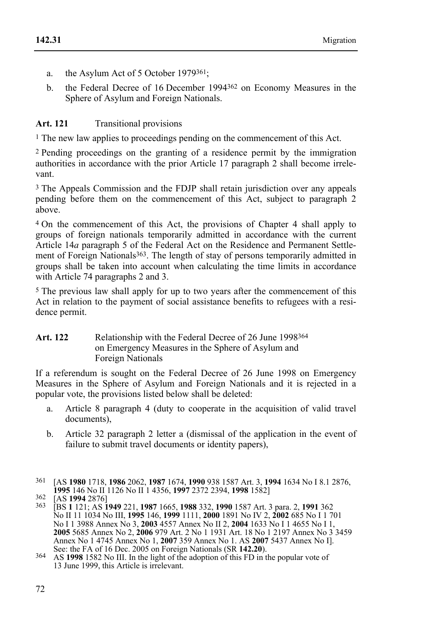- a. the Asylum Act of 5 October 1979361;
- b. the Federal Decree of 16 December 1994362 on Economy Measures in the Sphere of Asylum and Foreign Nationals.

#### Art. 121 Transitional provisions

1 The new law applies to proceedings pending on the commencement of this Act.

2 Pending proceedings on the granting of a residence permit by the immigration authorities in accordance with the prior Article 17 paragraph 2 shall become irrelevant.

3 The Appeals Commission and the FDJP shall retain jurisdiction over any appeals pending before them on the commencement of this Act, subject to paragraph 2 above.

4 On the commencement of this Act, the provisions of Chapter 4 shall apply to groups of foreign nationals temporarily admitted in accordance with the current Article 14*a* paragraph 5 of the Federal Act on the Residence and Permanent Settlement of Foreign Nationals<sup>363</sup>. The length of stay of persons temporarily admitted in groups shall be taken into account when calculating the time limits in accordance with Article 74 paragraphs 2 and 3.

5 The previous law shall apply for up to two years after the commencement of this Act in relation to the payment of social assistance benefits to refugees with a residence permit.

#### Art. 122 Relationship with the Federal Decree of 26 June 1998<sup>364</sup> on Emergency Measures in the Sphere of Asylum and Foreign Nationals

If a referendum is sought on the Federal Decree of 26 June 1998 on Emergency Measures in the Sphere of Asylum and Foreign Nationals and it is rejected in a popular vote, the provisions listed below shall be deleted:

- a. Article 8 paragraph 4 (duty to cooperate in the acquisition of valid travel documents),
- b. Article 32 paragraph 2 letter a (dismissal of the application in the event of failure to submit travel documents or identity papers),
- 361 [AS **1980** 1718, **1986** 2062, **1987** 1674, **1990** 938 1587 Art. 3, **1994** 1634 No I 8.1 2876, **1995** 146 No II 1126 No II 1 4356, **1997** 2372 2394, **1998** 1582]<br><sup>362</sup> [AS **1994** 2876]<br><sup>363</sup> [BS **1** 121; AS **1949** 221, **1987** 1665, **1988** 332, **1990** 1587 Art. 3 para. 2, **1991** 362

No II 11 1034 No III, **1995** 146, **1999** 1111, **2000** 1891 No IV 2, **2002** 685 No I 1 701 No I 1 3988 Annex No 3, **2003** 4557 Annex No II 2, **2004** 1633 No I 1 4655 No I 1, **2005** 5685 Annex No 2, **2006** 979 Art. 2 No 1 1931 Art. 18 No 1 2197 Annex No 3 3459 Annex No 1 4745 Annex No 1, **2007** 359 Annex No 1. AS **2007** 5437 Annex No I].

<sup>&</sup>lt;sup>364</sup> AS **1998** 1582 No III. In the light of the adoption of this FD in the popular vote of 13 June 1999, this Article is irrelevant.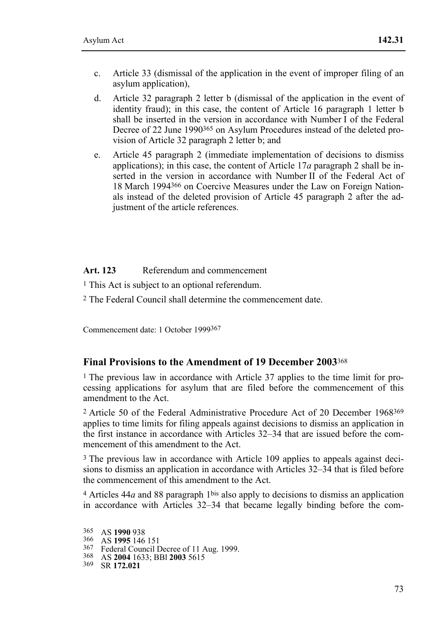- c. Article 33 (dismissal of the application in the event of improper filing of an asylum application),
- d. Article 32 paragraph 2 letter b (dismissal of the application in the event of identity fraud); in this case, the content of Article 16 paragraph 1 letter b shall be inserted in the version in accordance with Number I of the Federal Decree of 22 June 1990365 on Asylum Procedures instead of the deleted provision of Article 32 paragraph 2 letter b; and
- e. Article 45 paragraph 2 (immediate implementation of decisions to dismiss applications); in this case, the content of Article 17*a* paragraph 2 shall be inserted in the version in accordance with Number II of the Federal Act of 18 March 1994366 on Coercive Measures under the Law on Foreign Nationals instead of the deleted provision of Article 45 paragraph 2 after the adjustment of the article references.

#### **Art. 123** Referendum and commencement

1 This Act is subject to an optional referendum.

2 The Federal Council shall determine the commencement date.

Commencement date: 1 October 1999367

#### **Final Provisions to the Amendment of 19 December 2003**<sup>368</sup>

<sup>1</sup> The previous law in accordance with Article 37 applies to the time limit for processing applications for asylum that are filed before the commencement of this amendment to the Act.

2 Article 50 of the Federal Administrative Procedure Act of 20 December 1968369 applies to time limits for filing appeals against decisions to dismiss an application in the first instance in accordance with Articles 32–34 that are issued before the commencement of this amendment to the Act.

3 The previous law in accordance with Article 109 applies to appeals against decisions to dismiss an application in accordance with Articles 32–34 that is filed before the commencement of this amendment to the Act.

4 Articles 44*a* and 88 paragraph 1bis also apply to decisions to dismiss an application in accordance with Articles 32–34 that became legally binding before the com-

 $365$ 

<sup>365</sup> AS **1990** 938<br>366 AS **1995** 146 151<br><sup>367</sup> Federal Council Decree of 11 Aug. 1999.<br><sup>368</sup> AS **2004** 1633; BBl **2003** 5615<br><sup>369</sup> SR **172.021**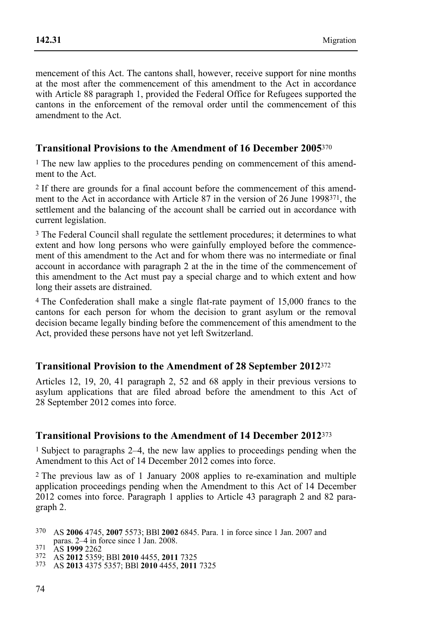mencement of this Act. The cantons shall, however, receive support for nine months at the most after the commencement of this amendment to the Act in accordance with Article 88 paragraph 1, provided the Federal Office for Refugees supported the cantons in the enforcement of the removal order until the commencement of this amendment to the Act.

## **Transitional Provisions to the Amendment of 16 December 2005**<sup>370</sup>

1 The new law applies to the procedures pending on commencement of this amendment to the Act.

2 If there are grounds for a final account before the commencement of this amendment to the Act in accordance with Article 87 in the version of 26 June 1998371, the settlement and the balancing of the account shall be carried out in accordance with current legislation.

3 The Federal Council shall regulate the settlement procedures; it determines to what extent and how long persons who were gainfully employed before the commencement of this amendment to the Act and for whom there was no intermediate or final account in accordance with paragraph 2 at the in the time of the commencement of this amendment to the Act must pay a special charge and to which extent and how long their assets are distrained.

4 The Confederation shall make a single flat-rate payment of 15,000 francs to the cantons for each person for whom the decision to grant asylum or the removal decision became legally binding before the commencement of this amendment to the Act, provided these persons have not yet left Switzerland.

## **Transitional Provision to the Amendment of 28 September 2012**<sup>372</sup>

Articles 12, 19, 20, 41 paragraph 2, 52 and 68 apply in their previous versions to asylum applications that are filed abroad before the amendment to this Act of 28 September 2012 comes into force.

## **Transitional Provisions to the Amendment of 14 December 2012**<sup>373</sup>

1 Subject to paragraphs 2–4, the new law applies to proceedings pending when the Amendment to this Act of 14 December 2012 comes into force.

2 The previous law as of 1 January 2008 applies to re-examination and multiple application proceedings pending when the Amendment to this Act of 14 December 2012 comes into force. Paragraph 1 applies to Article 43 paragraph 2 and 82 paragraph 2.

 370 AS **2006** 4745, **2007** 5573; BBl **2002** 6845. Para. 1 in force since 1 Jan. 2007 and paras. 2–4 in force since 1 Jan. 2008. 371 AS **1999** 2262 372 AS **2012** 5359; BBl **2010** 4455, **2011** 7325 373 AS **2013** 4375 5357; BBl **2010** 4455, **2011** 7325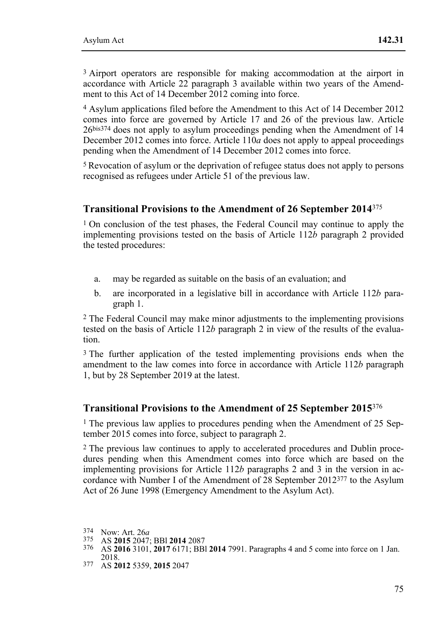3 Airport operators are responsible for making accommodation at the airport in accordance with Article 22 paragraph 3 available within two vears of the Amendment to this Act of 14 December 2012 coming into force.

4 Asylum applications filed before the Amendment to this Act of 14 December 2012 comes into force are governed by Article 17 and 26 of the previous law. Article 26bis374 does not apply to asylum proceedings pending when the Amendment of 14 December 2012 comes into force. Article 110*a* does not apply to appeal proceedings pending when the Amendment of 14 December 2012 comes into force.

5 Revocation of asylum or the deprivation of refugee status does not apply to persons recognised as refugees under Article 51 of the previous law.

#### **Transitional Provisions to the Amendment of 26 September 2014**<sup>375</sup>

1 On conclusion of the test phases, the Federal Council may continue to apply the implementing provisions tested on the basis of Article 112*b* paragraph 2 provided the tested procedures:

- a. may be regarded as suitable on the basis of an evaluation; and
- b. are incorporated in a legislative bill in accordance with Article 112*b* paragraph 1.

2 The Federal Council may make minor adjustments to the implementing provisions tested on the basis of Article 112*b* paragraph 2 in view of the results of the evaluation.

3 The further application of the tested implementing provisions ends when the amendment to the law comes into force in accordance with Article 112*b* paragraph 1, but by 28 September 2019 at the latest.

#### **Transitional Provisions to the Amendment of 25 September 2015**<sup>376</sup>

1 The previous law applies to procedures pending when the Amendment of 25 September 2015 comes into force, subject to paragraph 2.

2 The previous law continues to apply to accelerated procedures and Dublin procedures pending when this Amendment comes into force which are based on the implementing provisions for Article 112*b* paragraphs 2 and 3 in the version in accordance with Number I of the Amendment of 28 September 2012377 to the Asylum Act of 26 June 1998 (Emergency Amendment to the Asylum Act).

2018. 377 AS **2012** 5359, **2015** 2047

<sup>374</sup> Now: Art. 26a

<sup>374</sup> Now: Art. 26*<sup>a</sup>* 375 AS **2015** 2047; BBl **2014** 2087 376 AS **2016** 3101, **2017** 6171; BBl **2014** 7991. Paragraphs 4 and 5 come into force on 1 Jan.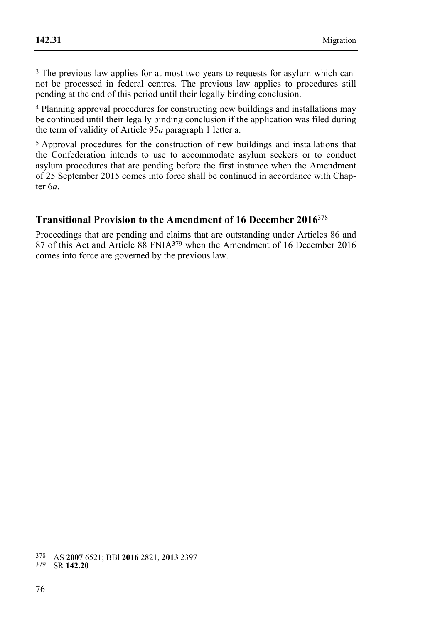3 The previous law applies for at most two years to requests for asylum which cannot be processed in federal centres. The previous law applies to procedures still pending at the end of this period until their legally binding conclusion.

4 Planning approval procedures for constructing new buildings and installations may be continued until their legally binding conclusion if the application was filed during the term of validity of Article 95*a* paragraph 1 letter a.

5 Approval procedures for the construction of new buildings and installations that the Confederation intends to use to accommodate asylum seekers or to conduct asylum procedures that are pending before the first instance when the Amendment of 25 September 2015 comes into force shall be continued in accordance with Chapter 6*a*.

## **Transitional Provision to the Amendment of 16 December 2016**<sup>378</sup>

Proceedings that are pending and claims that are outstanding under Articles 86 and 87 of this Act and Article 88 FNIA379 when the Amendment of 16 December 2016 comes into force are governed by the previous law.

 378 AS **2007** 6521; BBl **2016** 2821, **2013** 2397 379 SR **142.20**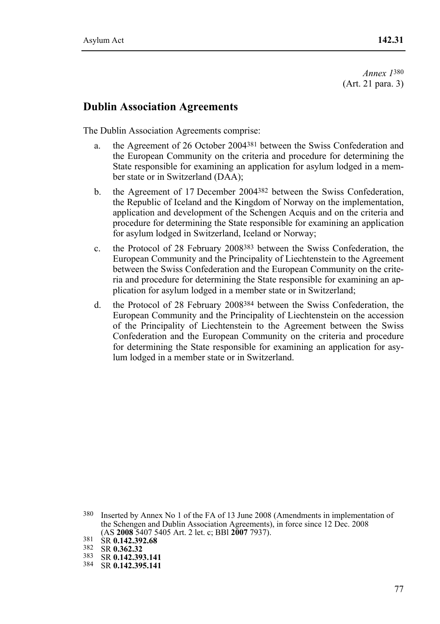*Annex 1*380 (Art. 21 para. 3)

## **Dublin Association Agreements**

The Dublin Association Agreements comprise:

- a. the Agreement of 26 October 2004381 between the Swiss Confederation and the European Community on the criteria and procedure for determining the State responsible for examining an application for asylum lodged in a member state or in Switzerland (DAA);
- b. the Agreement of 17 December 2004382 between the Swiss Confederation, the Republic of Iceland and the Kingdom of Norway on the implementation, application and development of the Schengen Acquis and on the criteria and procedure for determining the State responsible for examining an application for asylum lodged in Switzerland, Iceland or Norway;
- c. the Protocol of 28 February 2008383 between the Swiss Confederation, the European Community and the Principality of Liechtenstein to the Agreement between the Swiss Confederation and the European Community on the criteria and procedure for determining the State responsible for examining an application for asylum lodged in a member state or in Switzerland;
- d. the Protocol of 28 February 2008384 between the Swiss Confederation, the European Community and the Principality of Liechtenstein on the accession of the Principality of Liechtenstein to the Agreement between the Swiss Confederation and the European Community on the criteria and procedure for determining the State responsible for examining an application for asylum lodged in a member state or in Switzerland.

<sup>380</sup> Inserted by Annex No 1 of the FA of 13 June 2008 (Amendments in implementation of the Schengen and Dublin Association Agreements), in force since 12 Dec. 2008 (AS **2008** 5407 5405 Art. 2 let. c; BBl **2007** 7937). 381 SR **0.142.392.68** 382 SR **0.362.32** 383 SR **0.142.393.141** 384 SR **0.142.395.141**